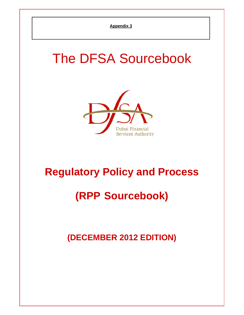# The DFSA Sourcebook



# **Regulatory Policy and Process**

# **(RPP Sourcebook)**

**(DECEMBER 2012 EDITION)**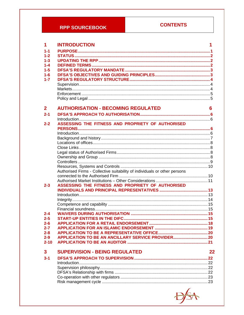### **RPP SOURCEBOOK**

### **CONTENTS**

| 1            | <b>INTRODUCTION</b>                                                       | 1  |
|--------------|---------------------------------------------------------------------------|----|
| $1 - 1$      |                                                                           |    |
| $1 - 2$      |                                                                           |    |
| $1 - 3$      |                                                                           |    |
| $1 - 4$      |                                                                           |    |
| $1-5$        |                                                                           |    |
| $1 - 6$      |                                                                           |    |
| $1 - 7$      |                                                                           |    |
|              |                                                                           |    |
|              |                                                                           |    |
|              |                                                                           |    |
|              |                                                                           |    |
| $\mathbf{2}$ | <b>AUTHORISATION - BECOMING REGULATED</b>                                 | 6  |
| $2 - 1$      |                                                                           |    |
|              |                                                                           |    |
| $2 - 2$      | ASSESSING THE FITNESS AND PROPRIETY OF AUTHORISED                         |    |
|              |                                                                           |    |
|              |                                                                           |    |
|              |                                                                           |    |
|              |                                                                           |    |
|              |                                                                           |    |
|              |                                                                           |    |
|              |                                                                           |    |
|              |                                                                           |    |
|              | Authorised Firms - Collective suitability of individuals or other persons |    |
|              |                                                                           |    |
| $2 - 3$      | ASSESSING THE FITNESS AND PROPRIETY OF AUTHORISED                         |    |
|              |                                                                           |    |
|              |                                                                           |    |
|              |                                                                           |    |
|              |                                                                           |    |
|              |                                                                           |    |
| $2 - 4$      |                                                                           |    |
| $2 - 5$      |                                                                           |    |
| $2 - 6$      |                                                                           |    |
| $2 - 7$      |                                                                           |    |
| $2 - 8$      |                                                                           |    |
| $2 - 9$      | APPLICATION TO BE AN ANCILLARY SERVICE PROVIDER 20                        |    |
| $2 - 10$     |                                                                           |    |
| $\mathbf{3}$ | <b>SUPERVISION - BEING REGULATED</b>                                      | 22 |
| $3 - 1$      |                                                                           |    |
|              |                                                                           |    |
|              |                                                                           |    |
|              |                                                                           |    |
|              |                                                                           |    |
|              |                                                                           |    |
|              |                                                                           |    |

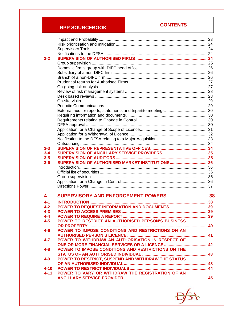# **RPP SOURCEBOOK CONTENTS**

| $3 - 2$  |                                                    |    |
|----------|----------------------------------------------------|----|
|          |                                                    |    |
|          |                                                    |    |
|          |                                                    |    |
|          |                                                    |    |
|          |                                                    |    |
|          |                                                    |    |
|          |                                                    |    |
|          |                                                    |    |
|          |                                                    |    |
|          |                                                    |    |
|          |                                                    |    |
|          |                                                    |    |
|          |                                                    |    |
|          |                                                    |    |
|          |                                                    |    |
|          |                                                    |    |
|          |                                                    |    |
|          |                                                    |    |
| $3 - 3$  |                                                    |    |
| $3 - 4$  |                                                    |    |
| $3 - 5$  |                                                    |    |
|          |                                                    |    |
|          |                                                    |    |
| $3 - 6$  | SUPERVISION OF AUTHORISED MARKET INSTITUTIONS36    |    |
|          |                                                    |    |
|          |                                                    |    |
|          |                                                    |    |
|          |                                                    |    |
|          |                                                    |    |
| 4        | <b>SUPERVISORY AND ENFORCEMENT POWERS</b>          | 38 |
|          |                                                    |    |
| 4-1      |                                                    |    |
| 4-2      | POWER TO REQUEST INFORMATION AND DOCUMENTS 39      |    |
| 4-3      |                                                    |    |
| 4-4      |                                                    |    |
| $4-5$    | POWER TO RESTRICT AN AUTHORISED PERSON'S BUSINESS  |    |
|          |                                                    |    |
| $4 - 6$  | POWER TO IMPOSE CONDITIONS AND RESTRICTIONS ON AN  |    |
|          |                                                    |    |
| $4 - 7$  | POWER TO WITHDRAW AN AUTHORISATION IN RESPECT OF   |    |
|          |                                                    |    |
| $4 - 8$  | POWER TO IMPOSE CONDITIONS AND RESTRICTIONS ON THE |    |
|          |                                                    |    |
| $4-9$    | POWER TO RESTRICT, SUSPEND AND WITHDRAW THE STATUS |    |
|          |                                                    |    |
| $4 - 10$ |                                                    |    |
| 4-11     | POWER TO VARY OR WITHDRAW THE REGISTRATION OF AN   |    |

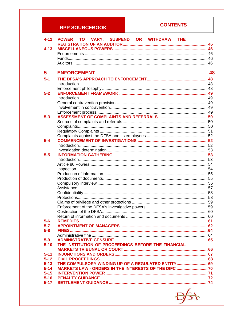### **RPP SOURCEBOOK**

### **CONTENTS**

| $4 - 12$             | <b>TO</b><br>VARY, SUSPEND OR WITHDRAW THE<br><b>POWER</b> |    |
|----------------------|------------------------------------------------------------|----|
| $4 - 13$             |                                                            |    |
|                      |                                                            |    |
|                      |                                                            |    |
|                      |                                                            |    |
| 5                    | <b>ENFORCEMENT</b>                                         | 48 |
| $5-1$                |                                                            |    |
|                      |                                                            |    |
|                      |                                                            |    |
| $5 - 2$              |                                                            |    |
|                      |                                                            |    |
|                      |                                                            |    |
|                      |                                                            |    |
| $5 - 3$              |                                                            |    |
|                      |                                                            |    |
|                      |                                                            |    |
|                      |                                                            |    |
|                      |                                                            |    |
| $5 - 4$              |                                                            |    |
|                      |                                                            |    |
|                      |                                                            |    |
| $5-5$                |                                                            |    |
|                      |                                                            |    |
|                      |                                                            |    |
|                      |                                                            |    |
|                      |                                                            |    |
|                      |                                                            |    |
|                      |                                                            |    |
|                      |                                                            |    |
|                      |                                                            |    |
|                      |                                                            |    |
|                      |                                                            |    |
|                      |                                                            |    |
|                      |                                                            |    |
| $5-6$                |                                                            |    |
| $5 - 7$              |                                                            |    |
| $5 - 8$              |                                                            |    |
|                      |                                                            |    |
| $5-9$                |                                                            |    |
| $5 - 10$             | THE INSTITUTION OF PROCEEDINGS BEFORE THE FINANCIAL        |    |
|                      |                                                            |    |
| $5 - 11$             |                                                            |    |
| $5 - 12$             |                                                            |    |
| $5 - 13$<br>$5 - 14$ | MARKETS LAW - ORDERS IN THE INTERESTS OF THE DIFC  70      |    |
| $5 - 15$             |                                                            |    |
| $5 - 16$             |                                                            |    |
| $5 - 17$             |                                                            |    |
|                      |                                                            |    |

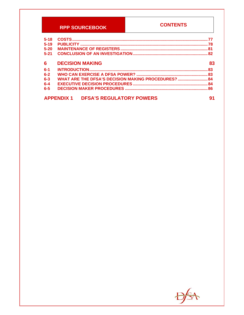### **RPP SOURCEBOOK**

### **CONTENTS**

| $5 - 18$ |                                                      |    |
|----------|------------------------------------------------------|----|
| $5 - 19$ |                                                      |    |
| $5 - 20$ |                                                      |    |
| $5 - 21$ |                                                      |    |
| 6        | <b>DECISION MAKING</b>                               | 83 |
| $6 - 1$  |                                                      |    |
| $6 - 2$  |                                                      |    |
| $6 - 3$  | WHAT ARE THE DFSA'S DECISION MAKING PROCEDURES?  84  |    |
| $6 - 4$  |                                                      |    |
| $6 - 5$  |                                                      |    |
|          | <b>DFSA'S REGULATORY POWERS</b><br><b>APPENDIX 1</b> | 91 |

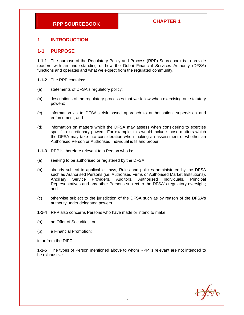#### **1 INTRODUCTION**

#### **1-1 PURPOSE**

**1-1-1** The purpose of the Regulatory Policy and Process (RPP) Sourcebook is to provide readers with an understanding of how the Dubai Financial Services Authority (DFSA) functions and operates and what we expect from the regulated community.

- **1-1-2** The RPP contains:
- (a) statements of DFSA's regulatory policy;
- (b) descriptions of the regulatory processes that we follow when exercising our statutory powers;
- (c) information as to DFSA's risk based approach to authorisation, supervision and enforcement; and
- (d) information on matters which the DFSA may assess when considering to exercise specific discretionary powers. For example, this would include those matters which the DFSA may take into consideration when making an assessment of whether an Authorised Person or Authorised Individual is fit and proper.
- **1-1-3** RPP is therefore relevant to a Person who is:
- (a) seeking to be authorised or registered by the DFSA;
- (b) already subject to applicable Laws, Rules and policies administered by the DFSA such as Authorised Persons (i.e. Authorised Firms or Authorised Market Institutions), Ancillary Service Providers, Auditors, Authorised Individuals, Principal Representatives and any other Persons subject to the DFSA's regulatory oversight; and
- (c) otherwise subject to the jurisdiction of the DFSA such as by reason of the DFSA's authority under delegated powers.
- **1-1-4** RPP also concerns Persons who have made or intend to make:
- (a) an Offer of Securities; or
- (b) a Financial Promotion;

in or from the DIFC.

**1-1-5** The types of Person mentioned above to whom RPP is relevant are not intended to be exhaustive.

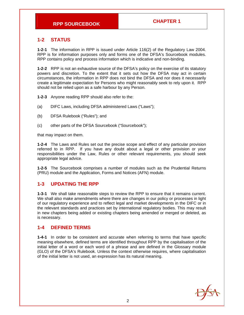### **1-2 STATUS**

**1-2-1** The information in RPP is issued under Article 116(2) of the Regulatory Law 2004. RPP is for information purposes only and forms one of the DFSA's Sourcebook modules. RPP contains policy and process information which is indicative and non-binding.

**1-2-2** RPP is not an exhaustive source of the DFSA's policy on the exercise of its statutory powers and discretion. To the extent that it sets out how the DFSA may act in certain circumstances, the information in RPP does not bind the DFSA and nor does it necessarily create a legitimate expectation for Persons who might reasonably seek to rely upon it. RPP should not be relied upon as a safe harbour by any Person.

**1-2-3** Anyone reading RPP should also refer to the:

- (a) DIFC Laws, including DFSA administered Laws ("Laws");
- (b) DFSA Rulebook ("Rules"); and
- (c) other parts of the DFSA Sourcebook ("Sourcebook");

that may impact on them.

**1-2-4** The Laws and Rules set out the precise scope and effect of any particular provision referred to in RPP. If you have any doubt about a legal or other provision or your responsibilities under the Law, Rules or other relevant requirements, you should seek appropriate legal advice.

**1-2-5** The Sourcebook comprises a number of modules such as the Prudential Returns (PRU) module and the Application, Forms and Notices (AFN) module.

#### **1-3 UPDATING THE RPP**

**1-3-1** We shall take reasonable steps to review the RPP to ensure that it remains current. We shall also make amendments where there are changes in our policy or processes in light of our regulatory experience and to reflect legal and market developments in the DIFC or in the relevant standards and practices set by international regulatory bodies. This may result in new chapters being added or existing chapters being amended or merged or deleted, as is necessary.

#### **1-4 DEFINED TERMS**

**1-4-1** In order to be consistent and accurate when referring to terms that have specific meaning elsewhere, defined terms are identified throughout RPP by the capitalisation of the initial letter of a word or each word of a phrase and are defined in the Glossary module (GLO) of the DFSA's Rulebook. Unless the context otherwise requires, where capitalisation of the initial letter is not used, an expression has its natural meaning.

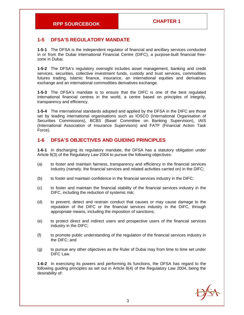#### **1-5 DFSA'S REGULATORY MANDATE**

**1-5-1** The DFSA is the independent regulator of financial and ancillary services conducted in or from the Dubai International Financial Centre (DIFC), a purpose-built financial freezone in Dubai.

**1-5-2** The DFSA's regulatory oversight includes asset management, banking and credit services, securities, collective investment funds, custody and trust services, commodities futures trading, Islamic finance, insurance, an international equities and derivatives exchange and an international commodities derivatives exchange.

**1-5-3** The DFSA's mandate is to ensure that the DIFC is one of the best regulated international financial centres in the world, a centre based on principles of integrity, transparency and efficiency.

**1-5-4** The international standards adopted and applied by the DFSA in the DIFC are those set by leading international organisations such as IOSCO (International Organisation of Securities Commissions), BCBS (Basel Committee on Banking Supervision), IAIS (International Association of Insurance Supervisors) and FATF (Financial Action Task Force).

#### **1-6 DFSA'S OBJECTIVES AND GUIDING PRINCIPLES**

**1-6-1** In discharging its regulatory mandate, the DFSA has a statutory obligation under Article 8(3) of the Regulatory Law 2004 to pursue the following objectives:

- (a) to foster and maintain fairness, transparency and efficiency in the financial services industry (namely, the financial services and related activities carried on) in the DIFC;
- (b) to foster and maintain confidence in the financial services industry in the DIFC;
- (c) to foster and maintain the financial stability of the financial services industry in the DIFC, including the reduction of systemic risk;
- (d) to prevent, detect and restrain conduct that causes or may cause damage to the reputation of the DIFC or the financial services industry in the DIFC, through appropriate means, including the imposition of sanctions;
- (e) to protect direct and indirect users and prospective users of the financial services industry in the DIFC;
- (f) to promote public understanding of the regulation of the financial services industry in the DIFC; and
- (g) to pursue any other objectives as the Ruler of Dubai may from time to time set under DIFC Law.

**1-6-2** In exercising its powers and performing its functions, the DFSA has regard to the following guiding principles as set out in Article 8(4) of the Regulatory Law 2004, being the desirability of:

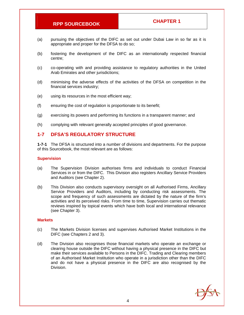- (a) pursuing the objectives of the DIFC as set out under Dubai Law in so far as it is appropriate and proper for the DFSA to do so;
- (b) fostering the development of the DIFC as an internationally respected financial centre;
- (c) co-operating with and providing assistance to regulatory authorities in the United Arab Emirates and other jurisdictions;
- (d) minimising the adverse effects of the activities of the DFSA on competition in the financial services industry;
- (e) using its resources in the most efficient way;
- (f) ensuring the cost of regulation is proportionate to its benefit;
- (g) exercising its powers and performing its functions in a transparent manner; and
- (h) complying with relevant generally accepted principles of good governance.

#### **1-7 DFSA'S REGULATORY STRUCTURE**

**1-7-1** The DFSA is structured into a number of divisions and departments. For the purpose of this Sourcebook, the most relevant are as follows:

#### **Supervision**

- (a) The Supervision Division authorises firms and individuals to conduct Financial Services in or from the DIFC. This Division also registers Ancillary Service Providers and Auditors (see Chapter 2).
- (b) This Division also conducts supervisory oversight on all Authorised Firms, Ancillary Service Providers and Auditors, including by conducting risk assessments. The scope and frequency of such assessments are dictated by the nature of the firm's activities and its perceived risks. From time to time, Supervision carries out thematic reviews inspired by topical events which have both local and international relevance (see Chapter 3).

#### **Markets**

- (c) The Markets Division licenses and supervises Authorised Market Institutions in the DIFC (see Chapters 2 and 3).
- (d) The Division also recognises those financial markets who operate an exchange or clearing house outside the DIFC without having a physical presence in the DIFC but make their services available to Persons in the DIFC. Trading and Clearing members of an Authorised Market Institution who operate in a jurisdiction other than the DIFC and do not have a physical presence in the DIFC are also recognised by the Division.

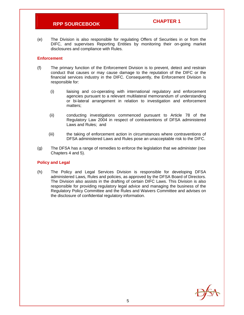(e) The Division is also responsible for regulating Offers of Securities in or from the DIFC, and supervises Reporting Entities by monitoring their on-going market disclosures and compliance with Rules.

#### **Enforcement**

- (f) The primary function of the Enforcement Division is to prevent, detect and restrain conduct that causes or may cause damage to the reputation of the DIFC or the financial services industry in the DIFC. Consequently, the Enforcement Division is responsible for:
	- (i) liaising and co-operating with international regulatory and enforcement agencies pursuant to a relevant multilateral memorandum of understanding or bi-lateral arrangement in relation to investigation and enforcement matters;
	- (ii) conducting investigations commenced pursuant to Article 78 of the Regulatory Law 2004 in respect of contraventions of DFSA administered Laws and Rules; and
	- (iii) the taking of enforcement action in circumstances where contraventions of DFSA administered Laws and Rules pose an unacceptable risk to the DIFC.
- (g) The DFSA has a range of remedies to enforce the legislation that we administer (see Chapters 4 and 5).

#### **Policy and Legal**

(h) The Policy and Legal Services Division is responsible for developing DFSA administered Laws, Rules and policies, as approved by the DFSA Board of Directors. The Division also assists in the drafting of certain DIFC Laws. This Division is also responsible for providing regulatory legal advice and managing the business of the Regulatory Policy Committee and the Rules and Waivers Committee and advises on the disclosure of confidential regulatory information.

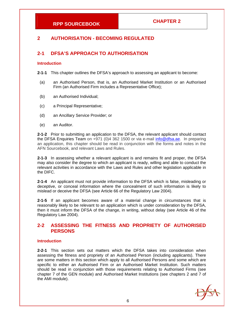### **2 AUTHORISATION - BECOMING REGULATED**

#### **2-1 DFSA'S APPROACH TO AUTHORISATION**

#### **Introduction**

**2-1-1** This chapter outlines the DFSA's approach to assessing an applicant to become:

- (a) an Authorised Person, that is, an Authorised Market Institution or an Authorised Firm (an Authorised Firm includes a Representative Office);
- (b) an Authorised Individual;
- (c) a Principal Representative;
- (d) an Ancillary Service Provider; or
- (e) an Auditor.

**2-1-2** Prior to submitting an application to the DFSA, the relevant applicant should contact the DFSA Enquiries Team on +971 (0)4 362 1500 or via e-mail info@dfsa.ae. In preparing an application, this chapter should be read in conjunction with the forms and notes in the AFN Sourcebook, and relevant Laws and Rules.

**2-1-3** In assessing whether a relevant applicant is and remains fit and proper, the DFSA may also consider the degree to which an applicant is ready, willing and able to conduct the relevant activities in accordance with the Laws and Rules and other legislation applicable in the DIFC.

**2-1-4** An applicant must not provide information to the DFSA which is false, misleading or deceptive, or conceal information where the concealment of such information is likely to mislead or deceive the DFSA (see Article 66 of the Regulatory Law 2004).

**2-1-5** If an applicant becomes aware of a material change in circumstances that is reasonably likely to be relevant to an application which is under consideration by the DFSA, then it must inform the DFSA of the change, in writing, without delay (see Article 46 of the Regulatory Law 2004).

#### **2-2 ASSESSING THE FITNESS AND PROPRIETY OF AUTHORISED PERSONS**

#### **Introduction**

**2-2-1** This section sets out matters which the DFSA takes into consideration when assessing the fitness and propriety of an Authorised Person (including applicants). There are some matters in this section which apply to all Authorised Persons and some which are specific to either an Authorised Firm or an Authorised Market Institution. Such matters should be read in conjunction with those requirements relating to Authorised Firms (see chapter 7 of the GEN module) and Authorised Market Institutions (see chapters 2 and 7 of the AMI module).

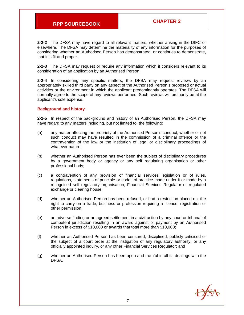**2-2-2** The DFSA may have regard to all relevant matters, whether arising in the DIFC or elsewhere. The DFSA may determine the materiality of any information for the purposes of considering whether an Authorised Person has demonstrated, or continues to demonstrate, that it is fit and proper.

**2-2-3** The DFSA may request or require any information which it considers relevant to its consideration of an application by an Authorised Person.

**2-2-4** In considering any specific matters, the DFSA may request reviews by an appropriately skilled third party on any aspect of the Authorised Person's proposed or actual activities or the environment in which the applicant predominantly operates. The DFSA will normally agree to the scope of any reviews performed. Such reviews will ordinarily be at the applicant's sole expense.

#### **Background and history**

**2-2-5** In respect of the background and history of an Authorised Person, the DFSA may have regard to any matters including, but not limited to, the following:

- (a) any matter affecting the propriety of the Authorised Person's conduct, whether or not such conduct may have resulted in the commission of a criminal offence or the contravention of the law or the institution of legal or disciplinary proceedings of whatever nature;
- (b) whether an Authorised Person has ever been the subject of disciplinary procedures by a government body or agency or any self regulating organisation or other professional body;
- (c) a contravention of any provision of financial services legislation or of rules, regulations, statements of principle or codes of practice made under it or made by a recognised self regulatory organisation, Financial Services Regulator or regulated exchange or clearing house;
- (d) whether an Authorised Person has been refused, or had a restriction placed on, the right to carry on a trade, business or profession requiring a licence, registration or other permission;
- (e) an adverse finding or an agreed settlement in a civil action by any court or tribunal of competent jurisdiction resulting in an award against or payment by an Authorised Person in excess of \$10,000 or awards that total more than \$10,000;
- (f) whether an Authorised Person has been censured, disciplined, publicly criticised or the subject of a court order at the instigation of any regulatory authority, or any officially appointed inquiry, or any other Financial Services Regulator; and
- (g) whether an Authorised Person has been open and truthful in all its dealings with the DFSA.

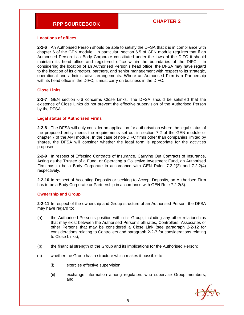#### **Locations of offices**

**2-2-6** An Authorised Person should be able to satisfy the DFSA that it is in compliance with chapter 6 of the GEN module. In particular, section 6.5 of GEN module requires that if an Authorised Person is a Body Corporate constituted under the laws of the DIFC it should maintain its head office and registered office within the boundaries of the DIFC. In considering the location of an Authorised Person's head office, the DFSA may have regard to the location of its directors, partners, and senior management with respect to its strategic, operational and administrative arrangements. Where an Authorised Firm is a Partnership with its head office in the DIFC, it must carry on business in the DIFC.

#### **Close Links**

**2-2-7** GEN section 6.6 concerns Close Links. The DFSA should be satisfied that the existence of Close Links do not prevent the effective supervision of the Authorised Person by the DFSA.

#### **Legal status of Authorised Firms**

**2-2-8** The DFSA will only consider an application for authorisation where the legal status of the proposed entity meets the requirements set out in section 7.2 of the GEN module or chapter 7 of the AMI module. In the case of non-DIFC firms other than companies limited by shares, the DFSA will consider whether the legal form is appropriate for the activities proposed.

**2-2-9** In respect of Effecting Contracts of Insurance, Carrying Out Contracts of Insurance, Acting as the Trustee of a Fund, or Operating a Collective Investment Fund, an Authorised Firm has to be a Body Corporate in accordance with GEN Rules 7.2.2(2) and 7.2.2(4) respectively.

**2-2-10** In respect of Accepting Deposits or seeking to Accept Deposits, an Authorised Firm has to be a Body Corporate or Partnership in accordance with GEN Rule 7.2.2(3).

#### **Ownership and Group**

**2-2-11** In respect of the ownership and Group structure of an Authorised Person, the DFSA may have regard to:

- (a) the Authorised Person's position within its Group, including any other relationships that may exist between the Authorised Person's affiliates, Controllers, Associates or other Persons that may be considered a Close Link (see paragraph 2-2-12 for considerations relating to Controllers and paragraph 2-2-7 for considerations relating to Close Links);
- (b) the financial strength of the Group and its implications for the Authorised Person;
- (c) whether the Group has a structure which makes it possible to:
	- (i) exercise effective supervision;
	- (ii) exchange information among regulators who supervise Group members; and

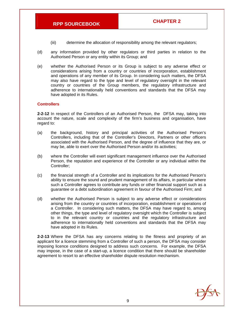- (iii) determine the allocation of responsibility among the relevant regulators;
- (d) any information provided by other regulators or third parties in relation to the Authorised Person or any entity within its Group; and
- (e) whether the Authorised Person or its Group is subject to any adverse effect or considerations arising from a country or countries of incorporation, establishment and operations of any member of its Group. In considering such matters, the DFSA may also have regard to the type and level of regulatory oversight in the relevant country or countries of the Group members, the regulatory infrastructure and adherence to internationally held conventions and standards that the DFSA may have adopted in its Rules.

#### **Controllers**

**2-2-12** In respect of the Controllers of an Authorised Person, the DFSA may, taking into account the nature, scale and complexity of the firm's business and organisation, have regard to:

- (a) the background, history and principal activities of the Authorised Person's Controllers, including that of the Controller's Directors, Partners or other officers associated with the Authorised Person, and the degree of influence that they are, or may be, able to exert over the Authorised Person and/or its activities;
- (b) where the Controller will exert significant management influence over the Authorised Person, the reputation and experience of the Controller or any individual within the Controller;
- (c) the financial strength of a Controller and its implications for the Authorised Person's ability to ensure the sound and prudent management of its affairs, in particular where such a Controller agrees to contribute any funds or other financial support such as a guarantee or a debt subordination agreement in favour of the Authorised Firm; and
- (d) whether the Authorised Person is subject to any adverse effect or considerations arising from the country or countries of incorporation, establishment or operations of a Controller. In considering such matters, the DFSA may have regard to, among other things, the type and level of regulatory oversight which the Controller is subject to in the relevant country or countries and the regulatory infrastructure and adherence to internationally held conventions and standards that the DFSA may have adopted in its Rules.

**2-2-13** Where the DFSA has any concerns relating to the fitness and propriety of an applicant for a licence stemming from a Controller of such a person, the DFSA may consider imposing licence conditions designed to address such concerns. For example, the DFSA may impose, in the case of a start-up, a licence condition that there should be shareholder agreement to resort to an effective shareholder dispute resolution mechanism.

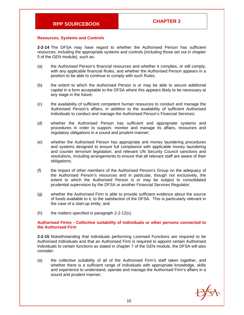#### **Resources, Systems and Controls**

**2-2-14** The DFSA may have regard to whether the Authorised Person has sufficient resources, including the appropriate systems and controls (including those set out in chapter 5 of the GEN module), such as:

- (a) the Authorised Person's financial resources and whether it complies, or will comply, with any applicable financial Rules, and whether the Authorised Person appears in a position to be able to continue to comply with such Rules;
- (b) the extent to which the Authorised Person is or may be able to secure additional capital in a form acceptable to the DFSA where this appears likely to be necessary at any stage in the future;
- (c) the availability of sufficient competent human resources to conduct and manage the Authorised Person's affairs, in addition to the availability of sufficient Authorised Individuals to conduct and manage the Authorised Person's Financial Services;
- (d) whether the Authorised Person has sufficient and appropriate systems and procedures in order to support, monitor and manage its affairs, resources and regulatory obligations in a sound and prudent manner;
- (e) whether the Authorised Person has appropriate anti money laundering procedures and systems designed to ensure full compliance with applicable money laundering and counter terrorism legislation, and relevant UN Security Council sanctions and resolutions, including arrangements to ensure that all relevant staff are aware of their obligations;
- (f) the impact of other members of the Authorised Person's Group on the adequacy of the Authorised Person's resources and in particular, though not exclusively, the extent to which the Authorised Person is or may be subject to consolidated prudential supervision by the DFSA or another Financial Services Regulator;
- (g) whether the Authorised Firm is able to provide sufficient evidence about the source of funds available to it, to the satisfaction of the DFSA. This is particularly relevant in the case of a start-up entity; and
- $(h)$  the matters specified in paragraph 2-2-12(c).

#### **Authorised Firms - Collective suitability of individuals or other persons connected to the Authorised Firm**

**2-2-15** Notwithstanding that individuals performing Licensed Functions are required to be Authorised Individuals and that an Authorised Firm is required to appoint certain Authorised Individuals to certain functions as stated in chapter 7 of the GEN module, the DFSA will also consider:

(a) the collective suitability of all of the Authorised Firm's staff taken together, and whether there is a sufficient range of individuals with appropriate knowledge, skills and experience to understand, operate and manage the Authorised Firm's affairs in a sound and prudent manner;

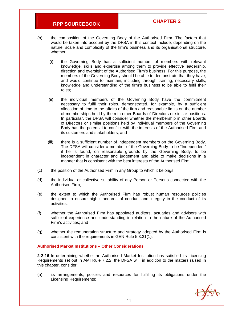- (b) the composition of the Governing Body of the Authorised Firm. The factors that would be taken into account by the DFSA in this context include, depending on the nature, scale and complexity of the firm's business and its organisational structure, whether:
	- (i) the Governing Body has a sufficient number of members with relevant knowledge, skills and expertise among them to provide effective leadership, direction and oversight of the Authorised Firm's business. For this purpose, the members of the Governing Body should be able to demonstrate that they have, and would continue to maintain, including through training, necessary skills, knowledge and understanding of the firm's business to be able to fulfil their roles;
	- (ii) the individual members of the Governing Body have the commitment necessary to fulfil their roles, demonstrated, for example, by a sufficient allocation of time to the affairs of the firm and reasonable limits on the number of memberships held by them in other Boards of Directors or similar positions. In particular, the DFSA will consider whether the membership in other Boards of Directors or similar positions held by individual members of the Governing Body has the potential to conflict with the interests of the Authorised Firm and its customers and stakeholders; and
	- (iii) there is a sufficient number of independent members on the Governing Body. The DFSA will consider a member of the Governing Body to be "Independent" if he is found, on reasonable grounds by the Governing Body, to be independent in character and judgement and able to make decisions in a manner that is consistent with the best interests of the Authorised Firm;
- (c) the position of the Authorised Firm in any Group to which it belongs;
- (d) the individual or collective suitability of any Person or Persons connected with the Authorised Firm;
- (e) the extent to which the Authorised Firm has robust human resources policies designed to ensure high standards of conduct and integrity in the conduct of its activities;
- (f) whether the Authorised Firm has appointed auditors, actuaries and advisers with sufficient experience and understanding in relation to the nature of the Authorised Firm's activities; and
- (g) whether the remuneration structure and strategy adopted by the Authorised Firm is consistent with the requirements in GEN Rule 5.3.31(1).

#### **Authorised Market Institutions – Other Considerations**

**2-2-16** In determining whether an Authorised Market Institution has satisfied its Licensing Requirements set out in AMI Rule 7.2.2, the DFSA will, in addition to the matters raised in this chapter, consider:

(a) its arrangements, policies and resources for fulfilling its obligations under the Licensing Requirements;

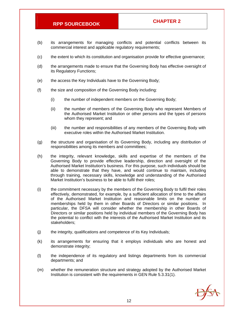- (b) its arrangements for managing conflicts and potential conflicts between its commercial interest and applicable regulatory requirements;
- (c) the extent to which its constitution and organisation provide for effective governance;
- (d) the arrangements made to ensure that the Governing Body has effective oversight of its Regulatory Functions;
- (e) the access the Key Individuals have to the Governing Body;
- (f) the size and composition of the Governing Body including:
	- (i) the number of independent members on the Governing Body;
	- (ii) the number of members of the Governing Body who represent Members of the Authorised Market Institution or other persons and the types of persons whom they represent; and
	- (iii) the number and responsibilities of any members of the Governing Body with executive roles within the Authorised Market Institution.
- (g) the structure and organisation of its Governing Body, including any distribution of responsibilities among its members and committees;
- (h) the integrity, relevant knowledge, skills and expertise of the members of the Governing Body to provide effective leadership, direction and oversight of the Authorised Market Institution's business. For this purpose, such individuals should be able to demonstrate that they have, and would continue to maintain, including through training, necessary skills, knowledge and understanding of the Authorised Market Institution's business to be able to fulfil their roles;
- (i) the commitment necessary by the members of the Governing Body to fulfil their roles effectively, demonstrated, for example, by a sufficient allocation of time to the affairs of the Authorised Market Institution and reasonable limits on the number of memberships held by them in other Boards of Directors or similar positions. In particular, the DFSA will consider whether the membership in other Boards of Directors or similar positions held by individual members of the Governing Body has the potential to conflict with the interests of the Authorised Market Institution and its stakeholders;
- (j) the integrity, qualifications and competence of its Key Individuals;
- (k) its arrangements for ensuring that it employs individuals who are honest and demonstrate integrity;
- (l) the independence of its regulatory and listings departments from its commercial departments; and
- (m) whether the remuneration structure and strategy adopted by the Authorised Market Institution is consistent with the requirements in GEN Rule 5.3.31(1).

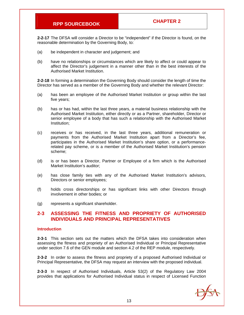**2-2-17** The DFSA will consider a Director to be "independent" if the Director is found, on the reasonable determination by the Governing Body, to:

- (a) be independent in character and judgement; and
- (b) have no relationships or circumstances which are likely to affect or could appear to affect the Director's judgement in a manner other than in the best interests of the Authorised Market Institution.

**2-2-18** In forming a determination the Governing Body should consider the length of time the Director has served as a member of the Governing Body and whether the relevant Director:

- (a) has been an employee of the Authorised Market Institution or group within the last five years;
- (b) has or has had, within the last three years, a material business relationship with the Authorised Market Institution, either directly or as a Partner, shareholder, Director or senior employee of a body that has such a relationship with the Authorised Market Institution;
- (c) receives or has received, in the last three years, additional remuneration or payments from the Authorised Market Institution apart from a Director's fee, participates in the Authorised Market Institution's share option, or a performancerelated pay scheme, or is a member of the Authorised Market Institution's pension scheme;
- (d) is or has been a Director, Partner or Employee of a firm which is the Authorised Market Institution's auditor;
- (e) has close family ties with any of the Authorised Market Institution's advisors, Directors or senior employees;
- (f) holds cross directorships or has significant links with other Directors through involvement in other bodies; or
- (g) represents a significant shareholder.

#### **2-3 ASSESSING THE FITNESS AND PROPRIETY OF AUTHORISED INDIVIDUALS AND PRINCIPAL REPRESENTATIVES**

#### **Introduction**

**2-3-1** This section sets out the matters which the DFSA takes into consideration when assessing the fitness and propriety of an Authorised Individual or Principal Representative under section 7.6 of the GEN module and section 4.2 of the REP module, respectively.

**2-3-2** In order to assess the fitness and propriety of a proposed Authorised Individual or Principal Representative, the DFSA may request an interview with the proposed individual.

**2-3-3** In respect of Authorised Individuals, Article 53(2) of the Regulatory Law 2004 provides that applications for Authorised Individual status in respect of Licensed Function

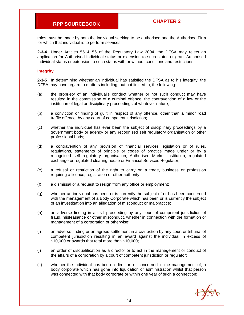roles must be made by both the individual seeking to be authorised and the Authorised Firm for which that individual is to perform services.

**2-3-4** Under Articles 55 & 56 of the Regulatory Law 2004, the DFSA may reject an application for Authorised Individual status or extension to such status or grant Authorised Individual status or extension to such status with or without conditions and restrictions.

#### **Integrity**

**2-3-5** In determining whether an individual has satisfied the DFSA as to his integrity, the DFSA may have regard to matters including, but not limited to, the following:

- (a) the propriety of an individual's conduct whether or not such conduct may have resulted in the commission of a criminal offence, the contravention of a law or the institution of legal or disciplinary proceedings of whatever nature;
- (b) a conviction or finding of guilt in respect of any offence, other than a minor road traffic offence, by any court of competent jurisdiction;
- (c) whether the individual has ever been the subject of disciplinary proceedings by a government body or agency or any recognised self regulatory organisation or other professional body;
- (d) a contravention of any provision of financial services legislation or of rules, regulations, statements of principle or codes of practice made under or by a recognised self regulatory organisation, Authorised Market Institution, regulated exchange or regulated clearing house or Financial Services Regulator;
- (e) a refusal or restriction of the right to carry on a trade, business or profession requiring a licence, registration or other authority;
- (f) a dismissal or a request to resign from any office or employment;
- (g) whether an individual has been or is currently the subject of or has been concerned with the management of a Body Corporate which has been or is currently the subject of an investigation into an allegation of misconduct or malpractice;
- (h) an adverse finding in a civil proceeding by any court of competent jurisdiction of fraud, misfeasance or other misconduct, whether in connection with the formation or management of a corporation or otherwise;
- (i) an adverse finding or an agreed settlement in a civil action by any court or tribunal of competent jurisdiction resulting in an award against the individual in excess of \$10,000 or awards that total more than \$10,000;
- (j) an order of disqualification as a director or to act in the management or conduct of the affairs of a corporation by a court of competent jurisdiction or regulator;
- (k) whether the individual has been a director, or concerned in the management of, a body corporate which has gone into liquidation or administration whilst that person was connected with that body corporate or within one year of such a connection;

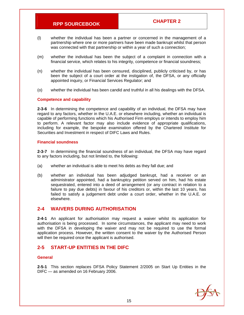- (l) whether the individual has been a partner or concerned in the management of a partnership where one or more partners have been made bankrupt whilst that person was connected with that partnership or within a year of such a connection;
- (m) whether the individual has been the subject of a complaint in connection with a financial service, which relates to his integrity, competence or financial soundness;
- (n) whether the individual has been censured, disciplined, publicly criticised by, or has been the subject of a court order at the instigation of, the DFSA, or any officially appointed inquiry, or Financial Services Regulator; and
- (o) whether the individual has been candid and truthful in all his dealings with the DFSA.

#### **Competence and capability**

**2-3-6** In determining the competence and capability of an individual, the DFSA may have regard to any factors, whether in the U.A.E. or elsewhere including, whether an individual is capable of performing functions which his Authorised Firm employs or intends to employ him to perform. A relevant factor may also include evidence of appropriate qualifications, including for example, the bespoke examination offered by the Chartered Institute for Securities and Investment in respect of DIFC Laws and Rules.

#### **Financial soundness**

**2-3-7** In determining the financial soundness of an individual, the DFSA may have regard to any factors including, but not limited to, the following:

- (a) whether an individual is able to meet his debts as they fall due; and
- (b) whether an individual has been adjudged bankrupt, had a receiver or an administrator appointed, had a bankruptcy petition served on him, had his estate sequestrated, entered into a deed of arrangement (or any contract in relation to a failure to pay due debts) in favour of his creditors or, within the last 10 years, has failed to satisfy a judgement debt under a court order, whether in the U.A.E. or elsewhere.

#### **2-4 WAIVERS DURING AUTHORISATION**

**2-4-1** An applicant for authorisation may request a waiver whilst its application for authorisation is being processed. In some circumstances, the applicant may need to work with the DFSA in developing the waiver and may not be required to use the formal application process. However, the written consent to the waiver by the Authorised Person will then be required once the applicant is authorised.

#### **2-5 START-UP ENTITIES IN THE DIFC**

#### **General**

**2-5-1** This section replaces DFSA Policy Statement 2/2005 on Start Up Entities in the DIFC — as amended on 16 February 2006.

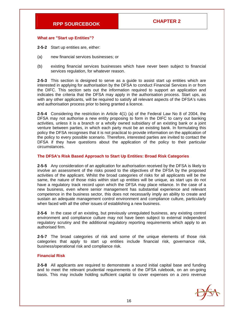#### **What are "Start up Entities"?**

- **2-5-2** Start up entities are, either:
- (a) new financial services businesses; or
- (b) existing financial services businesses which have never been subject to financial services regulation, for whatever reason.

**2-5-3** This section is designed to serve as a guide to assist start up entities which are interested in applying for authorisation by the DFSA to conduct Financial Services in or from the DIFC. This section sets out the information required to support an application and indicates the criteria that the DFSA may apply in the authorisation process. Start ups, as with any other applicants, will be required to satisfy all relevant aspects of the DFSA's rules and authorisation process prior to being granted a licence.

**2-5-4** Considering the restriction in Article 4(1) (a) of the Federal Law No 8 of 2004, the DFSA may not authorise a new entity proposing to form in the DIFC to carry out banking activities, unless it is a branch or a wholly owned subsidiary of an existing bank or a joint venture between parties, in which each party must be an existing bank. In formulating this policy the DFSA recognises that it is not practical to provide information on the application of the policy to every possible scenario. Therefore, interested parties are invited to contact the DFSA if they have questions about the application of the policy to their particular circumstances.

#### **The DFSA's Risk Based Approach to Start Up Entities: Broad Risk Categories**

**2-5-5** Any consideration of an application for authorisation received by the DFSA is likely to involve an assessment of the risks posed to the objectives of the DFSA by the proposed activities of the applicant. Whilst the broad categories of risks for all applicants will be the same, the nature of those risks within start up entities will be unique, as start ups do not have a regulatory track record upon which the DFSA may place reliance. In the case of a new business, even where senior management has substantial experience and relevant competence in the business sector, this does not necessarily imply an ability to create and sustain an adequate management control environment and compliance culture, particularly when faced with all the other issues of establishing a new business.

**2-5-6** In the case of an existing, but previously unregulated business, any existing control environment and compliance culture may not have been subject to external independent regulatory scrutiny and the additional regulatory reporting requirements which apply to an authorised firm.

**2-5-7** The broad categories of risk and some of the unique elements of those risk categories that apply to start up entities include financial risk, governance risk, business/operational risk and compliance risk.

#### **Financial Risk**

**2-5-8** All applicants are required to demonstrate a sound initial capital base and funding and to meet the relevant prudential requirements of the DFSA rulebook, on an on-going basis. This may include holding sufficient capital to cover expenses on a zero revenue

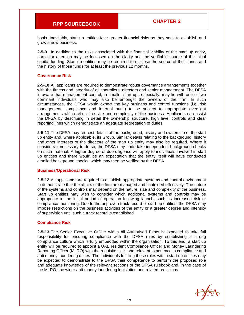basis. Inevitably, start up entities face greater financial risks as they seek to establish and grow a new business.

**2-5-9** In addition to the risks associated with the financial viability of the start up entity, particular attention may be focussed on the clarity and the verifiable source of the initial capital funding. Start up entities may be required to disclose the source of their funds and the history of those funds for at least the previous 12 months.

#### **Governance Risk**

**2-5-10** All applicants are required to demonstrate robust governance arrangements together with the fitness and integrity of all controllers, directors and senior management. The DFSA is aware that management control, in smaller start ups especially, may lie with one or two dominant individuals who may also be amongst the owners of the firm. In such circumstances, the DFSA would expect the key business and control functions (i.e. risk management, compliance and internal audit) to be subject to appropriate oversight arrangements which reflect the size and complexity of the business. Applicants can assist the DFSA by describing in detail the ownership structure, high level controls and clear reporting lines which demonstrate an adequate segregation of duties.

**2-5-11** The DFSA may request details of the background, history and ownership of the start up entity and, where applicable, its Group. Similar details relating to the background, history and other interests of the directors of the start up entity may also be required. Where it considers it necessary to do so, the DFSA may undertake independent background checks on such material. A higher degree of due diligence will apply to individuals involved in start up entities and there would be an expectation that the entity itself will have conducted detailed background checks, which may then be verified by the DFSA.

#### **Business/Operational Risk**

**2-5-12** All applicants are required to establish appropriate systems and control environment to demonstrate that the affairs of the firm are managed and controlled effectively. The nature of the systems and controls may depend on the nature, size and complexity of the business. Start up entities may wish to consider which additional systems and controls may be appropriate in the initial period of operation following launch, such as increased risk or compliance monitoring. Due to the unproven track record of start up entities, the DFSA may impose restrictions on the business activities of the entity or a greater degree and intensity of supervision until such a track record is established.

#### **Compliance Risk**

**2-5-13** The Senior Executive Officer within all Authorised Firms is expected to take full responsibility for ensuring compliance with the DFSA rules by establishing a strong compliance culture which is fully embedded within the organisation. To this end, a start up entity will be required to appoint a UAE resident Compliance Officer and Money Laundering Reporting Officer (MLRO) with the requisite skills and relevant experience in compliance and anti money laundering duties. The individuals fulfilling these roles within start up entities may be expected to demonstrate to the DFSA their competence to perform the proposed role and adequate knowledge of the relevant sections of the DFSA rulebook and, in the case of the MLRO, the wider anti-money laundering legislation and related provisions.

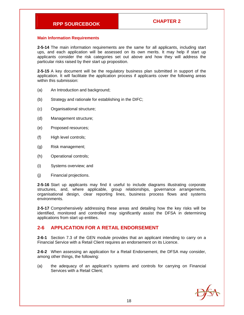#### **Main Information Requirements**

**2-5-14** The main information requirements are the same for all applicants, including start ups, and each application will be assessed on its own merits. It may help if start up applicants consider the risk categories set out above and how they will address the particular risks raised by their start up proposition.

**2-5-15** A key document will be the regulatory business plan submitted in support of the application. It will facilitate the application process if applicants cover the following areas within this submission:

- (a) An Introduction and background;
- (b) Strategy and rationale for establishing in the DIFC;
- (c) Organisational structure;
- (d) Management structure;
- (e) Proposed resources;
- (f) High level controls;
- (g) Risk management;
- (h) Operational controls;
- (i) Systems overview; and
- (j) Financial projections.

**2-5-16** Start up applicants may find it useful to include diagrams illustrating corporate structures, and, where applicable, group relationships, governance arrangements, organisational design, clear reporting lines, business process flows and systems environments.

**2-5-17** Comprehensively addressing these areas and detailing how the key risks will be identified, monitored and controlled may significantly assist the DFSA in determining applications from start up entities.

#### **2-6 APPLICATION FOR A RETAIL ENDORSEMENT**

**2-6-1** Section 7.3 of the GEN module provides that an applicant intending to carry on a Financial Service with a Retail Client requires an endorsement on its Licence.

**2-6-2** When assessing an application for a Retail Endorsement, the DFSA may consider, among other things, the following:

(a) the adequacy of an applicant's systems and controls for carrying on Financial Services with a Retail Client;

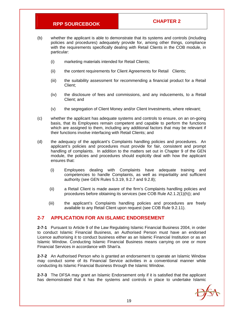- (b) whether the applicant is able to demonstrate that its systems and controls (including policies and procedures) adequately provide for, among other things, compliance with the requirements specifically dealing with Retail Clients in the COB module, in particular:
	- (i) marketing materials intended for Retail Clients;
	- (ii) the content requirements for Client Agreements for Retail Clients;
	- (iii) the suitability assessment for recommending a financial product for a Retail Client;
	- (iv) the disclosure of fees and commissions, and any inducements, to a Retail Client; and
	- (v) the segregation of Client Money and/or Client Investments, where relevant;
- (c) whether the applicant has adequate systems and controls to ensure, on an on-going basis, that its Employees remain competent and capable to perform the functions which are assigned to them, including any additional factors that may be relevant if their functions involve interfacing with Retail Clients; and
- (d) the adequacy of the applicant's Complaints handling policies and procedures. An applicant's policies and procedures must provide for fair, consistent and prompt handling of complaints. In addition to the matters set out in Chapter 9 of the GEN module, the policies and procedures should explicitly deal with how the applicant ensures that:
	- (i) Employees dealing with Complaints have adequate training and competencies to handle Complaints, as well as impartiality and sufficient authority (see GEN Rules 5.3.19, 9.2.7 and 9.2.8);
	- (ii) a Retail Client is made aware of the firm's Complaints handling policies and procedures before obtaining its services (see COB Rule A2.1.2(1)(h)); and
	- (iii) the applicant's Complaints handling policies and procedures are freely available to any Retail Client upon request (see COB Rule 9.2.11).

#### **2-7 APPLICATION FOR AN ISLAMIC ENDORSEMENT**

**2-7-1** Pursuant to Article 9 of the Law Regulating Islamic Financial Business 2004, in order to conduct Islamic Financial Business, an Authorised Person must have an endorsed Licence authorising it to conduct business either as an Islamic Financial Institution or as an Islamic Window. Conducting Islamic Financial Business means carrying on one or more Financial Services in accordance with Shari'a.

**2-7-2** An Authorised Person who is granted an endorsement to operate an Islamic Window may conduct some of its Financial Service activities in a conventional manner while conducting its Islamic Financial Business through the Islamic Window.

**2-7-3** The DFSA may grant an Islamic Endorsement only if it is satisfied that the applicant has demonstrated that it has the systems and controls in place to undertake Islamic

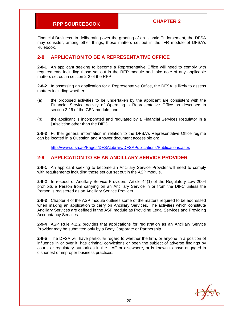Financial Business. In deliberating over the granting of an Islamic Endorsement, the DFSA may consider, among other things, those matters set out in the IFR module of DFSA's Rulebook.

### **2-8 APPLICATION TO BE A REPRESENTATIVE OFFICE**

**2-8-1** An applicant seeking to become a Representative Office will need to comply with requirements including those set out in the REP module and take note of any applicable matters set out in section 2-2 of the RPP.

**2-8-2** In assessing an application for a Representative Office, the DFSA is likely to assess matters including whether:

- (a) the proposed activities to be undertaken by the applicant are consistent with the Financial Service activity of Operating a Representative Office as described in section 2.26 of the GEN module; and
- (b) the applicant is incorporated and regulated by a Financial Services Regulator in a jurisdiction other than the DIFC.

**2-8-3** Further general information in relation to the DFSA's Representative Office regime can be located in a Question and Answer document accessible on:

http://www.dfsa.ae/Pages/DFSALibrary/DFSAPublications/Publications.aspx

### **2-9 APPLICATION TO BE AN ANCILLARY SERVICE PROVIDER**

**2-9-1** An applicant seeking to become an Ancillary Service Provider will need to comply with requirements including those set out set out in the ASP module.

**2-9-2** In respect of Ancillary Service Providers, Article 44(1) of the Regulatory Law 2004 prohibits a Person from carrying on an Ancillary Service in or from the DIFC unless the Person is registered as an Ancillary Service Provider.

**2-9-3** Chapter 4 of the ASP module outlines some of the matters required to be addressed when making an application to carry on Ancillary Services. The activities which constitute Ancillary Services are defined in the ASP module as Providing Legal Services and Providing Accountancy Services.

**2-9-4** ASP Rule 4.2.2 provides that applications for registration as an Ancillary Service Provider may be submitted only by a Body Corporate or Partnership.

**2-9-5** The DFSA will have particular regard to whether the firm, or anyone in a position of influence in or over it, has criminal convictions or been the subject of adverse findings by courts or regulatory authorities in the UAE or elsewhere, or is known to have engaged in dishonest or improper business practices.

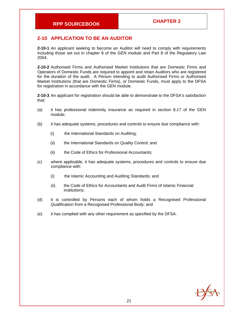#### **2-10 APPLICATION TO BE AN AUDITOR**

**2-10-1** An applicant seeking to become an Auditor will need to comply with requirements including those set out in chapter 8 of the GEN module and Part 8 of the Regulatory Law 2004.

**2-10-2** Authorised Firms and Authorised Market Institutions that are Domestic Firms and Operators of Domestic Funds are required to appoint and retain Auditors who are registered for the duration of the audit. A Person intending to audit Authorised Firms or Authorised Market Institutions (that are Domestic Firms), or Domestic Funds, must apply to the DFSA for registration in accordance with the GEN module.

**2-10-3** An applicant for registration should be able to demonstrate to the DFSA's satisfaction that:

- (a) it has professional indemnity insurance as required in section 8.17 of the GEN module;
- (b) it has adequate systems, procedures and controls to ensure due compliance with:
	- (i) the International Standards on Auditing;
	- (ii) the International Standards on Quality Control; and
	- (ii) the Code of Ethics for Professional Accountants;
- (c) where applicable, it has adequate systems, procedures and controls to ensure due compliance with:
	- (i) the Islamic Accounting and Auditing Standards; and
	- (ii) the Code of Ethics for Accountants and Audit Firms of Islamic Financial Institutions;
- (d) it is controlled by Persons each of whom holds a Recognised Professional Qualification from a Recognised Professional Body; and
- (e) it has complied with any other requirement as specified by the DFSA.

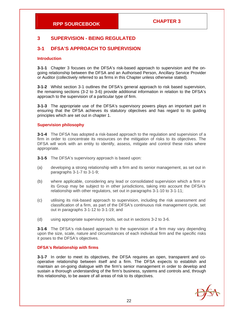### **3 SUPERVISION - BEING REGULATED**

### **3-1 DFSA'S APPROACH TO SUPERVISION**

#### **Introduction**

**3-1-1** Chapter 3 focuses on the DFSA's risk-based approach to supervision and the ongoing relationship between the DFSA and an Authorised Person, Ancillary Service Provider or Auditor (collectively referred to as firms in this Chapter unless otherwise stated).

**3-1-2** Whilst section 3-1 outlines the DFSA's general approach to risk based supervision, the remaining sections (3-2 to 3-6) provide additional information in relation to the DFSA's approach to the supervision of a particular type of firm.

**3-1-3** The appropriate use of the DFSA's supervisory powers plays an important part in ensuring that the DFSA achieves its statutory objectives and has regard to its guiding principles which are set out in chapter 1.

#### **Supervision philosophy**

**3-1-4** The DFSA has adopted a risk-based approach to the regulation and supervision of a firm in order to concentrate its resources on the mitigation of risks to its objectives. The DFSA will work with an entity to identify, assess, mitigate and control these risks where appropriate.

**3-1-5** The DFSA's supervisory approach is based upon:

- (a) developing a strong relationship with a firm and its senior management, as set out in paragraphs 3-1-7 to 3-1-9;
- (b) where applicable, considering any lead or consolidated supervision which a firm or its Group may be subject to in other jurisdictions, taking into account the DFSA's relationship with other regulators, set out in paragraphs 3-1-10 to 3-1-11;
- (c) utilising its risk-based approach to supervision, including the risk assessment and classification of a firm, as part of the DFSA's continuous risk management cycle, set out in paragraphs 3-1-12 to 3-1-19; and
- (d) using appropriate supervisory tools, set out in sections 3-2 to 3-6.

**3-1-6** The DFSA's risk-based approach to the supervision of a firm may vary depending upon the size, scale, nature and circumstances of each individual firm and the specific risks it poses to the DFSA's objectives.

#### **DFSA's Relationship with firms**

**3-1-7** In order to meet its objectives, the DFSA requires an open, transparent and cooperative relationship between itself and a firm. The DFSA expects to establish and maintain an on-going dialogue with the firm's senior management in order to develop and sustain a thorough understanding of the firm's business, systems and controls and, through this relationship, to be aware of all areas of risk to its objectives.

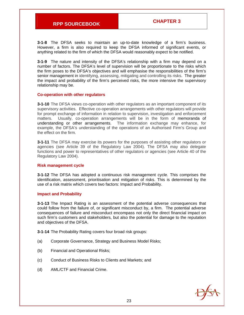**3-1-8** The DFSA seeks to maintain an up-to-date knowledge of a firm's business. However, a firm is also required to keep the DFSA informed of significant events, or anything related to the firm of which the DFSA would reasonably expect to be notified.

**3-1-9** The nature and intensity of the DFSA's relationship with a firm may depend on a number of factors. The DFSA's level of supervision will be proportionate to the risks which the firm poses to the DFSA's objectives and will emphasise the responsibilities of the firm's senior management in identifying, assessing, mitigating and controlling its risks. The greater the impact and probability of the firm's perceived risks, the more intensive the supervisory relationship may be.

#### **Co-operation with other regulators**

**3-1-10** The DFSA views co-operation with other regulators as an important component of its supervisory activities. Effective co-operation arrangements with other regulators will provide for prompt exchange of information in relation to supervision, investigation and enforcement matters. Usually, co-operation arrangements will be in the form of memoranda of understanding or other arrangements. The information exchange may enhance, for example, the DFSA's understanding of the operations of an Authorised Firm's Group and the effect on the firm.

**3-1-11** The DFSA may exercise its powers for the purposes of assisting other regulators or agencies (see Article 39 of the Regulatory Law 2004). The DFSA may also delegate functions and power to representatives of other regulators or agencies (see Article 40 of the Regulatory Law 2004).

#### **Risk management cycle**

**3-1-12** The DFSA has adopted a continuous risk management cycle. This comprises the identification, assessment, prioritisation and mitigation of risks. This is determined by the use of a risk matrix which covers two factors: Impact and Probability.

#### **Impact and Probability**

**3-1-13** The Impact Rating is an assessment of the potential adverse consequences that could follow from the failure of, or significant misconduct by, a firm. The potential adverse consequences of failure and misconduct encompass not only the direct financial impact on such firm's customers and stakeholders, but also the potential for damage to the reputation and objectives of the DFSA.

**3-1-14** The Probability Rating covers four broad risk groups:

- (a) Corporate Governance, Strategy and Business Model Risks;
- (b) Financial and Operational Risks;
- (c) Conduct of Business Risks to Clients and Markets; and
- (d) AML/CTF and Financial Crime.

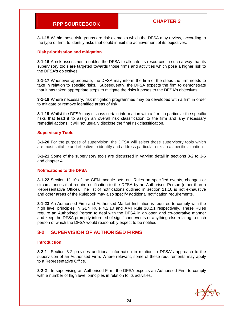**3-1-15** Within these risk groups are risk elements which the DFSA may review, according to the type of firm, to identify risks that could inhibit the achievement of its objectives.

#### **Risk prioritisation and mitigation**

**3-1-16** A risk assessment enables the DFSA to allocate its resources in such a way that its supervisory tools are targeted towards those firms and activities which pose a higher risk to the DFSA's objectives.

**3-1-17** Whenever appropriate, the DFSA may inform the firm of the steps the firm needs to take in relation to specific risks. Subsequently, the DFSA expects the firm to demonstrate that it has taken appropriate steps to mitigate the risks it poses to the DFSA's objectives.

**3-1-18** Where necessary, risk mitigation programmes may be developed with a firm in order to mitigate or remove identified areas of risk.

**3-1-19** Whilst the DFSA may discuss certain information with a firm, in particular the specific risks that lead it to assign an overall risk classification to the firm and any necessary remedial actions, it will not usually disclose the final risk classification.

#### **Supervisory Tools**

**3-1-20** For the purpose of supervision, the DFSA will select those supervisory tools which are most suitable and effective to identify and address particular risks in a specific situation.

**3-1-21** Some of the supervisory tools are discussed in varying detail in sections 3-2 to 3-6 and chapter 4.

#### **Notifications to the DFSA**

**3-1-22** Section 11.10 of the GEN module sets out Rules on specified events, changes or circumstances that require notification to the DFSA by an Authorised Person (other than a Representative Office). The list of notifications outlined in section 11.10 is not exhaustive and other areas of the Rulebook may also specify additional notification requirements.

**3-1-23** An Authorised Firm and Authorised Market Institution is required to comply with the high level principles in GEN Rule 4.2.10 and AMI Rule 10.2.1 respectively. These Rules require an Authorised Person to deal with the DFSA in an open and co-operative manner and keep the DFSA promptly informed of significant events or anything else relating to such person of which the DFSA would reasonably expect to be notified.

#### **3-2 SUPERVISION OF AUTHORISED FIRMS**

#### **Introduction**

**3-2-1** Section 3-2 provides additional information in relation to DFSA's approach to the supervision of an Authorised Firm. Where relevant, some of these requirements may apply to a Representative Office.

**3-2-2** In supervising an Authorised Firm, the DFSA expects an Authorised Firm to comply with a number of high level principles in relation to its activities.

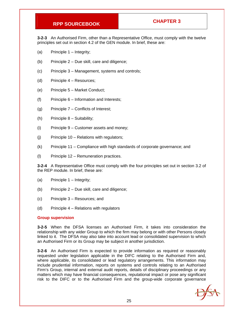**3-2-3** An Authorised Firm, other than a Representative Office, must comply with the twelve principles set out in section 4.2 of the GEN module. In brief, these are:

- (a) Principle 1 Integrity;
- (b) Principle  $2 Due skill$ , care and diligence;
- (c) Principle 3 Management, systems and controls;
- (d) Principle 4 Resources;
- (e) Principle 5 Market Conduct;
- $(f)$  Principle  $6 -$  Information and Interests;
- (g) Principle 7 Conflicts of Interest;
- (h) Principle 8 Suitability;
- (i) Principle 9 Customer assets and money;
- (j) Principle 10 Relations with regulators;
- (k) Principle 11 Compliance with high standards of corporate governance; and
- (l) Principle 12 Remuneration practices.

**3-2-4** A Representative Office must comply with the four principles set out in section 3.2 of the REP module. In brief, these are:

- (a) Principle 1 Integrity;
- (b) Principle 2 Due skill, care and diligence;
- (c) Principle 3 Resources; and
- (d) Principle 4 Relations with regulators

#### **Group supervision**

**3-2-5** When the DFSA licenses an Authorised Firm, it takes into consideration the relationship with any wider Group to which the firm may belong or with other Persons closely linked to it. The DFSA may also take into account lead or consolidated supervision to which an Authorised Firm or its Group may be subject in another jurisdiction.

**3-2-6** An Authorised Firm is expected to provide information as required or reasonably requested under legislation applicable in the DIFC relating to the Authorised Firm and, where applicable, its consolidated or lead regulatory arrangements. This information may include prudential information, reports on systems and controls relating to an Authorised Firm's Group, internal and external audit reports, details of disciplinary proceedings or any matters which may have financial consequences, reputational impact or pose any significant risk to the DIFC or to the Authorised Firm and the group-wide corporate governance

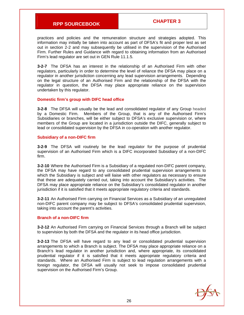practices and policies and the remuneration structure and strategies adopted. This information may initially be taken into account as part of DFSA's fit and proper test as set out in section 2-2 and may subsequently be utilised in the supervision of the Authorised Firm. Further Rules and Guidance with regard to obtaining information from an Authorised Firm's lead regulator are set out in GEN Rule 11.1.5.

**3-2-7** The DFSA has an interest in the relationship of an Authorised Firm with other regulators, particularly in order to determine the level of reliance the DFSA may place on a regulator in another jurisdiction concerning any lead supervision arrangements. Depending on the legal structure of an Authorised Firm and the relationship of the DFSA with the regulator in question, the DFSA may place appropriate reliance on the supervision undertaken by this regulator.

#### **Domestic firm's group with DIFC head office**

**3-2-8** The DFSA will usually be the lead and consolidated regulator of any Group headed by a Domestic Firm. Members of the Group, that is any of the Authorised Firm's Subsidiaries or branches, will be either subject to DFSA's exclusive supervision or, where members of the Group are located in a jurisdiction outside the DIFC, generally subject to lead or consolidated supervision by the DFSA in co-operation with another regulator.

#### **Subsidiary of a non-DIFC firm**

**3-2-9** The DFSA will routinely be the lead regulator for the purpose of prudential supervision of an Authorised Firm which is a DIFC incorporated Subsidiary of a non-DIFC firm.

**3-2-10** Where the Authorised Firm is a Subsidiary of a regulated non-DIFC parent company, the DFSA may have regard to any consolidated prudential supervision arrangements to which the Subsidiary is subject and will liaise with other regulators as necessary to ensure that these are adequately carried out, taking into account the Subsidiary's activities. The DFSA may place appropriate reliance on the Subsidiary's consolidated regulator in another jurisdiction if it is satisfied that it meets appropriate regulatory criteria and standards.

**3-2-11** An Authorised Firm carrying on Financial Services as a Subsidiary of an unregulated non-DIFC parent company may be subject to DFSA's consolidated prudential supervision, taking into account the parent's activities.

#### **Branch of a non-DIFC firm**

**3-2-12** An Authorised Firm carrying on Financial Services through a Branch will be subject to supervision by both the DFSA and the regulator in its head office jurisdiction.

**3-2-13** The DFSA will have regard to any lead or consolidated prudential supervision arrangements to which a Branch is subject. The DFSA may place appropriate reliance on a Branch's lead regulator in another jurisdiction and, where appropriate, its consolidated prudential regulator if it is satisfied that it meets appropriate regulatory criteria and standards. Where an Authorised Firm is subject to lead regulation arrangements with a foreign regulator, the DFSA will usually not seek to impose consolidated prudential supervision on the Authorised Firm's Group.

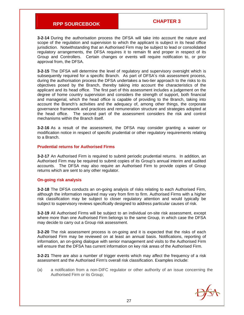**3-2-14** During the authorisation process the DFSA will take into account the nature and scope of the regulation and supervision to which the applicant is subject in its head office jurisdiction. Notwithstanding that an Authorised Firm may be subject to lead or consolidated regulatory arrangements, the DFSA requires it to remain fit and proper in respect of its Group and Controllers. Certain changes or events will require notification to, or prior approval from, the DFSA.

**3-2-15** The DFSA will determine the level of regulatory and supervisory oversight which is subsequently required for a specific Branch. As part of DFSA's risk assessment process, during the authorisation process the DFSA undertakes a two-tier approach to the risks to its objectives posed by the Branch, thereby taking into account the characteristics of the applicant and its head office. The first part of this assessment includes a judgement on the degree of home country supervision and considers the strength of support, both financial and managerial, which the head office is capable of providing to the Branch, taking into account the Branch's activities and the adequacy of, among other things, the corporate governance framework and practices and remuneration structure and strategies adopted at the head office. The second part of the assessment considers the risk and control mechanisms within the Branch itself.

**3-2-16** As a result of the assessment, the DFSA may consider granting a waiver or modification notice in respect of specific prudential or other regulatory requirements relating to a Branch.

#### **Prudential returns for Authorised Firms**

**3-2-17** An Authorised Firm is required to submit periodic prudential returns. In addition, an Authorised Firm may be required to submit copies of its Group's annual interim and audited accounts. The DFSA may also require an Authorised Firm to provide copies of Group returns which are sent to any other regulator.

#### **On-going risk analysis**

**3-2-18** The DFSA conducts an on-going analysis of risks relating to each Authorised Firm, although the information required may vary from firm to firm. Authorised Firms with a higher risk classification may be subject to closer regulatory attention and would typically be subject to supervisory reviews specifically designed to address particular causes of risk.

**3-2-19** All Authorised Firms will be subject to an individual on-site risk assessment, except where more than one Authorised Firm belongs to the same Group, in which case the DFSA may decide to carry out a Group risk assessment.

**3-2-20** The risk assessment process is on-going and it is expected that the risks of each Authorised Firm may be reviewed on at least an annual basis. Notifications, reporting of information, an on-going dialogue with senior management and visits to the Authorised Firm will ensure that the DFSA has current information on key risk areas of the Authorised Firm.

**3-2-21** There are also a number of trigger events which may affect the frequency of a risk assessment and the Authorised Firm's overall risk classification. Examples include:

(a) a notification from a non-DIFC regulator or other authority of an issue concerning the Authorised Firm or its Group;

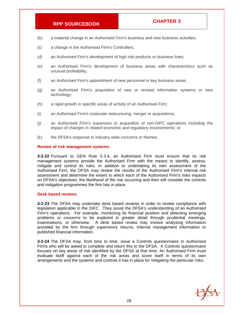- (b) a material change in an Authorised Firm's business and new business activities;
- (c) a change in the Authorised Firm's Controllers;
- (d) an Authorised Firm's development of high risk products or business lines;
- (e) an Authorised Firm's development of business areas with characteristics such as unusual profitability;
- (f) an Authorised Firm's appointment of new personnel in key business areas;
- (g) an Authorised Firm's acquisition of new or revised information systems or new technology;
- (h) a rapid growth in specific areas of activity of an Authorised Firm;
- (i) an Authorised Firm's corporate restructuring, merger or acquisitions;
- (j) an Authorised Firm's expansion or acquisition of non-DIFC operations including the impact of changes in related economic and regulatory environments; or
- (k) the DFSA's response to industry-wide concerns or themes.

#### **Review of risk management systems**

**3-2-22** Pursuant to GEN Rule 5.3.4, an Authorised Firm must ensure that its risk management systems provide the Authorised Firm with the means to identify, assess, mitigate and control its risks. In addition to undertaking its own assessment of the Authorised Firm, the DFSA may review the results of the Authorised Firm's internal risk assessment and determine the extent to which each of the Authorised Firm's risks impacts on DFSA's objectives, the likelihood of the risk occurring and then will consider the controls and mitigation programmes the firm has in place.

#### **Desk based reviews**

**3-2-23** The DFSA may undertake desk based reviews in order to review compliance with legislation applicable in the DIFC. They assist the DFSA's understanding of an Authorised Firm's operations. For example, monitoring its financial position and detecting emerging problems or concerns to be explored in greater detail through prudential meetings, examinations, or otherwise. A desk based review may involve analysing information provided by the firm through supervisory returns, internal management information or published financial information.

**3-2-24** The DFSA may, from time to time, issue a Controls questionnaire to Authorised Firms who will be asked to complete and return this to the DFSA. A Controls questionnaire focuses on key areas of risk identified by the DFSA at that time. An Authorised Firm must evaluate itself against each of the risk areas and score itself in terms of its own arrangements and the systems and controls it has in place for mitigating the particular risks.

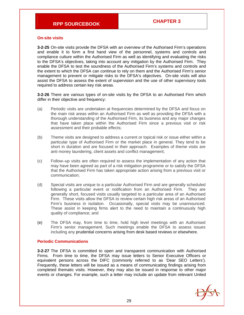#### **On-site visits**

**3-2-25** On-site visits provide the DFSA with an overview of the Authorised Firm's operations and enable it to form a first hand view of the personnel, systems and controls and compliance culture within the Authorised Firm as well as identifying and evaluating the risks to the DFSA's objectives, taking into account any mitigation by the Authorised Firm. They enable the DFSA to test the soundness of the Authorised Firm's systems and controls and the extent to which the DFSA can continue to rely on them and the Authorised Firm's senior management to prevent or mitigate risks to the DFSA's objectives. On-site visits will also assist the DFSA to assess the extent of supervision and the use of other supervisory tools required to address certain key risk areas.

**3-2-26** There are various types of on-site visits by the DFSA to an Authorised Firm which differ in their objective and frequency:

- (a) Periodic visits are undertaken at frequencies determined by the DFSA and focus on the main risk areas within an Authorised Firm as well as providing the DFSA with a thorough understanding of the Authorised Firm, its business and any major changes that have taken place within the Authorised Firm since a previous visit or risk assessment and their probable effects;
- (b) Theme visits are designed to address a current or topical risk or issue either within a particular type of Authorised Firm or the market place in general. They tend to be short in duration and are focused in their approach. Examples of theme visits are anti money laundering, client assets and conflict management;
- (c) Follow–up visits are often required to assess the implementation of any action that may have been agreed as part of a risk mitigation programme or to satisfy the DFSA that the Authorised Firm has taken appropriate action arising from a previous visit or communication;
- (d) Special visits are unique to a particular Authorised Firm and are generally scheduled following a particular event or notification from an Authorised Firm. They are generally short, focused visits usually targeted to a particular area of an Authorised Firm. These visits allow the DFSA to review certain high risk areas of an Authorised Firm's business in isolation. Occasionally, special visits may be unannounced. These assist in keeping firms alert to the need to maintain a continuously high quality of compliance; and
- (e) The DFSA may, from time to time, hold high level meetings with an Authorised Firm's senior management. Such meetings enable the DFSA to assess issues including any prudential concerns arising from desk based reviews or elsewhere.

#### **Periodic Communications**

**3-2-27** The DFSA is committed to open and transparent communication with Authorised Firms. From time to time, the DFSA may issue letters to Senior Executive Officers or equivalent persons across the DIFC (commonly referred to as 'Dear SEO Letters'). Frequently, these letters will be issued as a means of communicating findings arising from completed thematic visits. However, they may also be issued in response to other major events or changes. For example, such a letter may include an update from relevant United

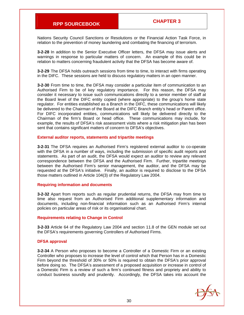Nations Security Council Sanctions or Resolutions or the Financial Action Task Force, in relation to the prevention of money laundering and combating the financing of terrorism.

**3-2-28** In addition to the Senior Executive Officer letters, the DFSA may issue alerts and warnings in response to particular matters of concern. An example of this could be in relation to matters concerning fraudulent activity that the DFSA has become aware of.

**3-2-29** The DFSA holds outreach sessions from time to time, to interact with firms operating in the DIFC. These sessions are held to discuss regulatory matters in an open manner.

**3-2-30** From time to time, the DFSA may consider a particular item of communication to an Authorised Firm to be of key regulatory importance. For this reason, the DFSA may consider it necessary to issue such communications directly to a senior member of staff at the Board level of the DIFC entity copied (where appropriate) to the group's home state regulator. For entities established as a Branch in the DIFC, these communications will likely be delivered to the Chairman of the Board at the DIFC Branch entity's head or Parent office. For DIFC incorporated entities, communications will likely be delivered directly to the Chairman of the firm's Board or head office. These communications may include, for example, the results of DFSA's risk assessment visits where a risk mitigation plan has been sent that contains significant matters of concern to DFSA's objectives.

#### **External auditor reports, statements and tripartite meetings**

**3-2-31** The DFSA requires an Authorised Firm's registered external auditor to co-operate with the DFSA in a number of ways, including the submission of specific audit reports and statements. As part of an audit, the DFSA would expect an auditor to review any relevant correspondence between the DFSA and the Authorised Firm. Further, tripartite meetings between the Authorised Firm's senior management, the auditor, and the DFSA may be requested at the DFSA's initiative. Finally, an auditor is required to disclose to the DFSA those matters outlined in Article 104(3) of the Regulatory Law 2004.

#### **Requiring information and documents**

**3-2-32** Apart from reports such as regular prudential returns, the DFSA may from time to time also request from an Authorised Firm additional supplementary information and documents, including non-financial information such as an Authorised Firm's internal policies on particular areas of risk or its organisational chart.

#### **Requirements relating to Change in Control**

**3-2-33** Article 64 of the Regulatory Law 2004 and section 11.8 of the GEN module set out the DFSA's requirements governing Controllers of Authorised Firms.

#### **DFSA approval**

**3-2-34** A Person who proposes to become a Controller of a Domestic Firm or an existing Controller who proposes to increase the level of control which that Person has in a Domestic Firm beyond the threshold of 30% or 50% is required to obtain the DFSA's prior approval before doing so. The DFSA's assessment of a proposed acquisition or increase in control of a Domestic Firm is a review of such a firm's continued fitness and propriety and ability to conduct business soundly and prudently. Accordingly, the DFSA takes into account the

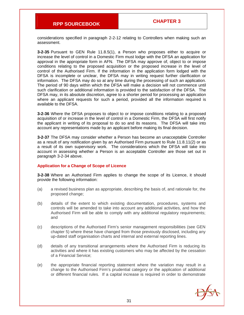considerations specified in paragraph 2-2-12 relating to Controllers when making such an assessment.

**3-2-35** Pursuant to GEN Rule 11.8.5(1), a Person who proposes either to acquire or increase the level of control in a Domestic Firm must lodge with the DFSA an application for approval in the appropriate form in AFN. The DFSA may approve of, object to or impose conditions relating to the proposed acquisition or the proposed increase in the level of control of the Authorised Firm. If the information in the application form lodged with the DFSA is incomplete or unclear, the DFSA may in writing request further clarification or information. The DFSA may do so at any time during the processing of such an application. The period of 90 days within which the DFSA will make a decision will not commence until such clarification or additional information is provided to the satisfaction of the DFSA. The DFSA may, in its absolute discretion, agree to a shorter period for processing an application where an applicant requests for such a period, provided all the information required is available to the DFSA.

**3-2-36** Where the DFSA proposes to object to or impose conditions relating to a proposed acquisition of or increase in the level of control in a Domestic Firm, the DFSA will first notify the applicant in writing of its proposal to do so and its reasons. The DFSA will take into account any representations made by an applicant before making its final decision.

**3-2-37** The DFSA may consider whether a Person has become an unacceptable Controller as a result of any notification given by an Authorised Firm pursuant to Rule 11.8.11(2) or as a result of its own supervisory work. The considerations which the DFSA will take into account in assessing whether a Person is an acceptable Controller are those set out in paragraph 3-2-34 above.

#### **Application for a Change of Scope of Licence**

**3-2-38** Where an Authorised Firm applies to change the scope of its Licence, it should provide the following information:

- (a) a revised business plan as appropriate, describing the basis of, and rationale for, the proposed change;
- (b) details of the extent to which existing documentation, procedures, systems and controls will be amended to take into account any additional activities, and how the Authorised Firm will be able to comply with any additional regulatory requirements; and
- (c) descriptions of the Authorised Firm's senior management responsibilities (see GEN chapter 5) where these have changed from those previously disclosed, including any up-dated staff organisation charts and internal and external reporting lines.
- (d) details of any transitional arrangements where the Authorised Firm is reducing its activities and where it has existing customers who may be affected by the cessation of a Financial Service;
- (e) the appropriate financial reporting statement where the variation may result in a change to the Authorised Firm's prudential category or the application of additional or different financial rules. If a capital increase is required in order to demonstrate

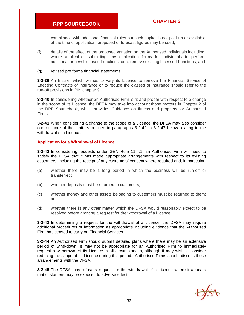compliance with additional financial rules but such capital is not paid up or available at the time of application, proposed or forecast figures may be used;

(f) details of the effect of the proposed variation on the Authorised Individuals including, where applicable, submitting any application forms for individuals to perform additional or new Licensed Functions, or to remove existing Licensed Functions; and

#### (g) revised pro forma financial statements.

**3-2-39** An Insurer which wishes to vary its Licence to remove the Financial Service of Effecting Contracts of Insurance or to reduce the classes of insurance should refer to the run-off provisions in PIN chapter 9.

**3-2-40** In considering whether an Authorised Firm is fit and proper with respect to a change in the scope of its Licence, the DFSA may take into account those matters in Chapter 2 of the RPP Sourcebook, which provides Guidance on fitness and propriety for Authorised Firms.

**3-2-41** When considering a change to the scope of a Licence, the DFSA may also consider one or more of the matters outlined in paragraphs 3-2-42 to 3-2-47 below relating to the withdrawal of a Licence.

#### **Application for a Withdrawal of Licence**

**3-2-42** In considering requests under GEN Rule 11.4.1, an Authorised Firm will need to satisfy the DFSA that it has made appropriate arrangements with respect to its existing customers, including the receipt of any customers' consent where required and, in particular:

- (a) whether there may be a long period in which the business will be run-off or transferred;
- (b) whether deposits must be returned to customers;
- (c) whether money and other assets belonging to customers must be returned to them; and
- (d) whether there is any other matter which the DFSA would reasonably expect to be resolved before granting a request for the withdrawal of a Licence.

**3-2-43** In determining a request for the withdrawal of a Licence, the DFSA may require additional procedures or information as appropriate including evidence that the Authorised Firm has ceased to carry on Financial Services.

**3-2-44** An Authorised Firm should submit detailed plans where there may be an extensive period of wind-down. It may not be appropriate for an Authorised Firm to immediately request a withdrawal of its Licence in all circumstances, although it may wish to consider reducing the scope of its Licence during this period. Authorised Firms should discuss these arrangements with the DFSA.

**3-2-45** The DFSA may refuse a request for the withdrawal of a Licence where it appears that customers may be exposed to adverse effect.

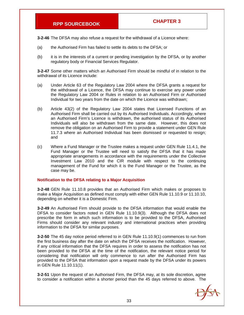**3-2-46** The DFSA may also refuse a request for the withdrawal of a Licence where:

- (a) the Authorised Firm has failed to settle its debts to the DFSA; or
- (b) it is in the interests of a current or pending investigation by the DFSA, or by another regulatory body or Financial Services Regulator.

**3-2-47** Some other matters which an Authorised Firm should be mindful of in relation to the withdrawal of its Licence include:

- (a) Under Article 63 of the Regulatory Law 2004 where the DFSA grants a request for the withdrawal of a Licence, the DFSA may continue to exercise any power under the Regulatory Law 2004 or Rules in relation to an Authorised Firm or Authorised Individual for two years from the date on which the Licence was withdrawn;
- (b) Article 43(2) of the Regulatory Law 2004 states that Licensed Functions of an Authorised Firm shall be carried out by its Authorised Individuals. Accordingly, where an Authorised Firm's Licence is withdrawn, the authorised status of its Authorised Individuals will also be withdrawn from the same date. However, this does not remove the obligation on an Authorised Firm to provide a statement under GEN Rule 11.7.3 where an Authorised Individual has been dismissed or requested to resign; and
- (c) Where a Fund Manager or the Trustee makes a request under GEN Rule 11.4.1, the Fund Manager or the Trustee will need to satisfy the DFSA that it has made appropriate arrangements in accordance with the requirements under the Collective Investment Law 2010 and the CIR module with respect to the continuing management of the Fund for which it is the Fund Manager or the Trustee, as the case may be.

#### **Notification to the DFSA relating to a Major Acquisition**

**3-2-48** GEN Rule 11.10.8 provides that an Authorised Firm which makes or proposes to make a Major Acquisition as defined must comply with either GEN Rule 11.10.9 or 11.10.10, depending on whether it is a Domestic Firm.

**3-2-49** An Authorised Firm should provide to the DFSA information that would enable the DFSA to consider factors noted in GEN Rule 11.10.9(3). Although the DFSA does not prescribe the form in which such information is to be provided to the DFSA, Authorised Firms should consider any relevant industry and international practices when providing information to the DFSA for similar purposes.

**3-2-50** The 45 day notice period referred to in GEN Rule 11.10.9(1) commences to run from the first business day after the date on which the DFSA receives the notification. However, if any critical information that the DFSA requires in order to assess the notification has not been provided to the DFSA at the time of the notification, the relevant notice period for considering that notification will only commence to run after the Authorised Firm has provided to the DFSA that information upon a request made by the DFSA under its powers in GEN Rule 11.10.11(1).

**3-2-51** Upon the request of an Authorised Firm, the DFSA may, at its sole discretion, agree to consider a notification within a shorter period than the 45 days referred to above. The

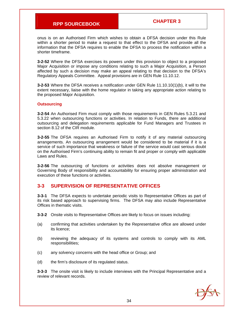onus is on an Authorised Firm which wishes to obtain a DFSA decision under this Rule within a shorter period to make a request to that effect to the DFSA and provide all the information that the DFSA requires to enable the DFSA to process the notification within a shorter timeframe.

**3-2-52** Where the DFSA exercises its powers under this provision to object to a proposed Major Acquisition or impose any conditions relating to such a Major Acquisition, a Person affected by such a decision may make an appeal relating to that decision to the DFSA's Regulatory Appeals Committee. Appeal provisions are in GEN Rule 11.10.12.

**3-2-53** Where the DFSA receives a notification under GEN Rule 11.10.10(1)(b), it will to the extent necessary, liaise with the home regulator in taking any appropriate action relating to the proposed Major Acquisition.

#### **Outsourcing**

**3-2-54** An Authorised Firm must comply with those requirements in GEN Rules 5.3.21 and 5.3.22 when outsourcing functions or activities. In relation to Funds, there are additional outsourcing and delegation requirements applicable for Fund Managers and Trustees in section 8.12 of the CIR module.

**3-2-55** The DFSA requires an Authorised Firm to notify it of any material outsourcing arrangements. An outsourcing arrangement would be considered to be material if it is a service of such importance that weakness or failure of the service would cast serious doubt on the Authorised Firm's continuing ability to remain fit and proper or comply with applicable Laws and Rules.

**3-2-56** The outsourcing of functions or activities does not absolve management or Governing Body of responsibility and accountability for ensuring proper administration and execution of these functions or activities.

### **3-3 SUPERVISION OF REPRESENTATIVE OFFICES**

**3-3-1** The DFSA expects to undertake periodic visits to Representative Offices as part of its risk based approach to supervising firms. The DFSA may also include Representative Offices in thematic visits.

**3-3-2** Onsite visits to Representative Offices are likely to focus on issues including:

- (a) confirming that activities undertaken by the Representative office are allowed under its licence;
- (b) reviewing the adequacy of its systems and controls to comply with its AML responsibilities;
- (c) any solvency concerns with the head office or Group; and
- (d) the firm's disclosure of its regulated status.

**3-3-3** The onsite visit is likely to include interviews with the Principal Representative and a review of relevant records.

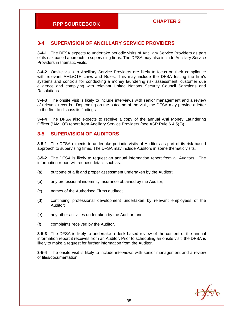## **3-4 SUPERVISION OF ANCILLARY SERVICE PROVIDERS**

**3-4-1** The DFSA expects to undertake periodic visits of Ancillary Service Providers as part of its risk based approach to supervising firms. The DFSA may also include Ancillary Service Providers in thematic visits.

**3-4-2** Onsite visits to Ancillary Service Providers are likely to focus on their compliance with relevant AML/CTF Laws and Rules. This may include the DFSA testing the firm's systems and controls for conducting a money laundering risk assessment, customer due diligence and complying with relevant United Nations Security Council Sanctions and Resolutions.

**3-4-3** The onsite visit is likely to include interviews with senior management and a review of relevant records. Depending on the outcome of the visit, the DFSA may provide a letter to the firm to discuss its findings.

**3-4-4** The DFSA also expects to receive a copy of the annual Anti Money Laundering Officer ("AMLO") report from Ancillary Service Providers (see ASP Rule 6.4.5(2)).

### **3-5 SUPERVISION OF AUDITORS**

**3-5-1** The DFSA expects to undertake periodic visits of Auditors as part of its risk based approach to supervising firms. The DFSA may include Auditors in some thematic visits.

**3-5-2** The DFSA is likely to request an annual information report from all Auditors. The information report will request details such as:

- (a) outcome of a fit and proper assessment undertaken by the Auditor;
- (b) any professional indemnity insurance obtained by the Auditor;
- (c) names of the Authorised Firms audited;
- (d) continuing professional development undertaken by relevant employees of the Auditor;
- (e) any other activities undertaken by the Auditor; and
- (f) complaints received by the Auditor.

**3-5-3** The DFSA is likely to undertake a desk based review of the content of the annual information report it receives from an Auditor. Prior to scheduling an onsite visit, the DFSA is likely to make a request for further information from the Auditor.

**3-5-4** The onsite visit is likely to include interviews with senior management and a review of files/documentation.

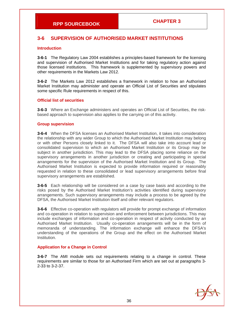# **3-6 SUPERVISION OF AUTHORISED MARKET INSTITUTIONS**

#### **Introduction**

**3-6-1** The Regulatory Law 2004 establishes a principles-based framework for the licensing and supervision of Authorised Market Institutions and for taking regulatory action against those licensed institutions. This framework is supplemented by supervisory powers and other requirements in the Markets Law 2012.

**3-6-2** The Markets Law 2012 establishes a framework in relation to how an Authorised Market Institution may administer and operate an Official List of Securities and stipulates some specific Rule requirements in respect of this.

#### **Official list of securities**

**3-6-3** Where an Exchange administers and operates an Official List of Securities, the riskbased approach to supervision also applies to the carrying on of this activity.

#### **Group supervision**

**3-6-4** When the DFSA licenses an Authorised Market Institution, it takes into consideration the relationship with any wider Group to which the Authorised Market Institution may belong or with other Persons closely linked to it. The DFSA will also take into account lead or consolidated supervision to which an Authorised Market Institution or its Group may be subject in another jurisdiction. This may lead to the DFSA placing some reliance on the supervisory arrangements in another jurisdiction or creating and participating in special arrangements for the supervision of the Authorised Market Institution and its Group. The Authorised Market Institution is expected to provide information required or reasonably requested in relation to these consolidated or lead supervisory arrangements before final supervisory arrangements are established.

**3-6-5** Each relationship will be considered on a case by case basis and according to the risks posed by the Authorised Market Institution's activities identified during supervisory arrangements. Such supervisory arrangements may include a process to be agreed by the DFSA, the Authorised Market Institution itself and other relevant regulators.

**3-6-6** Effective co-operation with regulators will provide for prompt exchange of information and co-operation in relation to supervision and enforcement between jurisdictions. This may include exchanges of information and co-operation in respect of activity conducted by an Authorised Market Institution. Usually co-operation arrangements will be in the form of memoranda of understanding. The information exchange will enhance the DFSA's understanding of the operations of the Group and the effect on the Authorised Market Institution.

#### **Application for a Change in Control**

**3-6-7** The AMI module sets out requirements relating to a change in control. These requirements are similar to those for an Authorised Firm which are set out at paragraphs 3- 2-33 to 3-2-37.

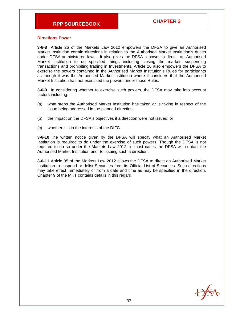#### **Directions Power**

**3-6-8** Article 26 of the Markets Law 2012 empowers the DFSA to give an Authorised Market Institution certain directions in relation to the Authorised Market Institution's duties under DFSA-administered laws. It also gives the DFSA a power to direct an Authorised Market Institution to do specified things including closing the market, suspending transactions and prohibiting trading in Investments. Article 26 also empowers the DFSA to exercise the powers contained in the Authorised Market Institution's Rules for participants as though it was the Authorised Market Institution where it considers that the Authorised Market Institution has not exercised the powers under those Rules.

**3-6-9** In considering whether to exercise such powers, the DFSA may take into account factors including:

- (a) what steps the Authorised Market Institution has taken or is taking in respect of the issue being addressed in the planned direction;
- (b) the impact on the DFSA's objectives if a direction were not issued; or
- (c) whether it is in the interests of the DIFC.

**3-6-10** The written notice given by the DFSA will specify what an Authorised Market Institution is required to do under the exercise of such powers. Though the DFSA is not required to do so under the Markets Law 2012, in most cases the DFSA will contact the Authorised Market Institution prior to issuing such a direction.

**3-6-11** Article 35 of the Markets Law 2012 allows the DFSA to direct an Authorised Market Institution to suspend or delist Securities from its Official List of Securities. Such directions may take effect immediately or from a date and time as may be specified in the direction. Chapter 9 of the MKT contains details in this regard.

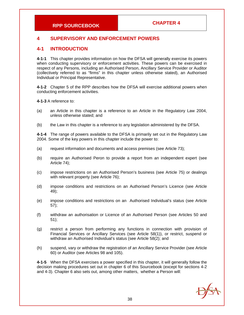# **4 SUPERVISORY AND ENFORCEMENT POWERS**

### **4-1 INTRODUCTION**

**4-1-1** This chapter provides information on how the DFSA will generally exercise its powers when conducting supervisory or enforcement activities. These powers can be exercised in respect of any Persons, including an Authorised Person, Ancillary Service Provider or Auditor (collectively referred to as "firms" in this chapter unless otherwise stated), an Authorised Individual or Principal Representative.

**4-1-2** Chapter 5 of the RPP describes how the DFSA will exercise additional powers when conducting enforcement activities.

**4-1-3** A reference to:

- (a) an Article in this chapter is a reference to an Article in the Regulatory Law 2004, unless otherwise stated; and
- (b) the Law in this chapter is a reference to any legislation administered by the DFSA.

**4-1-4** The range of powers available to the DFSA is primarily set out in the Regulatory Law 2004. Some of the key powers in this chapter include the power to:

- (a) request information and documents and access premises (see Article 73);
- (b) require an Authorised Peron to provide a report from an independent expert (see Article 74);
- (c) impose restrictions on an Authorised Person's business (see Article 75) or dealings with relevant property (see Article 76);
- (d) impose conditions and restrictions on an Authorised Person's Licence (see Article 49);
- (e) impose conditions and restrictions on an Authorised Individual's status (see Article 57);
- (f) withdraw an authorisation or Licence of an Authorised Person (see Articles 50 and 51);
- (g) restrict a person from performing any functions in connection with provision of Financial Services or Ancillary Services (see Article 58(1)), or restrict, suspend or withdraw an Authorised Individual's status (see Article 58(2); and
- (h) suspend, vary or withdraw the registration of an Ancillary Service Provider (see Article 60) or Auditor (see Articles 98 and 105).

**4-1-5** When the DFSA exercises a power specified in this chapter, it will generally follow the decision making procedures set out in chapter 6 of this Sourcebook (except for sections 4-2 and 4-3). Chapter 6 also sets out, among other matters, whether a Person will:

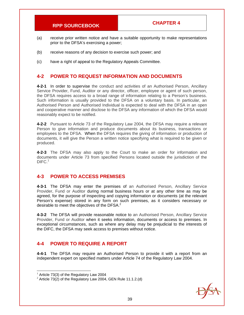- (a) receive prior written notice and have a suitable opportunity to make representations prior to the DFSA's exercising a power;
- (b) receive reasons of any decision to exercise such power; and
- (c) have a right of appeal to the Regulatory Appeals Committee.

## **4-2 POWER TO REQUEST INFORMATION AND DOCUMENTS**

**4-2-1** In order to supervise the conduct and activities of an Authorised Person, Ancillary Service Provider, Fund, Auditor or any director, officer, employee or agent of such person, the DFSA requires access to a broad range of information relating to a Person's business. Such information is usually provided to the DFSA on a voluntary basis. In particular, an Authorised Person and Authorised Individual is expected to deal with the DFSA in an open and cooperative manner and disclose to the DFSA any information of which the DFSA would reasonably expect to be notified.

**4-2-2** Pursuant to Article 73 of the Regulatory Law 2004, the DFSA may require a relevant Person to give information and produce documents about its business, transactions or employees to the DFSA. When the DFSA requires the giving of information or production of documents, it will give the Person a written notice specifying what is required to be given or produced.

**4-2-3** The DFSA may also apply to the Court to make an order for information and documents under Article 73 from specified Persons located outside the jurisdiction of the  $DIFC.<sup>1</sup>$ 

### **4-3 POWER TO ACCESS PREMISES**

**4-3-1** The DFSA may enter the premises of an Authorised Person, Ancillary Service Provider, Fund or Auditor during normal business hours or at any other time as may be agreed, for the purpose of inspecting and copying information or documents (at the relevant Person's expense) stored in any form on such premises, as it considers necessary or desirable to meet the objectives of the DFSA.<sup>2</sup>

**4-3-2** The DFSA will provide reasonable notice to an Authorised Person, Ancillary Service Provider, Fund or Auditor when it seeks information, documents or access to premises. In exceptional circumstances, such as where any delay may be prejudicial to the interests of the DIFC, the DFSA may seek access to premises without notice.

### **4-4 POWER TO REQUIRE A REPORT**

**4-4-1** The DFSA may require an Authorised Person to provide it with a report from an independent expert on specified matters under Article 74 of the Regulatory Law 2004.

1



 $1$  Article 73(3) of the Regulatory Law 2004

 $2$  Article 73(2) of the Regulatory Law 2004, GEN Rule 11.1.2.(d)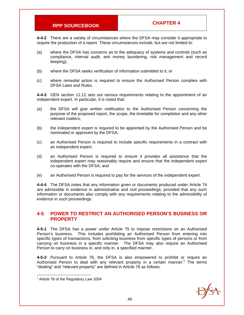**4-4-2** There are a variety of circumstances where the DFSA may consider it appropriate to require the production of a report. These circumstances include, but are not limited to:

- (a) where the DFSA has concerns as to the adequacy of systems and controls (such as compliance, internal audit, anti money laundering, risk management and record keeping);
- (b) where the DFSA seeks verification of information submitted to it; or
- (c) where remedial action is required to ensure the Authorised Person complies with DFSA Laws and Rules.

**4-4-3** GEN section 11.12 sets out various requirements relating to the appointment of an independent expert. In particular, it is noted that:

- (a) the DFSA will give written notification to the Authorised Person concerning the purpose of the proposed report, the scope, the timetable for completion and any other relevant matters;
- (b) the independent expert is required to be appointed by the Authorised Person and be nominated or approved by the DFSA;
- (c) an Authorised Person is required to include specific requirements in a contract with an independent expert;
- (d) an Authorised Person is required to ensure it provides all assistance that the independent expert may reasonably require and ensure that the independent expert co-operates with the DFSA; and
- (e) an Authorised Person is required to pay for the services of the independent expert.

**4-4-4** The DFSA notes that any information given or documents produced under Article 74 are admissible in evidence in administrative and civil proceedings, provided that any such information or documents also comply with any requirements relating to the admissibility of evidence in such proceedings.

### **4-5 POWER TO RESTRICT AN AUTHORISED PERSON'S BUSINESS OR PROPERTY**

**4-5-1** The DFSA has a power under Article 75 to impose restrictions on an Authorised Person's business. This includes prohibiting an Authorised Person from entering into specific types of transactions, from soliciting business from specific types of persons or from carrying on business in a specific manner. The DFSA may also require an Authorised Person to carry on business in, and only in, a specified manner.

**4-5-2** Pursuant to Article 76, the DFSA is also empowered to prohibit or require an Authorised Person to deal with any relevant property in a certain manner.<sup>3</sup> The terms "dealing" and "relevant property" are defined in Article 76 as follows:



 3 Article 76 of the Regulatory Law 2004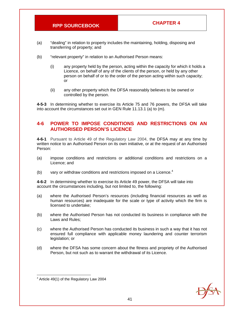- (a) "dealing" in relation to property includes the maintaining, holding, disposing and transferring of property; and
- (b) "relevant property" in relation to an Authorised Person means:
	- (i) any property held by the person, acting within the capacity for which it holds a Licence, on behalf of any of the clients of the person, or held by any other person on behalf of or to the order of the person acting within such capacity; or
	- (ii) any other property which the DFSA reasonably believes to be owned or controlled by the person.

**4-5-3** In determining whether to exercise its Article 75 and 76 powers, the DFSA will take into account the circumstances set out in GEN Rule 11.13.1 (a) to (m).

### **4-6 POWER TO IMPOSE CONDITIONS AND RESTRICTIONS ON AN AUTHORISED PERSON'S LICENCE**

**4-6-1** Pursuant to Article 49 of the Regulatory Law 2004, the DFSA may at any time by written notice to an Authorised Person on its own initiative, or at the request of an Authorised Person:

- (a) impose conditions and restrictions or additional conditions and restrictions on a Licence; and
- (b) vary or withdraw conditions and restrictions imposed on a Licence. $4$

**4-6-2** In determining whether to exercise its Article 49 power, the DFSA will take into account the circumstances including, but not limited to, the following:

- (a) where the Authorised Person's resources (including financial resources as well as human resources) are inadequate for the scale or type of activity which the firm is licensed to undertake;
- (b) where the Authorised Person has not conducted its business in compliance with the Laws and Rules;
- (c) where the Authorised Person has conducted its business in such a way that it has not ensured full compliance with applicable money laundering and counter terrorism legislation; or
- (d) where the DFSA has some concern about the fitness and propriety of the Authorised Person, but not such as to warrant the withdrawal of its Licence.



<sup>1</sup> 4 Article 49(1) of the Regulatory Law 2004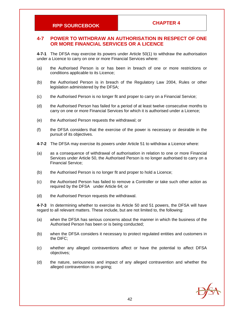### **4-7 POWER TO WITHDRAW AN AUTHORISATION IN RESPECT OF ONE OR MORE FINANCIAL SERVICES OR A LICENCE**

**4-7-1** The DFSA may exercise its powers under Article 50(1) to withdraw the authorisation under a Licence to carry on one or more Financial Services where:

- (a) the Authorised Person is or has been in breach of one or more restrictions or conditions applicable to its Licence;
- (b) the Authorised Person is in breach of the Regulatory Law 2004, Rules or other legislation administered by the DFSA;
- (c) the Authorised Person is no longer fit and proper to carry on a Financial Service;
- (d) the Authorised Person has failed for a period of at least twelve consecutive months to carry on one or more Financial Services for which it is authorised under a Licence;
- (e) the Authorised Person requests the withdrawal; or
- (f) the DFSA considers that the exercise of the power is necessary or desirable in the pursuit of its objectives.
- **4-7-2** The DFSA may exercise its powers under Article 51 to withdraw a Licence where:
- (a) as a consequence of withdrawal of authorisation in relation to one or more Financial Services under Article 50, the Authorised Person is no longer authorised to carry on a Financial Service;
- (b) the Authorised Person is no longer fit and proper to hold a Licence;
- (c) the Authorised Person has failed to remove a Controller or take such other action as required by the DFSA under Article 64; or
- (d) the Authorised Person requests the withdrawal.

**4-7-3** In determining whether to exercise its Article 50 and 51 powers, the DFSA will have regard to all relevant matters. These include, but are not limited to, the following:

- (a) when the DFSA has serious concerns about the manner in which the business of the Authorised Person has been or is being conducted;
- (b) when the DFSA considers it necessary to protect regulated entities and customers in the DIFC;
- (c) whether any alleged contraventions affect or have the potential to affect DFSA objectives;
- (d) the nature, seriousness and impact of any alleged contravention and whether the alleged contravention is on-going;

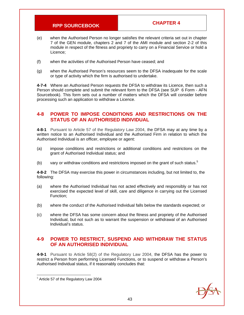- (e) when the Authorised Person no longer satisfies the relevant criteria set out in chapter 7 of the GEN module, chapters 2 and 7 of the AMI module and section 2-2 of this module in respect of the fitness and propriety to carry on a Financial Service or hold a Licence;
- (f) when the activities of the Authorised Person have ceased; and
- (g) when the Authorised Person's resources seem to the DFSA inadequate for the scale or type of activity which the firm is authorised to undertake.

**4-7-4** Where an Authorised Person requests the DFSA to withdraw its Licence, then such a Person should complete and submit the relevant form to the DFSA (see SUP 6 Form - AFN Sourcebook). This form sets out a number of matters which the DFSA will consider before processing such an application to withdraw a Licence.

### **4-8 POWER TO IMPOSE CONDITIONS AND RESTRICTIONS ON THE STATUS OF AN AUTHORISED INDIVIDUAL**

**4-8-1** Pursuant to Article 57 of the Regulatory Law 2004, the DFSA may at any time by a written notice to an Authorised Individual and the Authorised Firm in relation to which the Authorised Individual is an officer, employee or agent:

- (a) impose conditions and restrictions or additional conditions and restrictions on the grant of Authorised Individual status; and
- (b) vary or withdraw conditions and restrictions imposed on the grant of such status. $5$

**4-8-2** The DFSA may exercise this power in circumstances including, but not limited to, the following:

- (a) where the Authorised Individual has not acted effectively and responsibly or has not exercised the expected level of skill, care and diligence in carrying out the Licensed Function;
- (b) where the conduct of the Authorised Individual falls below the standards expected; or
- (c) where the DFSA has some concern about the fitness and propriety of the Authorised Individual, but not such as to warrant the suspension or withdrawal of an Authorised Individual's status.

## **4-9 POWER TO RESTRICT, SUSPEND AND WITHDRAW THE STATUS OF AN AUTHORISED INDIVIDUAL**

**4-9-1** Pursuant to Article 58(2) of the Regulatory Law 2004, the DFSA has the power to restrict a Person from performing Licensed Functions, or to suspend or withdraw a Person's Authorised Individual status, if it reasonably concludes that:



 5 Article 57 of the Regulatory Law 2004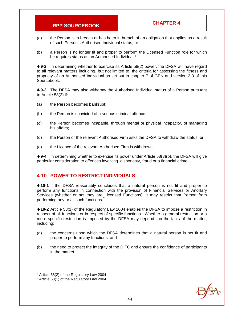- (a) the Person is in breach or has been in breach of an obligation that applies as a result of such Person's Authorised Individual status; or
- (b) a Person is no longer fit and proper to perform the Licensed Function role for which he requires status as an Authorised Individual.<sup>6</sup>

**4-9-2** In determining whether to exercise its Article 58(2) power, the DFSA will have regard to all relevant matters including, but not limited to, the criteria for assessing the fitness and propriety of an Authorised Individual as set out in chapter 7 of GEN and section 2-3 of this Sourcebook.

**4-9-3** The DFSA may also withdraw the Authorised Individual status of a Person pursuant to Article 58(3) if:

- (a) the Person becomes bankrupt;
- (b) the Person is convicted of a serious criminal offence;
- (c) the Person becomes incapable, through mental or physical incapacity, of managing his affairs;
- (d) the Person or the relevant Authorised Firm asks the DFSA to withdraw the status; or
- (e) the Licence of the relevant Authorised Firm is withdrawn.

**4-9-4** In determining whether to exercise its power under Article 58(3)(b), the DFSA will give particular consideration to offences involving dishonesty, fraud or a financial crime.

### **4-10 POWER TO RESTRICT INDIVIDUALS**

**4-10-1** If the DFSA reasonably concludes that a natural person is not fit and proper to perform any functions in connection with the provision of Financial Services or Ancillary Services (whether or not they are Licensed Functions), it may restrict that Person from performing any or all such functions.<sup>7</sup>

**4-10-2** Article 58(1) of the Regulatory Law 2004 enables the DFSA to impose a restriction in respect of all functions or in respect of specific functions. Whether a general restriction or a more specific restriction is imposed by the DFSA may depend on the facts of the matter, including:

- (a) the concerns upon which the DFSA determines that a natural person is not fit and proper to perform any functions; and
- (b) the need to protect the integrity of the DIFC and ensure the confidence of participants in the market.

1



 $6$  Article 58(2) of the Regulatory Law 2004

 $7$  Article 58(1) of the Regulatory Law 2004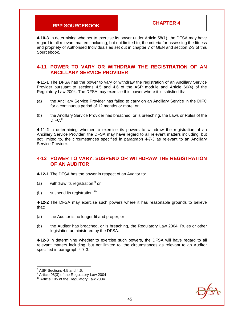**4-10-3** In determining whether to exercise its power under Article 58(1), the DFSA may have regard to all relevant matters including, but not limited to, the criteria for assessing the fitness and propriety of Authorised Individuals as set out in chapter 7 of GEN and section 2-3 of this Sourcebook.

### **4-11 POWER TO VARY OR WITHDRAW THE REGISTRATION OF AN ANCILLARY SERVICE PROVIDER**

**4-11-1** The DFSA has the power to vary or withdraw the registration of an Ancillary Service Provider pursuant to sections 4.5 and 4.6 of the ASP module and Article 60(4) of the Regulatory Law 2004. The DFSA may exercise this power where it is satisfied that:

- (a) the Ancillary Service Provider has failed to carry on an Ancillary Service in the DIFC for a continuous period of 12 months or more; or
- (b) the Ancillary Service Provider has breached, or is breaching, the Laws or Rules of the DIFC.<sup>8</sup>

**4-11-2** In determining whether to exercise its powers to withdraw the registration of an Ancillary Service Provider, the DFSA may have regard to all relevant matters including, but not limited to, the circumstances specified in paragraph 4-7-3 as relevant to an Ancillary Service Provider.

### **4-12 POWER TO VARY, SUSPEND OR WITHDRAW THE REGISTRATION OF AN AUDITOR**

**4-12-1** The DFSA has the power in respect of an Auditor to:

- (a) withdraw its registration; $9$  or
- (b) suspend its registration.<sup>10</sup>

**4-12-2** The DFSA may exercise such powers where it has reasonable grounds to believe that:

- (a) the Auditor is no longer fit and proper; or
- (b) the Auditor has breached, or is breaching, the Regulatory Law 2004, Rules or other legislation administered by the DFSA.

**4-12-3** In determining whether to exercise such powers, the DFSA will have regard to all relevant matters including, but not limited to, the circumstances as relevant to an Auditor specified in paragraph 4-7-3.

1



<sup>8</sup> ASP Sections 4.5 and 4.6.

 $9$  Article 98(3) of the Regulatory Law 2004

 $10$  Article 105 of the Regulatory Law 2004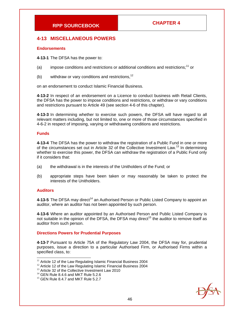### **4-13 MISCELLANEOUS POWERS**

#### **Endorsements**

**4-13-1** The DFSA has the power to:

- (a) impose conditions and restrictions or additional conditions and restrictions;<sup>11</sup> or
- (b) withdraw or vary conditions and restrictions,  $12$

on an endorsement to conduct Islamic Financial Business.

**4-13-2** In respect of an endorsement on a Licence to conduct business with Retail Clients, the DFSA has the power to impose conditions and restrictions, or withdraw or vary conditions and restrictions pursuant to Article 49 (see section 4-6 of this chapter).

**4-13-3** In determining whether to exercise such powers, the DFSA will have regard to all relevant matters including, but not limited to, one or more of those circumstances specified in 4-6-2 in respect of imposing, varying or withdrawing conditions and restrictions.

#### **Funds**

**4-13-4** The DFSA has the power to withdraw the registration of a Public Fund in one or more of the circumstances set out in Article 32 of the Collective Investment Law.<sup>13</sup> In determining whether to exercise this power, the DFSA can withdraw the registration of a Public Fund only if it considers that:

- (a) the withdrawal is in the interests of the Unitholders of the Fund; or
- (b) appropriate steps have been taken or may reasonably be taken to protect the interests of the Unitholders.

#### **Auditors**

4-13-5 The DFSA may direct<sup>14</sup> an Authorised Person or Public Listed Company to appoint an auditor, where an auditor has not been appointed by such person.

**4-13-6** Where an auditor appointed by an Authorised Person and Public Listed Company is not suitable in the opinion of the DFSA, the DFSA may direct<sup>15</sup> the auditor to remove itself as auditor from such person.

#### **Directions Powers for Prudential Purposes**

**4-13-7** Pursuant to Article 75A of the Regulatory Law 2004, the DFSA may for, prudential purposes, issue a direction to a particular Authorised Firm, or Authorised Firms within a specified class, to:



<sup>1</sup>  $11$  Article 12 of the Law Regulating Islamic Financial Business 2004

<sup>&</sup>lt;sup>12</sup> Article 12 of the Law Regulating Islamic Financial Business 2004

<sup>&</sup>lt;sup>13</sup> Article 32 of the Collective Investment Law 2010

 $14$  GEN Rule 8.4.6 and MKT Rule 5.2.6

 $15$  GEN Rule 8.4.7 and MKT Rule 5.2.7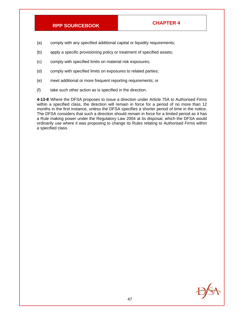- (a) comply with any specified additional capital or liquidity requirements;
- (b) apply a specific provisioning policy or treatment of specified assets;
- (c) comply with specified limits on material risk exposures;
- (d) comply with specified limits on exposures to related parties;
- (e) meet additional or more frequent reporting requirements; or
- (f) take such other action as is specified in the direction.

**4-13-8** Where the DFSA proposes to issue a direction under Article 75A to Authorised Firms within a specified class, the direction will remain in force for a period of no more than 12 months in the first instance, unless the DFSA specifies a shorter period of time in the notice. The DFSA considers that such a direction should remain in force for a limited period as it has a Rule making power under the Regulatory Law 2004 at its disposal, which the DFSA would ordinarily use where it was proposing to change its Rules relating to Authorised Firms within a specified class.

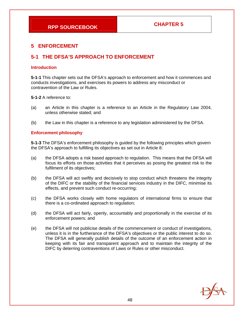# **5 ENFORCEMENT**

# **5-1 THE DFSA'S APPROACH TO ENFORCEMENT**

#### **Introduction**

**5-1-1** This chapter sets out the DFSA's approach to enforcement and how it commences and conducts investigations, and exercises its powers to address any misconduct or contravention of the Law or Rules.

**5-1-2** A reference to:

- (a) an Article in this chapter is a reference to an Article in the Regulatory Law 2004, unless otherwise stated; and
- (b) the Law in this chapter is a reference to any legislation administered by the DFSA.

### **Enforcement philosophy**

**5-1-3** The DFSA's enforcement philosophy is guided by the following principles which govern the DFSA's approach to fulfilling its objectives as set out in Article 8:

- (a) the DFSA adopts a risk based approach to regulation. This means that the DFSA will focus its efforts on those activities that it perceives as posing the greatest risk to the fulfilment of its objectives;
- (b) the DFSA will act swiftly and decisively to stop conduct which threatens the integrity of the DIFC or the stability of the financial services industry in the DIFC, minimise its effects, and prevent such conduct re-occurring;
- (c) the DFSA works closely with home regulators of international firms to ensure that there is a co-ordinated approach to regulation;
- (d) the DFSA will act fairly, openly, accountably and proportionally in the exercise of its enforcement powers; and
- (e) the DFSA will not publicise details of the commencement or conduct of investigations, unless it is in the furtherance of the DFSA's objectives or the public interest to do so. The DFSA will generally publish details of the outcome of an enforcement action in keeping with its fair and transparent approach and to maintain the integrity of the DIFC by deterring contraventions of Laws or Rules or other misconduct.

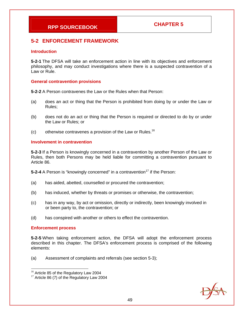# **5-2 ENFORCEMENT FRAMEWORK**

#### **Introduction**

**5-2-1** The DFSA will take an enforcement action in line with its objectives and enforcement philosophy, and may conduct investigations where there is a suspected contravention of a Law or Rule.

#### **General contravention provisions**

**5-2-2** A Person contravenes the Law or the Rules when that Person:

- (a) does an act or thing that the Person is prohibited from doing by or under the Law or Rules;
- (b) does not do an act or thing that the Person is required or directed to do by or under the Law or Rules; or
- (c) otherwise contravenes a provision of the Law or Rules.<sup>16</sup>

### **Involvement in contravention**

**5-2-3** If a Person is knowingly concerned in a contravention by another Person of the Law or Rules, then both Persons may be held liable for committing a contravention pursuant to Article 86.

**5-2-4** A Person is "knowingly concerned" in a contravention<sup>17</sup> if the Person:

- (a) has aided, abetted, counselled or procured the contravention;
- (b) has induced, whether by threats or promises or otherwise, the contravention;
- (c) has in any way, by act or omission, directly or indirectly, been knowingly involved in or been party to, the contravention; or
- (d) has conspired with another or others to effect the contravention.

### **Enforcement process**

 $\overline{a}$ 

**5-2-5** When taking enforcement action, the DFSA will adopt the enforcement process described in this chapter. The DFSA's enforcement process is comprised of the following elements:

(a) Assessment of complaints and referrals (see section 5-3);



<sup>&</sup>lt;sup>16</sup> Article 85 of the Regulatory Law 2004

<sup>&</sup>lt;sup>17</sup> Article 86 (7) of the Regulatory Law 2004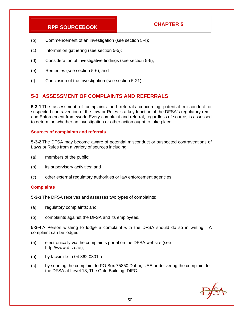- (b) Commencement of an investigation (see section 5-4);
- (c) Information gathering (see section 5-5);
- (d) Consideration of investigative findings (see section 5-6);
- (e) Remedies (see section 5-6); and
- (f) Conclusion of the Investigation (see section 5-21).

# **5-3 ASSESSMENT OF COMPLAINTS AND REFERRALS**

**5-3-1** The assessment of complaints and referrals concerning potential misconduct or suspected contravention of the Law or Rules is a key function of the DFSA's regulatory remit and Enforcement framework. Every complaint and referral, regardless of source, is assessed to determine whether an investigation or other action ought to take place.

#### **Sources of complaints and referrals**

**5-3-2** The DFSA may become aware of potential misconduct or suspected contraventions of Laws or Rules from a variety of sources including:

- (a) members of the public;
- (b) its supervisory activities; and
- (c) other external regulatory authorities or law enforcement agencies.

### **Complaints**

**5-3-3** The DFSA receives and assesses two types of complaints:

- (a) regulatory complaints; and
- (b) complaints against the DFSA and its employees.

**5-3-4** A Person wishing to lodge a complaint with the DFSA should do so in writing. A complaint can be lodged:

- (a) electronically via the complaints portal on the DFSA website (see http://www.dfsa.ae);
- (b) by facsimile to 04 362 0801; or
- (c) by sending the complaint to PO Box 75850 Dubai, UAE or delivering the complaint to the DFSA at Level 13, The Gate Building, DIFC.

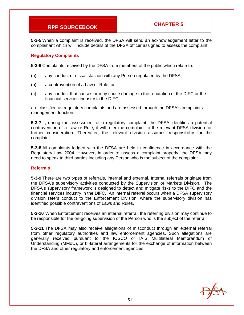**5-3-5** When a complaint is received, the DFSA will send an acknowledgement letter to the complainant which will include details of the DFSA officer assigned to assess the complaint.

### **Regulatory Complaints**

**5-3-6** Complaints received by the DFSA from members of the public which relate to:

- (a) any conduct or dissatisfaction with any Person regulated by the DFSA;
- (b) a contravention of a Law or Rule; or
- (c) any conduct that causes or may cause damage to the reputation of the DIFC or the financial services industry in the DIFC;

are classified as regulatory complaints and are assessed through the DFSA's complaints management function.

**5-3-7** If, during the assessment of a regulatory complaint, the DFSA identifies a potential contravention of a Law or Rule, it will refer the complaint to the relevant DFSA division for further consideration. Thereafter, the relevant division assumes responsibility for the complaint.

**5-3-8** All complaints lodged with the DFSA are held in confidence in accordance with the Regulatory Law 2004. However, in order to assess a complaint properly, the DFSA may need to speak to third parties including any Person who is the subject of the complaint.

#### **Referrals**

**5-3-9** There are two types of referrals, internal and external. Internal referrals originate from the DFSA's supervisory activities conducted by the Supervision or Markets Division. The DFSA's supervisory framework is designed to detect and mitigate risks to the DIFC and the financial services industry in the DIFC. An internal referral occurs when a DFSA supervisory division refers conduct to the Enforcement Division, where the supervisory division has identified possible contraventions of Laws and Rules.

**5-3-10** When Enforcement receives an internal referral, the referring division may continue to be responsible for the on-going supervision of the Person who is the subject of the referral.

**5-3-11** The DFSA may also receive allegations of misconduct through an external referral from other regulatory authorities and law enforcement agencies. Such allegations are generally received pursuant to the IOSCO or IAIS Multilateral Memorandum of Understanding (MMoU), or bi-lateral arrangements for the exchange of information between the DFSA and other regulatory and enforcement agencies.

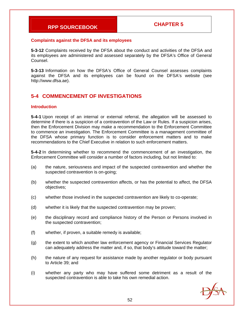#### **Complaints against the DFSA and its employees**

**5-3-12** Complaints received by the DFSA about the conduct and activities of the DFSA and its employees are administered and assessed separately by the DFSA's Office of General Counsel.

**5-3-13** Information on how the DFSA's Office of General Counsel assesses complaints against the DFSA and its employees can be found on the DFSA's website (see http://www.dfsa.ae).

# **5-4 COMMENCEMENT OF INVESTIGATIONS**

#### **Introduction**

**5-4-1** Upon receipt of an internal or external referral, the allegation will be assessed to determine if there is a suspicion of a contravention of the Law or Rules. If a suspicion arises, then the Enforcement Division may make a recommendation to the Enforcement Committee to commence an investigation. The Enforcement Committee is a management committee of the DFSA whose primary function is to consider enforcement matters and to make recommendations to the Chief Executive in relation to such enforcement matters.

**5-4-2** In determining whether to recommend the commencement of an investigation, the Enforcement Committee will consider a number of factors including, but not limited to:

- (a) the nature, seriousness and impact of the suspected contravention and whether the suspected contravention is on-going;
- (b) whether the suspected contravention affects, or has the potential to affect, the DFSA objectives;
- (c) whether those involved in the suspected contravention are likely to co-operate;
- (d) whether it is likely that the suspected contravention may be proven;
- (e) the disciplinary record and compliance history of the Person or Persons involved in the suspected contravention;
- (f) whether, if proven, a suitable remedy is available;
- (g) the extent to which another law enforcement agency or Financial Services Regulator can adequately address the matter and, if so, that body's attitude toward the matter;
- (h) the nature of any request for assistance made by another regulator or body pursuant to Article 39; and
- (i) whether any party who may have suffered some detriment as a result of the suspected contravention is able to take his own remedial action.

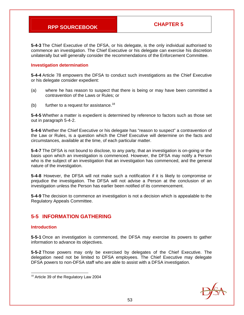**5-4-3** The Chief Executive of the DFSA, or his delegate, is the only individual authorised to commence an investigation. The Chief Executive or his delegate can exercise his discretion unilaterally but will generally consider the recommendations of the Enforcement Committee.

### **Investigation determination**

**5-4-4** Article 78 empowers the DFSA to conduct such investigations as the Chief Executive or his delegate consider expedient:

- (a) where he has reason to suspect that there is being or may have been committed a contravention of the Laws or Rules; or
- (b) further to a request for assistance.<sup>18</sup>

**5-4-5** Whether a matter is expedient is determined by reference to factors such as those set out in paragraph 5-4-2.

**5-4-6** Whether the Chief Executive or his delegate has "reason to suspect" a contravention of the Law or Rules, is a question which the Chief Executive will determine on the facts and circumstances, available at the time, of each particular matter.

**5-4-7** The DFSA is not bound to disclose, to any party, that an investigation is on-going or the basis upon which an investigation is commenced. However, the DFSA may notify a Person who is the subject of an investigation that an investigation has commenced, and the general nature of the investigation.

**5-4-8** However, the DFSA will not make such a notification if it is likely to compromise or prejudice the investigation. The DFSA will not advise a Person at the conclusion of an investigation unless the Person has earlier been notified of its commencement.

**5-4-9** The decision to commence an investigation is not a decision which is appealable to the Regulatory Appeals Committee.

# **5-5 INFORMATION GATHERING**

### **Introduction**

**5-5-1** Once an investigation is commenced, the DFSA may exercise its powers to gather information to advance its objectives.

**5-5-2** Those powers may only be exercised by delegates of the Chief Executive. The delegation need not be limited to DFSA employees. The Chief Executive may delegate DFSA powers to non-DFSA staff who are able to assist with a DFSA investigation.



<sup>-</sup> $18$  Article 39 of the Regulatory Law 2004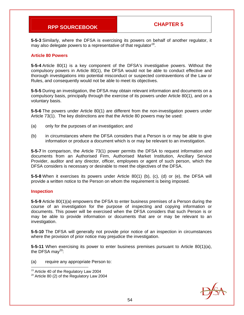**5-5-3** Similarly, where the DFSA is exercising its powers on behalf of another regulator, it may also delegate powers to a representative of that regulator  $19$ .

#### **Article 80 Powers**

**5-5-4** Article 80(1) is a key component of the DFSA's investigative powers. Without the compulsory powers in Article 80(1), the DFSA would not be able to conduct effective and thorough investigations into potential misconduct or suspected contraventions of the Law or Rules, and consequently would not be able to meet its objectives.

**5-5-5** During an investigation, the DFSA may obtain relevant information and documents on a compulsory basis, principally through the exercise of its powers under Article 80(1), and on a voluntary basis.

**5-5-6** The powers under Article 80(1) are different from the non-investigation powers under Article 73(1). The key distinctions are that the Article 80 powers may be used:

- (a) only for the purposes of an investigation; and
- (b) in circumstances where the DFSA considers that a Person is or may be able to give information or produce a document which is or may be relevant to an investigation.

**5-5-7** In comparison, the Article 73(1) power permits the DFSA to request information and documents from an Authorised Firm, Authorised Market Institution, Ancillary Service Provider, auditor and any director, officer, employees or agent of such person, which the DFSA considers is necessary or desirable to meet the objectives of the DFSA.

**5-5-8** When it exercises its powers under Article 80(1) (b), (c), (d) or (e), the DFSA will provide a written notice to the Person on whom the requirement is being imposed.

#### **Inspection**

**5-5-9** Article 80(1)(a) empowers the DFSA to enter business premises of a Person during the course of an investigation for the purpose of inspecting and copying information or documents. This power will be exercised when the DFSA considers that such Person is or may be able to provide information or documents that are or may be relevant to an investigation.

**5-5-10** The DFSA will generally not provide prior notice of an inspection in circumstances where the provision of prior notice may prejudice the investigation.

**5-5-11** When exercising its power to enter business premises pursuant to Article 80(1)(a), the DFSA may $^{20}$ :

(a) require any appropriate Person to:



  $19$  Article 40 of the Regulatory Law 2004

<sup>&</sup>lt;sup>20</sup> Article 80 (2) of the Regulatory Law 2004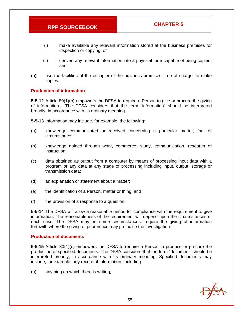- (i) make available any relevant information stored at the business premises for inspection or copying; or
- (ii) convert any relevant information into a physical form capable of being copied; and
- (b) use the facilities of the occupier of the business premises, free of charge, to make copies.

#### **Production of information**

**5-5-12** Article 80(1)(b) empowers the DFSA to require a Person to give or procure the giving of information. The DFSA considers that the term "information" should be interpreted broadly, in accordance with its ordinary meaning.

**5-5-13** Information may include, for example, the following:

- (a) knowledge communicated or received concerning a particular matter, fact or circumstance;
- (b) knowledge gained through work, commerce, study, communication, research or instruction;
- (c) data obtained as output from a computer by means of processing input data with a program or any data at any stage of processing including input, output, storage or transmission data;
- (d) an explanation or statement about a matter;
- (e) the identification of a Person, matter or thing; and
- (f) the provision of a response to a question.

**5-5-14** The DFSA will allow a reasonable period for compliance with the requirement to give information. The reasonableness of the requirement will depend upon the circumstances of each case. The DFSA may, in some circumstances, require the giving of information forthwith where the giving of prior notice may prejudice the investigation.

#### **Production of documents**

**5-5-15** Article 80(1)(c) empowers the DFSA to require a Person to produce or procure the production of specified documents. The DFSA considers that the term "document" should be interpreted broadly, in accordance with its ordinary meaning. Specified documents may include, for example, any record of information, including:

(a) anything on which there is writing;

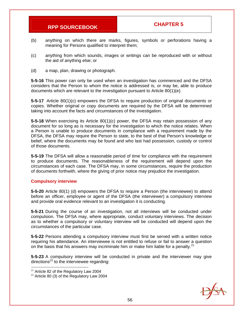- (b) anything on which there are marks, figures, symbols or perforations having a meaning for Persons qualified to interpret them;
- (c) anything from which sounds, images or writings can be reproduced with or without the aid of anything else; or
- (d) a map, plan, drawing or photograph.

**5-5-16** This power can only be used when an investigation has commenced and the DFSA considers that the Person to whom the notice is addressed is, or may be, able to produce documents which are relevant to the investigation pursuant to Article 80(1)(e).

**5-5-17** Article 80(1)(c) empowers the DFSA to require production of original documents or copies. Whether original or copy documents are required by the DFSA will be determined taking into account the facts and circumstances of the investigation.

**5-5-18** When exercising its Article 80(1)(c) power, the DFSA may retain possession of any document for so long as is necessary for the investigation to which the notice relates. When a Person is unable to produce documents in compliance with a requirement made by the DFSA, the DFSA may require the Person to state, to the best of that Person's knowledge or belief, where the documents may be found and who last had possession, custody or control of those documents.

**5-5-19** The DFSA will allow a reasonable period of time for compliance with the requirement to produce documents. The reasonableness of the requirement will depend upon the circumstances of each case. The DFSA may, in some circumstances, require the production of documents forthwith, where the giving of prior notice may prejudice the investigation.

### **Compulsory interview**

**5-5-20** Article 80(1) (d) empowers the DFSA to require a Person (the interviewee) to attend before an officer, employee or agent of the DFSA (the interviewer) a compulsory interview and provide oral evidence relevant to an investigation it is conducting.

**5-5-21** During the course of an investigation, not all interviews will be conducted under compulsion. The DFSA may, where appropriate, conduct voluntary interviews. The decision as to whether a compulsory or voluntary interview will be conducted will depend upon the circumstances of the particular case.

**5-5-22** Persons attending a compulsory interview must first be served with a written notice requiring his attendance. An interviewee is not entitled to refuse or fail to answer a question on the basis that his answers may incriminate him or make him liable for a penalty. $2<sup>1</sup>$ 

**5-5-23** A compulsory interview will be conducted in private and the interviewer may give directions $^{22}$  to the interviewee regarding:



 $21$  Article 82 of the Regulatory Law 2004

 $22$  Article 80 (3) of the Regulatory Law 2004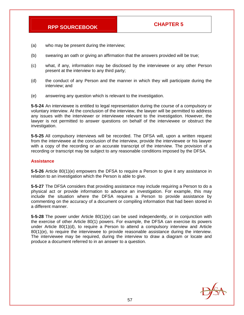- (a) who may be present during the interview;
- (b) swearing an oath or giving an affirmation that the answers provided will be true;
- (c) what, if any, information may be disclosed by the interviewee or any other Person present at the interview to any third party;
- (d) the conduct of any Person and the manner in which they will participate during the interview; and
- (e) answering any question which is relevant to the investigation.

**5-5-24** An interviewee is entitled to legal representation during the course of a compulsory or voluntary interview. At the conclusion of the interview, the lawyer will be permitted to address any issues with the interviewer or interviewee relevant to the investigation. However, the lawyer is not permitted to answer questions on behalf of the interviewee or obstruct the investigation.

**5-5-25** All compulsory interviews will be recorded. The DFSA will, upon a written request from the interviewee at the conclusion of the interview, provide the interviewee or his lawyer with a copy of the recording or an accurate transcript of the interview. The provision of a recording or transcript may be subject to any reasonable conditions imposed by the DFSA.

#### **Assistance**

**5-5-26** Article 80(1)(e) empowers the DFSA to require a Person to give it any assistance in relation to an investigation which the Person is able to give.

**5-5-27** The DFSA considers that providing assistance may include requiring a Person to do a physical act or provide information to advance an investigation. For example, this may include the situation where the DFSA requires a Person to provide assistance by commenting on the accuracy of a document or compiling information that had been stored in a different manner.

**5-5-28** The power under Article 80(1)(e) can be used independently, or in conjunction with the exercise of other Article 80(1) powers. For example, the DFSA can exercise its powers under Article 80(1)(d), to require a Person to attend a compulsory interview and Article 80(1)(e), to require the interviewee to provide reasonable assistance during the interview. The interviewee may be required, during the interview to draw a diagram or locate and produce a document referred to in an answer to a question.

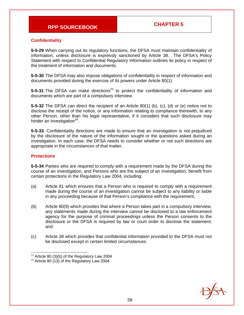### **Confidentiality**

**5-5-29** When carrying out its regulatory functions, the DFSA must maintain confidentiality of information, unless disclosure is expressly sanctioned by Article 38. The DFSA's Policy Statement with respect to Confidential Regulatory Information outlines its policy in respect of the treatment of information and documents.

**5-5-30** The DFSA may also impose obligations of confidentiality in respect of information and documents provided during the exercise of its powers under Article 80(1).

**5-5-31** The DFSA can make directions<sup>23</sup> to protect the confidentiality of information and documents which are part of a compulsory interview.

**5-5-32** The DFSA can direct the recipient of an Article 80(1) (b), (c), (d) or (e) notice not to disclose the receipt of the notice, or any information relating to compliance therewith, to any other Person, other than his legal representative, if it considers that such disclosure may hinder an investigation $24$ .

**5-5-33** Confidentiality directions are made to ensure that an investigation is not prejudiced by the disclosure of the nature of the information sought or the questions asked during an investigation. In each case, the DFSA needs to consider whether or not such directions are appropriate in the circumstances of that matter.

#### **Protections**

**5-5-34** Parties who are required to comply with a requirement made by the DFSA during the course of an investigation, and Persons who are the subject of an investigation, benefit from certain protections in the Regulatory Law 2004, including:

- (a) Article 81 which ensures that a Person who is required to comply with a requirement made during the course of an investigation cannot be subject to any liability or liable in any proceeding because of that Person's compliance with the requirement;
- (b) Article 80(9) which provides that where a Person takes part in a compulsory interview, any statements made during the interview cannot be disclosed to a law enforcement agency for the purpose of criminal proceedings unless the Person consents to the disclosure or the DFSA is required by law or court order to disclose the statement; and
- (c) Article 38 which provides that confidential information provided to the DFSA must not be disclosed except in certain limited circumstances.



  $^{23}$  Article 80 (3)(b) of the Regulatory Law 2004

 $24$  Article 80 (13) of the Regulatory Law 2004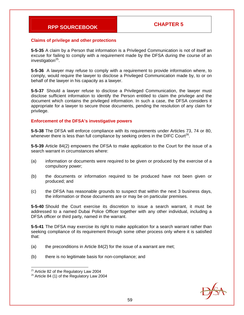#### **Claims of privilege and other protections**

**5-5-35** A claim by a Person that information is a Privileged Communication is not of itself an excuse for failing to comply with a requirement made by the DFSA during the course of an investigation $^{25}$ .

**5-5-36** A lawyer may refuse to comply with a requirement to provide information where, to comply, would require the lawyer to disclose a Privileged Communication made by, to or on behalf of the lawyer in his capacity as a lawyer.

**5-5-37** Should a lawyer refuse to disclose a Privileged Communication, the lawyer must disclose sufficient information to identify the Person entitled to claim the privilege and the document which contains the privileged information. In such a case, the DFSA considers it appropriate for a lawyer to secure those documents, pending the resolution of any claim for privilege.

#### **Enforcement of the DFSA's investigative powers**

**5-5-38** The DFSA will enforce compliance with its requirements under Articles 73, 74 or 80, whenever there is less than full compliance by seeking orders in the DIFC Court<sup>26</sup>.

**5-5-39** Article 84(2) empowers the DFSA to make application to the Court for the issue of a search warrant in circumstances where:

- (a) information or documents were required to be given or produced by the exercise of a compulsory power;
- (b) the documents or information required to be produced have not been given or produced; and
- (c) the DFSA has reasonable grounds to suspect that within the next 3 business days, the information or those documents are or may be on particular premises.

**5-5-40** Should the Court exercise its discretion to issue a search warrant, it must be addressed to a named Dubai Police Officer together with any other individual, including a DFSA officer or third party, named in the warrant.

**5-5-41** The DFSA may exercise its right to make application for a search warrant rather than seeking compliance of its requirement through some other process only where it is satisfied that:

- (a) the preconditions in Article 84(2) for the issue of a warrant are met;
- (b) there is no legitimate basis for non-compliance; and



<sup>-</sup> $25$  Article 82 of the Regulatory Law 2004

<sup>&</sup>lt;sup>26</sup> Article 84 (1) of the Regulatory Law 2004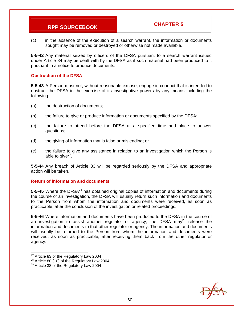(c) in the absence of the execution of a search warrant, the information or documents sought may be removed or destroyed or otherwise not made available.

**5-5-42** Any material seized by officers of the DFSA pursuant to a search warrant issued under Article 84 may be dealt with by the DFSA as if such material had been produced to it pursuant to a notice to produce documents.

#### **Obstruction of the DFSA**

**5-5-43** A Person must not, without reasonable excuse, engage in conduct that is intended to obstruct the DFSA in the exercise of its investigative powers by any means including the following:

- (a) the destruction of documents;
- (b) the failure to give or produce information or documents specified by the DFSA;
- (c) the failure to attend before the DFSA at a specified time and place to answer questions;
- (d) the giving of information that is false or misleading; or
- (e) the failure to give any assistance in relation to an investigation which the Person is able to give $27$ .

**5-5-44** Any breach of Article 83 will be regarded seriously by the DFSA and appropriate action will be taken.

### **Return of information and documents**

5-5-45 Where the DFSA<sup>28</sup> has obtained original copies of information and documents during the course of an investigation, the DFSA will usually return such information and documents to the Person from whom the information and documents were received, as soon as practicable, after the conclusion of the investigation or related proceedings.

**5-5-46** Where information and documents have been produced to the DFSA in the course of an investigation to assist another regulator or agency, the DFSA may $^{29}$  release the information and documents to that other regulator or agency. The information and documents will usually be returned to the Person from whom the information and documents were received, as soon as practicable, after receiving them back from the other regulator or agency.



<sup>-</sup> $27$  Article 83 of the Regulatory Law 2004

<sup>&</sup>lt;sup>28</sup> Article 80 (10) of the Regulatory Law 2004

<sup>&</sup>lt;sup>29</sup> Article 38 of the Regulatory Law 2004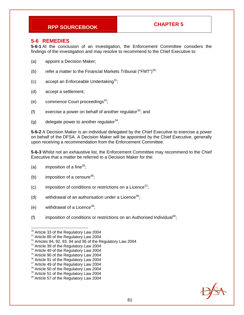### **5-6 REMEDIES**

**5-6-1** At the conclusion of an investigation, the Enforcement Committee considers the findings of the investigation and may resolve to recommend to the Chief Executive to:

- (a) appoint a Decision Maker;
- (b) refer a matter to the Financial Markets Tribunal ("FMT")<sup>30;</sup>
- (c) accept an Enforceable Undertaking<sup>31</sup>;
- (d) accept a settlement;
- (e) commence Court proceedings $^{32}$ ;
- (f) exercise a power on behalf of another regulator  $33$ ; and
- (g) delegate power to another regulator  $34$ .

**5-6-2** A Decision Maker is an individual delegated by the Chief Executive to exercise a power on behalf of the DFSA. A Decision Maker will be appointed by the Chief Executive, generally upon receiving a recommendation from the Enforcement Committee.

**5-6-3** Whilst not an exhaustive list, the Enforcement Committee may recommend to the Chief Executive that a matter be referred to a Decision Maker for the:

- (a) imposition of a fine $35$ ;
- (b) imposition of a censure<sup>36</sup>;
- (c) imposition of conditions or restrictions on a Licence<sup>37</sup>;
- (d) withdrawal of an authorisation under a Licence<sup>38</sup>;
- (e) withdrawal of a Licence<sup>39</sup>;
- (f) imposition of conditions or restrictions on an Authorised Individual<sup>40</sup>;



<sup>&</sup>lt;sup>30</sup> Article 33 of the Regulatory Law 2004

<sup>&</sup>lt;sup>31</sup> Article 89 of the Regulatory Law 2004

 $32$  Articles 84, 92, 93, 94 and 95 of the Regulatory Law 2004

<sup>&</sup>lt;sup>33</sup> Article 39 of the Regulatory Law 2004

<sup>&</sup>lt;sup>34</sup> Article 40 of the Regulatory Law 2004

<sup>&</sup>lt;sup>35</sup> Article 90 of the Regulatory Law 2004

<sup>&</sup>lt;sup>36</sup> Article 91 of the Regulatory Law 2004

<sup>&</sup>lt;sup>37</sup> Article 49 of the Regulatory Law 2004

<sup>&</sup>lt;sup>38</sup> Article 50 of the Regulatory Law 2004

<sup>&</sup>lt;sup>39</sup> Article 51 of the Regulatory Law 2004

<sup>40</sup> Article 57 of the Regulatory Law 2004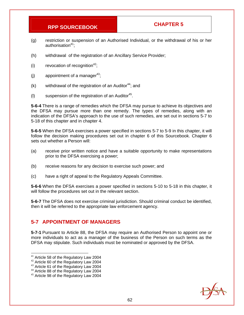- (g) restriction or suspension of an Authorised Individual, or the withdrawal of his or her authorisation<sup>41</sup>:
- (h) withdrawal of the registration of an Ancillary Service Provider;
- (i) revocation of recognition<sup>42</sup>;
- (j) appointment of a manager<sup>43</sup>;
- $(k)$  withdrawal of the registration of an Auditor<sup>44</sup>; and
- (I) suspension of the registration of an Auditor<sup>45</sup>.

**5-6-4** There is a range of remedies which the DFSA may pursue to achieve its objectives and the DFSA may pursue more than one remedy. The types of remedies, along with an indication of the DFSA's approach to the use of such remedies, are set out in sections 5-7 to 5-18 of this chapter and in chapter 4.

**5-6-5** When the DFSA exercises a power specified in sections 5-7 to 5-9 in this chapter, it will follow the decision making procedures set out in chapter 6 of this Sourcebook. Chapter 6 sets out whether a Person will:

- (a) receive prior written notice and have a suitable opportunity to make representations prior to the DFSA exercising a power;
- (b) receive reasons for any decision to exercise such power; and
- (c) have a right of appeal to the Regulatory Appeals Committee.

**5-6-6** When the DFSA exercises a power specified in sections 5-10 to 5-18 in this chapter, it will follow the procedures set out in the relevant section.

**5-6-7** The DFSA does not exercise criminal jurisdiction. Should criminal conduct be identified, then it will be referred to the appropriate law enforcement agency.

# **5-7 APPOINTMENT OF MANAGERS**

**5-7-1** Pursuant to Article 88, the DFSA may require an Authorised Person to appoint one or more individuals to act as a manager of the business of the Person on such terms as the DFSA may stipulate. Such individuals must be nominated or approved by the DFSA.



<sup>&</sup>lt;sup>41</sup> Article 58 of the Regulatory Law 2004

<sup>&</sup>lt;sup>42</sup> Article 60 of the Regulatory Law 2004

<sup>&</sup>lt;sup>43</sup> Article 61 of the Regulatory Law 2004

<sup>&</sup>lt;sup>44</sup> Article 88 of the Regulatory Law 2004

<sup>&</sup>lt;sup>45</sup> Article 98 of the Regulatory Law 2004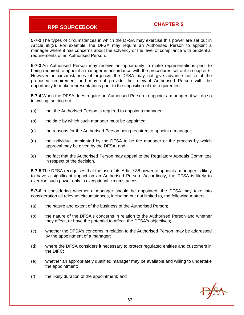**5-7-2** The types of circumstances in which the DFSA may exercise this power are set out in Article 88(3). For example, the DFSA may require an Authorised Person to appoint a manager where it has concerns about the solvency or the level of compliance with prudential requirements of an Authorised Person.

**5-7-3** An Authorised Person may receive an opportunity to make representations prior to being required to appoint a manager in accordance with the procedures set out in chapter 6. However, in circumstances of urgency, the DFSA may not give advance notice of the proposed requirement and may not provide the relevant Authorised Person with the opportunity to make representations prior to the imposition of the requirement.

**5-7-4** When the DFSA does require an Authorised Person to appoint a manager, it will do so in writing, setting out:

- (a) that the Authorised Person is required to appoint a manager;
- (b) the time by which such manager must be appointed;
- (c) the reasons for the Authorised Person being required to appoint a manager;
- (d) the individual nominated by the DFSA to be the manager or the process by which approval may be given by the DFSA; and
- (e) the fact that the Authorised Person may appeal to the Regulatory Appeals Committee in respect of the decision.

**5-7-5** The DFSA recognises that the use of its Article 88 power to appoint a manager is likely to have a significant impact on an Authorised Person. Accordingly, the DFSA is likely to exercise such power only in exceptional circumstances.

**5-7-6** In considering whether a manager should be appointed, the DFSA may take into consideration all relevant circumstances, including but not limited to, the following matters:

- (a) the nature and extent of the business of the Authorised Person;
- (b) the nature of the DFSA's concerns in relation to the Authorised Person and whether they affect, or have the potential to affect, the DFSA's objectives;
- (c) whether the DFSA's concerns in relation to the Authorised Person may be addressed by the appointment of a manager;
- (d) where the DFSA considers it necessary to protect regulated entities and customers in the DIFC;
- (e) whether an appropriately qualified manager may be available and willing to undertake the appointment;
- (f) the likely duration of the appointment; and

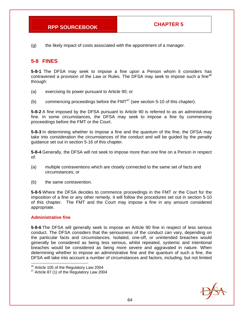(g) the likely impact of costs associated with the appointment of a manager.

# **5-8 FINES**

**5-8-1** The DFSA may seek to impose a fine upon a Person whom it considers has contravened a provision of the Law or Rules. The DFSA may seek to impose such a fine<sup>46</sup> through:

- (a) exercising its power pursuant to Article 90; or
- (b) commencing proceedings before the  $FMT^{47}$  (see section 5-10 of this chapter).

**5-8-2** A fine imposed by the DFSA pursuant to Article 90 is referred to as an administrative fine. In some circumstances, the DFSA may seek to impose a fine by commencing proceedings before the FMT or the Court.

**5-8-3** In determining whether to impose a fine and the quantum of the fine, the DFSA may take into consideration the circumstances of the conduct and will be guided by the penalty guidance set out in section 5-16 of this chapter.

**5-8-4** Generally, the DFSA will not seek to impose more than one fine on a Person in respect of:

- (a) multiple contraventions which are closely connected to the same set of facts and circumstances; or
- (b) the same contravention.

**5-8-5** Where the DFSA decides to commence proceedings in the FMT or the Court for the imposition of a fine or any other remedy, it will follow the procedures set out in section 5-10 of this chapter. The FMT and the Court may impose a fine in any amount considered appropriate.

#### **Administrative fine**

-

**5-8-6** The DFSA will generally seek to impose an Article 90 fine in respect of less serious conduct. The DFSA considers that the seriousness of the conduct can vary, depending on the particular facts and circumstances. Isolated, one-off, or unintended breaches would generally be considered as being less serious, whilst repeated, systemic and intentional breaches would be considered as being more severe and aggravated in nature. When determining whether to impose an administrative fine and the quantum of such a fine, the DFSA will take into account a number of circumstances and factors, including, but not limited



 $46$  Article 105 of the Regulatory Law 2004

<sup>&</sup>lt;sup>47</sup> Article 87 (1) of the Regulatory Law 2004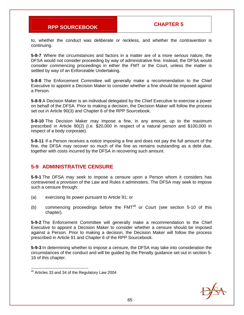to, whether the conduct was deliberate or reckless, and whether the contravention is continuing.

**5-8-7** Where the circumstances and factors in a matter are of a more serious nature, the DFSA would not consider proceeding by way of administrative fine. Instead, the DFSA would consider commencing proceedings in either the FMT or the Court, unless the matter is settled by way of an Enforceable Undertaking.

**5-8-8** The Enforcement Committee will generally make a recommendation to the Chief Executive to appoint a Decision Maker to consider whether a fine should be imposed against a Person.

**5-8-9** A Decision Maker is an individual delegated by the Chief Executive to exercise a power on behalf of the DFSA. Prior to making a decision, the Decision Maker will follow the process set out in Article 90(3) and Chapter 6 of the RPP Sourcebook.

**5-8-10** The Decision Maker may impose a fine, in any amount, up to the maximum prescribed in Article 90(2) (i.e. \$20,000 in respect of a natural person and \$100,000 in respect of a body corporate).

**5-8-11** If a Person receives a notice imposing a fine and does not pay the full amount of the fine, the DFSA may recover so much of the fine as remains outstanding as a debt due, together with costs incurred by the DFSA in recovering such amount.

# **5-9 ADMINISTRATIVE CENSURE**

**5-9-1** The DFSA may seek to impose a censure upon a Person whom it considers has contravened a provision of the Law and Rules it administers. The DFSA may seek to impose such a censure through:

- (a) exercising its power pursuant to Article 91; or
- (b) commencing proceedings before the  $FMT^{48}$  or Court (see section 5-10 of this chapter).

**5-9-2** The Enforcement Committee will generally make a recommendation to the Chief Executive to appoint a Decision Maker to consider whether a censure should be imposed against a Person. Prior to making a decision, the Decision Maker will follow the process prescribed in Article 91 and Chapter 6 of the RPP Sourcebook.

**5-9-3** In determining whether to impose a censure, the DFSA may take into consideration the circumstances of the conduct and will be guided by the Penalty guidance set out in section 5- 16 of this chapter.

-



 $48$  Articles 33 and 34 of the Regulatory Law 2004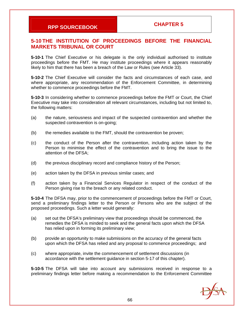# **5-10 THE INSTITUTION OF PROCEEDINGS BEFORE THE FINANCIAL MARKETS TRIBUNAL OR COURT**

**5-10-1** The Chief Executive or his delegate is the only individual authorised to institute proceedings before the FMT. He may institute proceedings where it appears reasonably likely to him that there has been a breach of the Law or Rules (see Article 33).

**5-10-2** The Chief Executive will consider the facts and circumstances of each case, and where appropriate, any recommendation of the Enforcement Committee, in determining whether to commence proceedings before the FMT.

**5-10-3** In considering whether to commence proceedings before the FMT or Court, the Chief Executive may take into consideration all relevant circumstances, including but not limited to, the following matters:

- (a) the nature, seriousness and impact of the suspected contravention and whether the suspected contravention is on-going;
- (b) the remedies available to the FMT, should the contravention be proven;
- (c) the conduct of the Person after the contravention, including action taken by the Person to minimise the effect of the contravention and to bring the issue to the attention of the DFSA;
- (d) the previous disciplinary record and compliance history of the Person;
- (e) action taken by the DFSA in previous similar cases; and
- (f) action taken by a Financial Services Regulator in respect of the conduct of the Person giving rise to the breach or any related conduct.

**5-10-4** The DFSA may, prior to the commencement of proceedings before the FMT or Court, send a preliminary findings letter to the Person or Persons who are the subject of the proposed proceedings. Such a letter would generally:

- (a) set out the DFSA's preliminary view that proceedings should be commenced, the remedies the DFSA is minded to seek and the general facts upon which the DFSA has relied upon in forming its preliminary view;
- (b) provide an opportunity to make submissions on the accuracy of the general facts upon which the DFSA has relied and any proposal to commence proceedings; and
- (c) where appropriate, invite the commencement of settlement discussions (in accordance with the settlement guidance in section 5-17 of this chapter).

**5-10-5** The DFSA will take into account any submissions received in response to a preliminary findings letter before making a recommendation to the Enforcement Committee

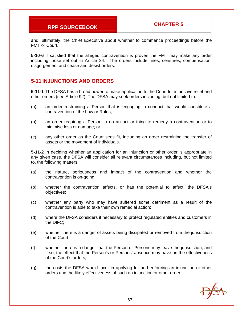and, ultimately, the Chief Executive about whether to commence proceedings before the FMT or Court.

**5-10-6** If satisfied that the alleged contravention is proven the FMT may make any order including those set out in Article 34. The orders include fines, censures, compensation, disgorgement and cease and desist orders.

# **5-11 INJUNCTIONS AND ORDERS**

**5-11-1** The DFSA has a broad power to make application to the Court for injunctive relief and other orders (see Article 92). The DFSA may seek orders including, but not limited to:

- (a) an order restraining a Person that is engaging in conduct that would constitute a contravention of the Law or Rules;
- (b) an order requiring a Person to do an act or thing to remedy a contravention or to minimise loss or damage; or
- (c) any other order as the Court sees fit, including an order restraining the transfer of assets or the movement of individuals.

**5-11-2** In deciding whether an application for an injunction or other order is appropriate in any given case, the DFSA will consider all relevant circumstances including, but not limited to, the following matters:

- (a) the nature, seriousness and impact of the contravention and whether the contravention is on-going;
- (b) whether the contravention affects, or has the potential to affect, the DFSA's objectives;
- (c) whether any party who may have suffered some detriment as a result of the contravention is able to take their own remedial action;
- (d) where the DFSA considers it necessary to protect regulated entities and customers in the DIFC;
- (e) whether there is a danger of assets being dissipated or removed from the jurisdiction of the Court;
- (f) whether there is a danger that the Person or Persons may leave the jurisdiction, and if so, the effect that the Person's or Persons' absence may have on the effectiveness of the Court's orders;
- (g) the costs the DFSA would incur in applying for and enforcing an injunction or other orders and the likely effectiveness of such an injunction or other order;

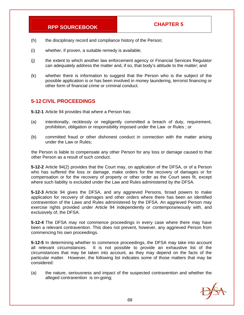- (h) the disciplinary record and compliance history of the Person;
- (i) whether, if proven, a suitable remedy is available;
- (j) the extent to which another law enforcement agency or Financial Services Regulator can adequately address the matter and, if so, that body's attitude to the matter; and
- (k) whether there is information to suggest that the Person who is the subject of the possible application is or has been involved in money laundering, terrorist financing or other form of financial crime or criminal conduct.

### **5-12 CIVIL PROCEEDINGS**

**5-12-1** Article 94 provides that where a Person has:

- (a) intentionally, recklessly or negligently committed a breach of duty, requirement, prohibition, obligation or responsibility imposed under the Law or Rules ; or
- (b) committed fraud or other dishonest conduct in connection with the matter arising under the Law or Rules;

the Person is liable to compensate any other Person for any loss or damage caused to that other Person as a result of such conduct.

**5-12-2** Article 94(2) provides that the Court may, on application of the DFSA, or of a Person who has suffered the loss or damage, make orders for the recovery of damages or for compensation or for the recovery of property or other order as the Court sees fit, except where such liability is excluded under the Law and Rules administered by the DFSA.

**5-12-3** Article 94 gives the DFSA, and any aggrieved Persons, broad powers to make application for recovery of damages and other orders where there has been an identified contravention of the Laws and Rules administered by the DFSA. An aggrieved Person may exercise rights provided under Article 94 independently or contemporaneously with, and exclusively of, the DFSA.

**5-12-4** The DFSA may not commence proceedings in every case where there may have been a relevant contravention. This does not prevent, however, any aggrieved Person from commencing his own proceedings.

**5-12-5** In determining whether to commence proceedings, the DFSA may take into account all relevant circumstances. It is not possible to provide an exhaustive list of the circumstances that may be taken into account, as they may depend on the facts of the particular matter. However, the following list indicates some of those matters that may be considered:

(a) the nature, seriousness and impact of the suspected contravention and whether the alleged contravention is on-going;

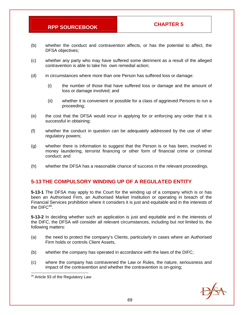- (b) whether the conduct and contravention affects, or has the potential to affect, the DFSA objectives;
- (c) whether any party who may have suffered some detriment as a result of the alleged contravention is able to take his own remedial action;
- (d) in circumstances where more than one Person has suffered loss or damage:
	- (i) the number of those that have suffered loss or damage and the amount of loss or damage involved; and
	- (ii) whether it is convenient or possible for a class of aggrieved Persons to run a proceeding;
- (e) the cost that the DFSA would incur in applying for or enforcing any order that it is successful in obtaining;
- (f) whether the conduct in question can be adequately addressed by the use of other regulatory powers;
- (g) whether there is information to suggest that the Person is or has been, involved in money laundering, terrorist financing or other form of financial crime or criminal conduct; and
- (h) whether the DFSA has a reasonable chance of success in the relevant proceedings.

### **5-13 THE COMPULSORY WINDING UP OF A REGULATED ENTITY**

**5-13-1** The DFSA may apply to the Court for the winding up of a company which is or has been an Authorised Firm, an Authorised Market Institution or operating in breach of the Financial Services prohibition where it considers it is just and equitable and in the interests of the  $DIFC<sup>49</sup>$ .

**5-13-2** In deciding whether such an application is just and equitable and in the interests of the DIFC, the DFSA will consider all relevant circumstances, including but not limited to, the following matters:

- (a) the need to protect the company's Clients, particularly in cases where an Authorised Firm holds or controls Client Assets,
- (b) whether the company has operated in accordance with the laws of the DIFC;
- (c) where the company has contravened the Law or Rules, the nature, seriousness and impact of the contravention and whether the contravention is on-going;



 <sup>49</sup> Article 93 of the Regulatory Law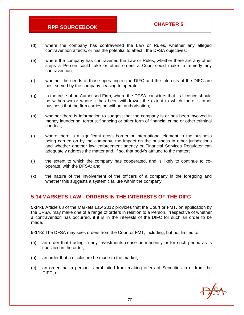- (d) where the company has contravened the Law or Rules, whether any alleged contravention affects, or has the potential to affect , the DFSA objectives;
- (e) where the company has contravened the Law or Rules, whether there are any other steps a Person could take or other orders a Court could make to remedy any contravention;
- (f) whether the needs of those operating in the DIFC and the interests of the DIFC are best served by the company ceasing to operate;
- (g) in the case of an Authorised Firm, where the DFSA considers that its Licence should be withdrawn or where it has been withdrawn, the extent to which there is other business that the firm carries on without authorisation;
- (h) whether there is information to suggest that the company is or has been involved in money laundering, terrorist financing or other form of financial crime or other criminal conduct;
- (i) where there is a significant cross border or international element to the business being carried on by the company, the impact on the business in other jurisdictions and whether another law enforcement agency or Financial Services Regulator can adequately address the matter and, if so, that body's attitude to the matter;
- (j) the extent to which the company has cooperated, and is likely to continue to cooperate, with the DFSA; and
- (k) the nature of the involvement of the officers of a company in the foregoing and whether this suggests a systemic failure within the company.

### **5-14 MARKETS LAW - ORDERS IN THE INTERESTS OF THE DIFC**

**5-14-1** Article 68 of the Markets Law 2012 provides that the Court or FMT, on application by the DFSA, may make one of a range of orders in relation to a Person, irrespective of whether a contravention has occurred, if it is in the interests of the DIFC for such an order to be made.

**5-14-2** The DFSA may seek orders from the Court or FMT, including, but not limited to:

- (a) an order that trading in any Investments cease permanently or for such period as is specified in the order;
- (b) an order that a disclosure be made to the market;
- (c) an order that a person is prohibited from making offers of Securities in or from the DIFC; or

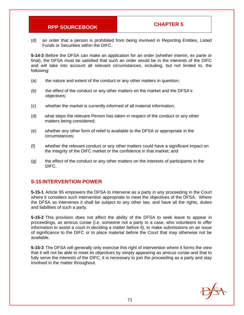(d) an order that a person is prohibited from being involved in Reporting Entities, Listed Funds or Securities within the DIFC.

**5-14-3** Before the DFSA can make an application for an order (whether interim, ex parte or final), the DFSA must be satisfied that such an order would be in the interests of the DIFC and will take into account all relevant circumstances, including, but not limited to, the following:

- (a) the nature and extent of the conduct or any other matters in question;
- (b) the effect of the conduct or any other matters on the market and the DFSA's objectives;
- (c) whether the market is currently informed of all material information;
- (d) what steps the relevant Person has taken in respect of the conduct or any other matters being considered;
- (e) whether any other form of relief is available to the DFSA or appropriate in the circumstances;
- (f) whether the relevant conduct or any other matters could have a significant impact on the integrity of the DIFC market or the confidence in that market; and
- (g) the effect of the conduct or any other matters on the interests of participants in the DIFC.

### **5-15 INTERVENTION POWER**

**5-15-1** Article 95 empowers the DFSA to intervene as a party in any proceeding in the Court where it considers such intervention appropriate to meet the objectives of the DFSA. Where the DFSA so intervenes it shall be subject to any other law, and have all the rights, duties and liabilities of such a party.

**5-15-2** This provision does not affect the ability of the DFSA to seek leave to appear in proceedings, as amicus curiae (i.e. someone not a party to a case, who volunteers to offer information to assist a court in deciding a matter before it), to make submissions on an issue of significance to the DIFC or to place material before the Court that may otherwise not be available.

**5-15-3** The DFSA will generally only exercise this right of intervention where it forms the view that it will not be able to meet its objectives by simply appearing as amicus curiae and that to fully serve the interests of the DIFC, it is necessary to join the proceeding as a party and stay involved in the matter throughout.

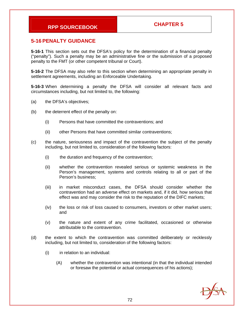### **5-16 PENALTY GUIDANCE**

**5-16-1** This section sets out the DFSA's policy for the determination of a financial penalty ("penalty"). Such a penalty may be an administrative fine or the submission of a proposed penalty to the FMT (or other competent tribunal or Court).

**5-16-2** The DFSA may also refer to this section when determining an appropriate penalty in settlement agreements, including an Enforceable Undertaking.

**5-16-3** When determining a penalty the DFSA will consider all relevant facts and circumstances including, but not limited to, the following:

- (a) the DFSA's objectives;
- (b) the deterrent effect of the penalty on:
	- (i) Persons that have committed the contraventions; and
	- (ii) other Persons that have committed similar contraventions;
- (c) the nature, seriousness and impact of the contravention the subject of the penalty including, but not limited to, consideration of the following factors:
	- (i) the duration and frequency of the contravention;
	- (ii) whether the contravention revealed serious or systemic weakness in the Person's management, systems and controls relating to all or part of the Person's business;
	- (iii) in market misconduct cases, the DFSA should consider whether the contravention had an adverse effect on markets and, if it did, how serious that effect was and may consider the risk to the reputation of the DIFC markets;
	- (iv) the loss or risk of loss caused to consumers, investors or other market users; and
	- (v) the nature and extent of any crime facilitated, occasioned or otherwise attributable to the contravention.
- (d) the extent to which the contravention was committed deliberately or recklessly including, but not limited to, consideration of the following factors:
	- (i) in relation to an individual:
		- (A) whether the contravention was intentional (in that the individual intended or foresaw the potential or actual consequences of his actions);

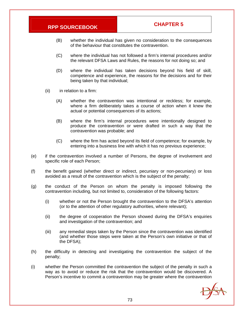- (B) whether the individual has given no consideration to the consequences of the behaviour that constitutes the contravention.
- (C) where the individual has not followed a firm's internal procedures and/or the relevant DFSA Laws and Rules, the reasons for not doing so; and
- (D) where the individual has taken decisions beyond his field of skill, competence and experience, the reasons for the decisions and for their being taken by that individual;
- (ii) in relation to a firm:
	- (A) whether the contravention was intentional or reckless; for example, where a firm deliberately takes a course of action when it knew the actual or potential consequences of its actions;
	- (B) where the firm's internal procedures were intentionally designed to produce the contravention or were drafted in such a way that the contravention was probable; and
	- (C) where the firm has acted beyond its field of competence; for example, by entering into a business line with which it has no previous experience;
- (e) if the contravention involved a number of Persons, the degree of involvement and specific role of each Person;
- (f) the benefit gained (whether direct or indirect, pecuniary or non-pecuniary) or loss avoided as a result of the contravention which is the subject of the penalty;
- (g) the conduct of the Person on whom the penalty is imposed following the contravention including, but not limited to, consideration of the following factors:
	- (i) whether or not the Person brought the contravention to the DFSA's attention (or to the attention of other regulatory authorities, where relevant);
	- (ii) the degree of cooperation the Person showed during the DFSA's enquiries and investigation of the contravention; and
	- (iii) any remedial steps taken by the Person since the contravention was identified (and whether those steps were taken at the Person's own initiative or that of the DFSA);
- (h) the difficulty in detecting and investigating the contravention the subject of the penalty;
- (i) whether the Person committed the contravention the subject of the penalty in such a way as to avoid or reduce the risk that the contravention would be discovered. A Person's incentive to commit a contravention may be greater where the contravention

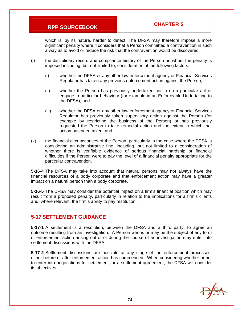which is, by its nature, harder to detect. The DFSA may therefore impose a more significant penalty where it considers that a Person committed a contravention in such a way as to avoid or reduce the risk that the contravention would be discovered;

- (j) the disciplinary record and compliance history of the Person on whom the penalty is imposed including, but not limited to, consideration of the following factors:
	- (i) whether the DFSA or any other law enforcement agency or Financial Services Regulator has taken any previous enforcement action against the Person;
	- (ii) whether the Person has previously undertaken not to do a particular act or engage in particular behaviour (for example in an Enforceable Undertaking to the DFSA); and
	- (iii) whether the DFSA or any other law enforcement agency or Financial Services Regulator has previously taken supervisory action against the Person (for example by restricting the business of the Person) or has previously requested the Person to take remedial action and the extent to which that action has been taken; and
- (k) the financial circumstances of the Person, particularly in the case where the DFSA is considering an administrative fine, including, but not limited to a consideration of whether there is verifiable evidence of serious financial hardship or financial difficulties if the Person were to pay the level of a financial penalty appropriate for the particular contravention.

**5-16-4** The DFSA may take into account that natural persons may not always have the financial resources of a body corporate and that enforcement action may have a greater impact on a natural person than a body corporate.

**5-16-5** The DFSA may consider the potential impact on a firm's financial position which may result from a proposed penalty, particularly in relation to the implications for a firm's clients and, where relevant, the firm's ability to pay restitution.

### **5-17 SETTLEMENT GUIDANCE**

**5-17-1** A settlement is a resolution, between the DFSA and a third party, to agree an outcome resulting from an investigation. A Person who is or may be the subject of any form of enforcement action arising out of or during the course of an investigation may enter into settlement discussions with the DFSA.

**5-17-2** Settlement discussions are possible at any stage of the enforcement processes, either before or after enforcement action has commenced. When considering whether or not to enter into negotiations for settlement, or a settlement agreement, the DFSA will consider its objectives.

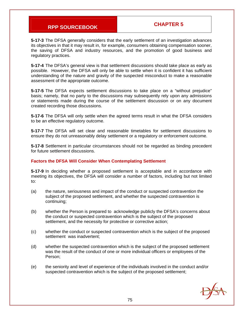**5-17-3** The DFSA generally considers that the early settlement of an investigation advances its objectives in that it may result in, for example, consumers obtaining compensation sooner, the saving of DFSA and industry resources, and the promotion of good business and regulatory practices.

**5-17-4** The DFSA's general view is that settlement discussions should take place as early as possible. However, the DFSA will only be able to settle when it is confident it has sufficient understanding of the nature and gravity of the suspected misconduct to make a reasonable assessment of the appropriate outcome.

**5-17-5** The DFSA expects settlement discussions to take place on a "without prejudice" basis; namely, that no party to the discussions may subsequently rely upon any admissions or statements made during the course of the settlement discussion or on any document created recording those discussions.

**5-17-6** The DFSA will only settle when the agreed terms result in what the DFSA considers to be an effective regulatory outcome.

**5-17-7** The DFSA will set clear and reasonable timetables for settlement discussions to ensure they do not unreasonably delay settlement or a regulatory or enforcement outcome.

**5-17-8** Settlement in particular circumstances should not be regarded as binding precedent for future settlement discussions.

#### **Factors the DFSA Will Consider When Contemplating Settlement**

**5-17-9** In deciding whether a proposed settlement is acceptable and in accordance with meeting its objectives, the DFSA will consider a number of factors, including but not limited to:

- (a) the nature, seriousness and impact of the conduct or suspected contravention the subject of the proposed settlement, and whether the suspected contravention is continuing;
- (b) whether the Person is prepared to acknowledge publicly the DFSA's concerns about the conduct or suspected contravention which is the subject of the proposed settlement, and the necessity for protective or corrective action;
- (c) whether the conduct or suspected contravention which is the subject of the proposed settlement was inadvertent;
- (d) whether the suspected contravention which is the subject of the proposed settlement was the result of the conduct of one or more individual officers or employees of the Person;
- (e) the seniority and level of experience of the individuals involved in the conduct and/or suspected contravention which is the subject of the proposed settlement;

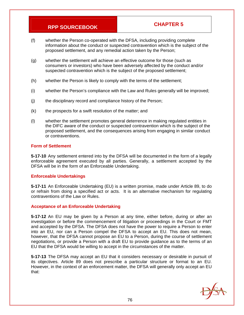- (f) whether the Person co-operated with the DFSA, including providing complete information about the conduct or suspected contravention which is the subject of the proposed settlement, and any remedial action taken by the Person;
- (g) whether the settlement will achieve an effective outcome for those (such as consumers or investors) who have been adversely affected by the conduct and/or suspected contravention which is the subject of the proposed settlement;
- (h) whether the Person is likely to comply with the terms of the settlement;
- (i) whether the Person's compliance with the Law and Rules generally will be improved;
- (j) the disciplinary record and compliance history of the Person;
- (k) the prospects for a swift resolution of the matter; and
- (l) whether the settlement promotes general deterrence in making regulated entities in the DIFC aware of the conduct or suspected contravention which is the subject of the proposed settlement, and the consequences arising from engaging in similar conduct or contraventions.

#### **Form of Settlement**

**5-17-10** Any settlement entered into by the DFSA will be documented in the form of a legally enforceable agreement executed by all parties. Generally, a settlement accepted by the DFSA will be in the form of an Enforceable Undertaking.

#### **Enforceable Undertakings**

**5-17-11** An Enforceable Undertaking (EU) is a written promise, made under Article 89, to do or refrain from doing a specified act or acts. It is an alternative mechanism for regulating contraventions of the Law or Rules.

#### **Acceptance of an Enforceable Undertaking**

**5-17-12** An EU may be given by a Person at any time, either before, during or after an investigation or before the commencement of litigation or proceedings in the Court or FMT and accepted by the DFSA. The DFSA does not have the power to require a Person to enter into an EU, nor can a Person compel the DFSA to accept an EU. This does not mean, however, that the DFSA cannot propose an EU to a Person, during the course of settlement negotiations, or provide a Person with a draft EU to provide guidance as to the terms of an EU that the DFSA would be willing to accept in the circumstances of the matter.

**5-17-13** The DFSA may accept an EU that it considers necessary or desirable in pursuit of its objectives. Article 89 does not prescribe a particular structure or format to an EU. However, in the context of an enforcement matter, the DFSA will generally only accept an EU that:

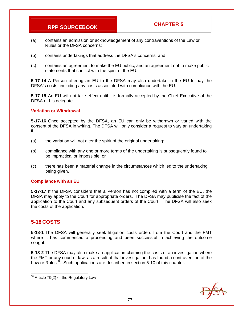- (a) contains an admission or acknowledgement of any contraventions of the Law or Rules or the DFSA concerns;
- (b) contains undertakings that address the DFSA's concerns; and
- (c) contains an agreement to make the EU public, and an agreement not to make public statements that conflict with the spirit of the EU.

**5-17-14** A Person offering an EU to the DFSA may also undertake in the EU to pay the DFSA's costs, including any costs associated with compliance with the EU.

**5-17-15** An EU will not take effect until it is formally accepted by the Chief Executive of the DFSA or his delegate.

### **Variation or Withdrawal**

**5-17-16** Once accepted by the DFSA, an EU can only be withdrawn or varied with the consent of the DFSA in writing. The DFSA will only consider a request to vary an undertaking if:

- (a) the variation will not alter the spirit of the original undertaking;
- (b) compliance with any one or more terms of the undertaking is subsequently found to be impractical or impossible; or
- (c) there has been a material change in the circumstances which led to the undertaking being given.

#### **Compliance with an EU**

**5-17-17** If the DFSA considers that a Person has not complied with a term of the EU, the DFSA may apply to the Court for appropriate orders. The DFSA may publicise the fact of the application to the Court and any subsequent orders of the Court. The DFSA will also seek the costs of the application.

### **5-18 COSTS**

-

**5-18-1** The DFSA will generally seek litigation costs orders from the Court and the FMT where it has commenced a proceeding and been successful in achieving the outcome sought.

**5-18-2** The DFSA may also make an application claiming the costs of an investigation where the FMT or any court of law, as a result of that investigation, has found a contravention of the Law or Rules<sup>50</sup>. Such applications are described in section 5-10 of this chapter.



 $50$  Article 79(2) of the Regulatory Law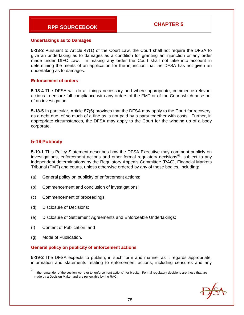#### **Undertakings as to Damages**

**5-18-3** Pursuant to Article 47(1) of the Court Law, the Court shall not require the DFSA to give an undertaking as to damages as a condition for granting an injunction or any order made under DIFC Law. In making any order the Court shall not take into account in determining the merits of an application for the injunction that the DFSA has not given an undertaking as to damages.

#### **Enforcement of orders**

**5-18-4** The DFSA will do all things necessary and where appropriate, commence relevant actions to ensure full compliance with any orders of the FMT or of the Court which arise out of an investigation.

**5-18-5** In particular, Article 87(5) provides that the DFSA may apply to the Court for recovery, as a debt due, of so much of a fine as is not paid by a party together with costs. Further, in appropriate circumstances, the DFSA may apply to the Court for the winding up of a body corporate.

### **5-19 Publicity**

**5-19-1** This Policy Statement describes how the DFSA Executive may comment publicly on investigations, enforcement actions and other formal regulatory decisions<sup>51</sup>, subject to any independent determinations by the Regulatory Appeals Committee (RAC), Financial Markets Tribunal (FMT) and courts, unless otherwise ordered by any of these bodies, including:

- (a) General policy on publicity of enforcement actions;
- (b) Commencement and conclusion of investigations;
- (c) Commencement of proceedings;
- (d) Disclosure of Decisions;
- (e) Disclosure of Settlement Agreements and Enforceable Undertakings;
- (f) Content of Publication; and
- (g) Mode of Publication.

-

#### **General policy on publicity of enforcement actions**

**5-19-2** The DFSA expects to publish, in such form and manner as it regards appropriate, information and statements relating to enforcement actions, including censures and any

 $51$ In the remainder of the section we refer to 'enforcement actions', for brevity. Formal regulatory decisions are those that are made by a Decision Maker and are reviewable by the RAC.

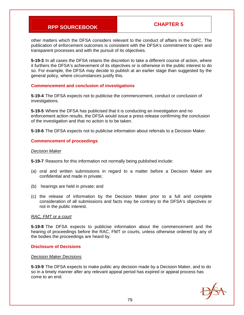other matters which the DFSA considers relevant to the conduct of affairs in the DIFC. The publication of enforcement outcomes is consistent with the DFSA's commitment to open and transparent processes and with the pursuit of its objectives.

**5-19-3** In all cases the DFSA retains the discretion to take a different course of action, where it furthers the DFSA's achievement of its objectives or is otherwise in the public interest to do so. For example, the DFSA may decide to publish at an earlier stage than suggested by the general policy, where circumstances justify this.

#### **Commencement and conclusion of investigations**

**5-19-4** The DFSA expects not to publicise the commencement, conduct or conclusion of investigations.

**5-19-5** Where the DFSA has publicised that it is conducting an investigation and no enforcement action results, the DFSA would issue a press release confirming the conclusion of the investigation and that no action is to be taken.

**5-19-6** The DFSA expects not to publicise information about referrals to a Decision Maker.

#### **Commencement of proceedings**

#### *Decision Maker*

**5-19-7** Reasons for this information not normally being published include:

- (a) oral and written submissions in regard to a matter before a Decision Maker are confidential and made in private;
- (b) hearings are held in private; and
- (c) the release of information by the Decision Maker prior to a full and complete consideration of all submissions and facts may be contrary to the DFSA's objectives or not in the public interest.

#### *RAC, FMT or a court*

**5-19-8** The DFSA expects to publicise information about the commencement and the hearing of proceedings before the RAC, FMT or courts, unless otherwise ordered by any of the bodies the proceedings are heard by.

#### **Disclosure of Decisions**

#### *Decision Maker Decisions*

**5-19-9** The DFSA expects to make public any decision made by a Decision Maker, and to do so in a timely manner after any relevant appeal period has expired or appeal process has come to an end.

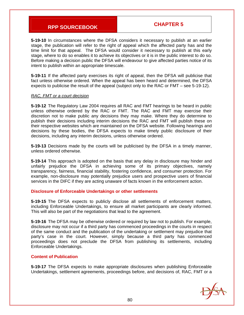**5-19-10** In circumstances where the DFSA considers it necessary to publish at an earlier stage, the publication will refer to the right of appeal which the affected party has and the time limit for that appeal. The DFSA would consider it necessary to publish at this early stage, where to do so enables it to achieve its objectives or it is in the public interest to do so. Before making a decision public the DFSA will endeavour to give affected parties notice of its intent to publish within an appropriate timescale.

**5-19-11** If the affected party exercises its right of appeal, then the DFSA will publicise that fact unless otherwise ordered. When the appeal has been heard and determined, the DFSA expects to publicise the result of the appeal (subject only to the RAC or FMT – see 5-19-12).

#### *RAC, FMT or a court decision*

**5-19-12** The Regulatory Law 2004 requires all RAC and FMT hearings to be heard in public unless otherwise ordered by the RAC or FMT. The RAC and FMT may exercise their discretion not to make public any decisions they may make. Where they do determine to publish their decisions including interim decisions the RAC and FMT will publish these on their respective websites which are maintained on the DFSA website. Following hearings and decisions by these bodies, the DFSA expects to make timely public disclosure of their decisions, including any interim decisions, unless otherwise ordered.

**5-19-13** Decisions made by the courts will be publicised by the DFSA in a timely manner, unless ordered otherwise.

**5-19-14** This approach is adopted on the basis that any delay in disclosure may hinder and unfairly prejudice the DFSA in achieving some of its primary objectives, namely transparency, fairness, financial stability, fostering confidence, and consumer protection. For example, non-disclosure may potentially prejudice users and prospective users of financial services in the DIFC if they are acting unaware of facts known in the enforcement action.

#### **Disclosure of Enforceable Undertakings or other settlements**

**5-19-15** The DFSA expects to publicly disclose all settlements of enforcement matters, including Enforceable Undertakings, to ensure all market participants are clearly informed. This will also be part of the negotiations that lead to the agreement.

**5-19-16** The DFSA may be otherwise ordered or required by law not to publish. For example, disclosure may not occur if a third party has commenced proceedings in the courts in respect of the same conduct and the publication of the undertaking or settlement may prejudice that party's case in the court. However, simply because a third party has commenced proceedings does not preclude the DFSA from publishing its settlements, including Enforceable Undertakings.

#### **Content of Publication**

**5-19-17** The DFSA expects to make appropriate disclosures when publishing Enforceable Undertakings, settlement agreements, proceedings before, and decisions of, RAC, FMT or a

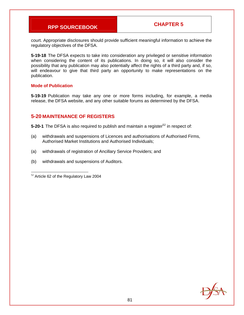court. Appropriate disclosures should provide sufficient meaningful information to achieve the regulatory objectives of the DFSA.

**5-19-18** The DFSA expects to take into consideration any privileged or sensitive information when considering the content of its publications. In doing so, it will also consider the possibility that any publication may also potentially affect the rights of a third party and, if so, will endeavour to give that third party an opportunity to make representations on the publication.

#### **Mode of Publication**

**5-19-19** Publication may take any one or more forms including, for example, a media release, the DFSA website, and any other suitable forums as determined by the DFSA.

### **5-20 MAINTENANCE OF REGISTERS**

**5-20-1** The DFSA is also required to publish and maintain a register<sup>52</sup> in respect of:

- (a) withdrawals and suspensions of Licences and authorisations of Authorised Firms, Authorised Market Institutions and Authorised Individuals;
- (a) withdrawals of registration of Ancillary Service Providers; and
- (b) withdrawals and suspensions of Auditors.

-



<sup>52</sup> Article 62 of the Regulatory Law 2004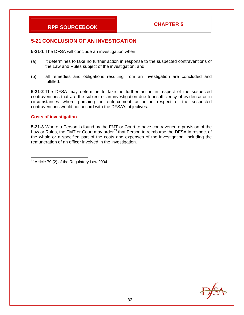### **5-21 CONCLUSION OF AN INVESTIGATION**

**5-21-1** The DFSA will conclude an investigation when:

- (a) it determines to take no further action in response to the suspected contraventions of the Law and Rules subject of the investigation; and
- (b) all remedies and obligations resulting from an investigation are concluded and fulfilled.

**5-21-2** The DFSA may determine to take no further action in respect of the suspected contraventions that are the subject of an investigation due to insufficiency of evidence or in circumstances where pursuing an enforcement action in respect of the suspected contraventions would not accord with the DFSA's objectives.

#### **Costs of investigation**

**5-21-3** Where a Person is found by the FMT or Court to have contravened a provision of the Law or Rules, the FMT or Court may order<sup>53</sup> that Person to reimburse the DFSA in respect of the whole or a specified part of the costs and expenses of the investigation, including the remuneration of an officer involved in the investigation.



<sup>-</sup> $53$  Article 79 (2) of the Regulatory Law 2004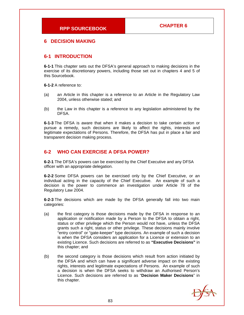#### **6 DECISION MAKING**

### **6-1 INTRODUCTION**

**6-1-1** This chapter sets out the DFSA's general approach to making decisions in the exercise of its discretionary powers, including those set out in chapters 4 and 5 of this Sourcebook.

**6-1-2** A reference to:

- (a) an Article in this chapter is a reference to an Article in the Regulatory Law 2004, unless otherwise stated; and
- (b) the Law in this chapter is a reference to any legislation administered by the DFSA.

**6-1-3** The DFSA is aware that when it makes a decision to take certain action or pursue a remedy, such decisions are likely to affect the rights, interests and legitimate expectations of Persons. Therefore, the DFSA has put in place a fair and transparent decision making process.

### **6-2 WHO CAN EXERCISE A DFSA POWER?**

**6-2-1** The DFSA's powers can be exercised by the Chief Executive and any DFSA officer with an appropriate delegation.

**6-2-2** Some DFSA powers can be exercised only by the Chief Executive, or an individual acting in the capacity of the Chief Executive. An example of such a decision is the power to commence an investigation under Article 78 of the Regulatory Law 2004.

**6-2-3** The decisions which are made by the DFSA generally fall into two main categories:

- (a) the first category is those decisions made by the DFSA in response to an application or notification made by a Person to the DFSA to obtain a right, status or other privilege which the Person would not have, unless the DFSA grants such a right, status or other privilege. These decisions mainly involve "entry control" or "gate-keeper" type decisions. An example of such a decision is when the DFSA considers an application for a Licence or extension to an existing Licence. Such decisions are referred to as **"Executive Decisions"** in this chapter; and
- (b) the second category is those decisions which result from action initiated by the DFSA and which can have a significant adverse impact on the existing rights, interests and legitimate expectations of Persons. An example of such a decision is when the DFSA seeks to withdraw an Authorised Person's Licence. Such decisions are referred to as "**Decision Maker Decisions**" in this chapter.

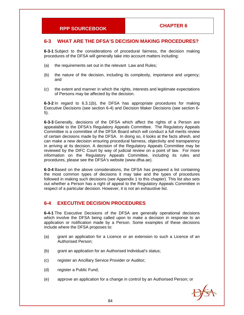### **6-3 WHAT ARE THE DFSA'S DECISION MAKING PROCEDURES?**

**6-3-1** Subject to the considerations of procedural fairness, the decision making procedures of the DFSA will generally take into account matters including:

- (a) the requirements set out in the relevant Law and Rules;
- (b) the nature of the decision, including its complexity, importance and urgency; and
- (c) the extent and manner in which the rights, interests and legitimate expectations of Persons may be affected by the decision.

**6-3-2** In regard to 6.3.1(b), the DFSA has appropriate procedures for making Executive Decisions (see section 6-4) and Decision Maker Decisions (see section 6- 5).

**6-3-3** Generally, decisions of the DFSA which affect the rights of a Person are appealable to the DFSA's Regulatory Appeals Committee. The Regulatory Appeals Committee is a committee of the DFSA Board which will conduct a full merits review of certain decisions made by the DFSA. In doing so, it looks at the facts afresh, and can make a new decision ensuring procedural fairness, objectivity and transparency in arriving at its decision. A decision of the Regulatory Appeals Committee may be reviewed by the DIFC Court by way of judicial review on a point of law. For more information on the Regulatory Appeals Committee, including its rules and procedures, please see the DFSA's website (www.dfsa.ae).

**6-3-4** Based on the above considerations, the DFSA has prepared a list containing the most common types of decisions it may take and the types of procedures followed in making such decisions (see Appendix 1 to this chapter). This list also sets out whether a Person has a right of appeal to the Regulatory Appeals Committee in respect of a particular decision. However, it is not an exhaustive list.

### **6-4 EXECUTIVE DECISION PROCEDURES**

**6-4-1** The Executive Decisions of the DFSA are generally operational decisions which involve the DFSA being called upon to make a decision in response to an application or notification made by a Person. Some examples of these decisions include where the DFSA proposes to:

- (a) grant an application for a Licence or an extension to such a Licence of an Authorised Person;
- (b) grant an application for an Authorised Individual's status;
- (c) register an Ancillary Service Provider or Auditor;
- (d) register a Public Fund;
- (e) approve an application for a change in control by an Authorised Person; or

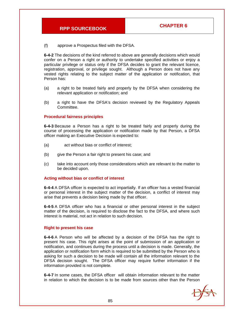(f) approve a Prospectus filed with the DFSA.

**6-4-2** The decisions of the kind referred to above are generally decisions which would confer on a Person a right or authority to undertake specified activities or enjoy a particular privilege or status only if the DFSA decides to grant the relevant licence, registration, approval, or privilege sought. Although a Person does not have any vested rights relating to the subject matter of the application or notification, that Person has:

- (a) a right to be treated fairly and properly by the DFSA when considering the relevant application or notification; and
- (b) a right to have the DFSA's decision reviewed by the Regulatory Appeals Committee.

#### **Procedural fairness principles**

**6-4-3** Because a Person has a right to be treated fairly and properly during the course of processing the application or notification made by that Person, a DFSA officer making an Executive Decision is expected to:

- (a) act without bias or conflict of interest;
- (b) give the Person a fair right to present his case; and
- (c) take into account only those considerations which are relevant to the matter to be decided upon.

#### **Acting without bias or conflict of interest**

**6-4-4** A DFSA officer is expected to act impartially. If an officer has a vested financial or personal interest in the subject matter of the decision, a conflict of interest may arise that prevents a decision being made by that officer.

**6-4-5** A DFSA officer who has a financial or other personal interest in the subject matter of the decision, is required to disclose the fact to the DFSA, and where such interest is material, not act in relation to such decision.

#### **Right to present his case**

**6-4-6** A Person who will be affected by a decision of the DFSA has the right to present his case. This right arises at the point of submission of an application or notification, and continues during the process until a decision is made. Generally, the application or notification form which is required to be submitted by the Person who is asking for such a decision to be made will contain all the information relevant to the DFSA decision sought. The DFSA officer may require further information if the information provided is not complete.

**6-4-7** In some cases, the DFSA officer will obtain information relevant to the matter in relation to which the decision is to be made from sources other than the Person

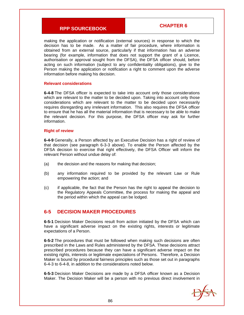making the application or notification (external sources) in response to which the decision has to be made. As a matter of fair procedure, where information is obtained from an external source, particularly if that information has an adverse bearing (for example, information that does not support the grant of a Licence, authorisation or approval sought from the DFSA), the DFSA officer should, before acting on such information (subject to any confidentiality obligations), give to the Person making the application or notification a right to comment upon the adverse information before making his decision.

#### **Relevant considerations**

**6-4-8** The DFSA officer is expected to take into account only those considerations which are relevant to the matter to be decided upon. Taking into account only those considerations which are relevant to the matter to be decided upon necessarily requires disregarding any irrelevant information. This also requires the DFSA officer to ensure that he has all the material information that is necessary to be able to make the relevant decision. For this purpose, the DFSA officer may ask for further information.

#### **Right of review**

**6-4-9** Generally, a Person affected by an Executive Decision has a right of review of that decision (see paragraph 6-3-3 above). To enable the Person affected by the DFSA decision to exercise that right effectively, the DFSA Officer will inform the relevant Person without undue delay of:

- (a) the decision and the reasons for making that decision;
- (b) any information required to be provided by the relevant Law or Rule empowering the action; and
- (c) if applicable, the fact that the Person has the right to appeal the decision to the Regulatory Appeals Committee, the process for making the appeal and the period within which the appeal can be lodged.

### **6-5 DECISION MAKER PROCEDURES**

**6-5-1** Decision Maker Decisions result from action initiated by the DFSA which can have a significant adverse impact on the existing rights, interests or legitimate expectations of a Person.

**6-5-2** The procedures that must be followed when making such decisions are often prescribed in the Laws and Rules administered by the DFSA. These decisions attract prescribed procedures because they can have a significant adverse impact on the existing rights, interests or legitimate expectations of Persons. Therefore, a Decision Maker is bound by procedural fairness principles such as those set out in paragraphs 6-4-3 to 6-4-8, in addition to the considerations noted below.

**6-5-3** Decision Maker Decisions are made by a DFSA officer known as a Decision Maker. The Decision Maker will be a person with no previous direct involvement in

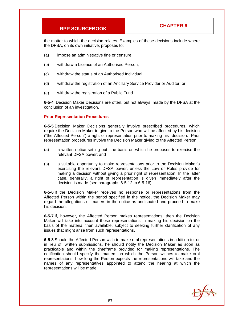the matter to which the decision relates. Examples of these decisions include where the DFSA, on its own initiative, proposes to:

- (a) impose an administrative fine or censure,
- (b) withdraw a Licence of an Authorised Person;
- (c) withdraw the status of an Authorised Individual;
- (d) withdraw the registration of an Ancillary Service Provider or Auditor; or
- (e) withdraw the registration of a Public Fund.

**6-5-4** Decision Maker Decisions are often, but not always, made by the DFSA at the conclusion of an investigation.

#### **Prior Representation Procedures**

**6-5-5** Decision Maker Decisions generally involve prescribed procedures, which require the Decision Maker to give to the Person who will be affected by his decision ("the Affected Person") a right of representation prior to making his decision. Prior representation procedures involve the Decision Maker giving to the Affected Person:

- (a) a written notice setting out the basis on which he proposes to exercise the relevant DFSA power; and
- (b) a suitable opportunity to make representations prior to the Decision Maker's exercising the relevant DFSA power, unless the Law or Rules provide for making a decision without giving a prior right of representation. In the latter case, generally, a right of representation is given immediately after the decision is made (see paragraphs 6-5-12 to 6-5-16).

**6-5-6** If the Decision Maker receives no response or representations from the Affected Person within the period specified in the notice, the Decision Maker may regard the allegations or matters in the notice as undisputed and proceed to make his decision.

**6-5-7** If, however, the Affected Person makes representations, then the Decision Maker will take into account those representations in making his decision on the basis of the material then available, subject to seeking further clarification of any issues that might arise from such representations.

**6-5-8** Should the Affected Person wish to make oral representations in addition to, or in lieu of, written submissions, he should notify the Decision Maker as soon as practicable and within the timeframe provided for making representations. The notification should specify the matters on which the Person wishes to make oral representations, how long the Person expects the representations will take and the names of any representatives appointed to attend the hearing at which the representations will be made.

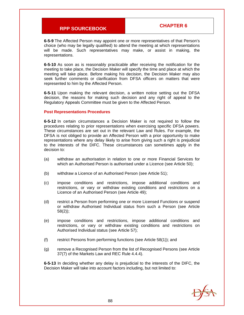**6-5-9** The Affected Person may appoint one or more representatives of that Person's choice (who may be legally qualified) to attend the meeting at which representations will be made. Such representatives may make, or assist in making, the representations.

**6-5-10** As soon as is reasonably practicable after receiving the notification for the meeting to take place, the Decision Maker will specify the time and place at which the meeting will take place. Before making his decision, the Decision Maker may also seek further comments or clarification from DFSA officers on matters that were represented to him by the Affected Person.

**6-5-11** Upon making the relevant decision, a written notice setting out the DFSA decision, the reasons for making such decision and any right of appeal to the Regulatory Appeals Committee must be given to the Affected Person.

#### **Post Representations Procedures**

**6-5-12** In certain circumstances a Decision Maker is not required to follow the procedures relating to prior representations when exercising specific DFSA powers. These circumstances are set out in the relevant Law and Rules. For example, the DFSA is not obliged to provide an Affected Person with a prior opportunity to make representations where any delay likely to arise from giving such a right is prejudicial to the interests of the DIFC. These circumstances can sometimes apply in the decision to:

- (a) withdraw an authorisation in relation to one or more Financial Services for which an Authorised Person is authorised under a Licence (see Article 50);
- (b) withdraw a Licence of an Authorised Person (see Article 51);
- (c) impose conditions and restrictions, impose additional conditions and restrictions, or vary or withdraw existing conditions and restrictions on a Licence of an Authorised Person (see Article 49);
- (d) restrict a Person from performing one or more Licensed Functions or suspend or withdraw Authorised Individual status from such a Person (see Article 58(2));
- (e) impose conditions and restrictions, impose additional conditions and restrictions, or vary or withdraw existing conditions and restrictions on Authorised Individual status (see Article 57);
- (f) restrict Persons from performing functions (see Article 58(1)); and
- (g) remove a Recognised Person from the list of Recognised Persons (see Article 37(7) of the Markets Law and REC Rule 4.4.4).

**6-5-13** In deciding whether any delay is prejudicial to the interests of the DIFC, the Decision Maker will take into account factors including, but not limited to:

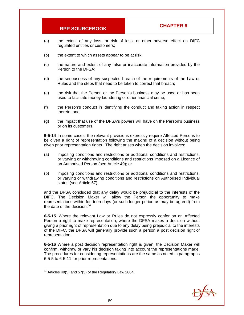- (a) the extent of any loss, or risk of loss, or other adverse effect on DIFC regulated entities or customers;
- (b) the extent to which assets appear to be at risk;
- (c) the nature and extent of any false or inaccurate information provided by the Person to the DFSA;
- (d) the seriousness of any suspected breach of the requirements of the Law or Rules and the steps that need to be taken to correct that breach;
- (e) the risk that the Person or the Person's business may be used or has been used to facilitate money laundering or other financial crime;
- (f) the Person's conduct in identifying the conduct and taking action in respect thereto; and
- (g) the impact that use of the DFSA's powers will have on the Person's business or on its customers.

**6-5-14** In some cases, the relevant provisions expressly require Affected Persons to be given a right of representation following the making of a decision without being given prior representation rights. The right arises when the decision involves:

- (a) imposing conditions and restrictions or additional conditions and restrictions, or varying or withdrawing conditions and restrictions imposed on a Licence of an Authorised Person (see Article 49); or
- (b) imposing conditions and restrictions or additional conditions and restrictions, or varying or withdrawing conditions and restrictions on Authorised Individual status (see Article 57),

and the DFSA concluded that any delay would be prejudicial to the interests of the DIFC. The Decision Maker will allow the Person the opportunity to make representations within fourteen days (or such longer period as may be agreed) from the date of the decision.  $54$ 

**6-5-15** Where the relevant Law or Rules do not expressly confer on an Affected Person a right to make representation, where the DFSA makes a decision without giving a prior right of representation due to any delay being prejudicial to the interests of the DIFC, the DFSA will generally provide such a person a post decision right of representation.

**6-5-16** Where a post decision representation right is given, the Decision Maker will confirm, withdraw or vary his decision taking into account the representations made. The procedures for considering representations are the same as noted in paragraphs 6-5-5 to 6-5-11 for prior representations.

 $\overline{a}$ 



 $54$  Articles 49(5) and 57(5) of the Regulatory Law 2004.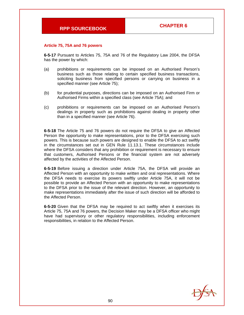#### **Article 75, 75A and 76 powers**

**6-5-17** Pursuant to Articles 75, 75A and 76 of the Regulatory Law 2004, the DFSA has the power by which:

- (a) prohibitions or requirements can be imposed on an Authorised Person's business such as those relating to certain specified business transactions, soliciting business from specified persons or carrying on business in a specified manner (see Article 75);
- (b) for prudential purposes, directions can be imposed on an Authorised Firm or Authorised Firms within a specified class (see Article 75A); and
- (c) prohibitions or requirements can be imposed on an Authorised Person's dealings in property such as prohibitions against dealing in property other than in a specified manner (see Article 76).

**6-5-18** The Article 75 and 76 powers do not require the DFSA to give an Affected Person the opportunity to make representations, prior to the DFSA exercising such powers. This is because such powers are designed to enable the DFSA to act swiftly in the circumstances set out in GEN Rule 11.13.1. These circumstances include where the DFSA considers that any prohibition or requirement is necessary to ensure that customers, Authorised Persons or the financial system are not adversely affected by the activities of the Affected Person.

**6-5-19** Before issuing a direction under Article 75A, the DFSA will provide an Affected Person with an opportunity to make written and oral representations. Where the DFSA needs to exercise its powers swiftly under Article 75A, it will not be possible to provide an Affected Person with an opportunity to make representations to the DFSA prior to the issue of the relevant direction. However, an opportunity to make representations immediately after the issue of such direction will be afforded to the Affected Person.

**6-5-20** Given that the DFSA may be required to act swiftly when it exercises its Article 75, 75A and 76 powers, the Decision Maker may be a DFSA officer who might have had supervisory or other regulatory responsibilities, including enforcement responsibilities, in relation to the Affected Person.

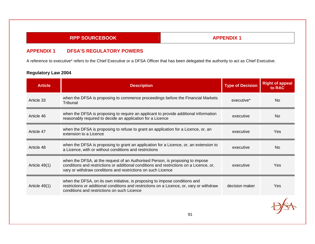# **APPENDIX 1**

### **APPENDIX 1 DFSA'S REGULATORY POWERS**

A reference to executive\* refers to the Chief Executive or a DFSA Officer that has been delegated the authority to act as Chief Executive.

| <b>Article</b>  | <b>Description</b>                                                                                                                                                                                                                       | <b>Type of Decision</b> | <b>Right of appeal</b><br>to RAC |
|-----------------|------------------------------------------------------------------------------------------------------------------------------------------------------------------------------------------------------------------------------------------|-------------------------|----------------------------------|
| Article 33      | when the DFSA is proposing to commence proceedings before the Financial Markets<br>Tribunal                                                                                                                                              | executive*              | <b>No</b>                        |
| Article 46      | when the DFSA is proposing to require an applicant to provide additional information<br>reasonably required to decide an application for a Licence                                                                                       | executive               | <b>No</b>                        |
| Article 47      | when the DFSA is proposing to refuse to grant an application for a Licence, or, an<br>extension to a Licence                                                                                                                             | executive               | Yes                              |
| Article 48      | when the DFSA is proposing to grant an application for a Licence, or, an extension to<br>a Licence, with or without conditions and restrictions                                                                                          | executive               | <b>No</b>                        |
| Article $49(1)$ | when the DFSA, at the request of an Authorised Person, is proposing to impose<br>conditions and restrictions or additional conditions and restrictions on a Licence, or,<br>vary or withdraw conditions and restrictions on such Licence | executive               | Yes                              |
| Article $49(1)$ | when the DFSA, on its own initiative, is proposing to impose conditions and<br>restrictions or additional conditions and restrictions on a Licence, or, vary or withdraw<br>conditions and restrictions on such Licence                  | decision maker          | Yes                              |
|                 | 91                                                                                                                                                                                                                                       |                         |                                  |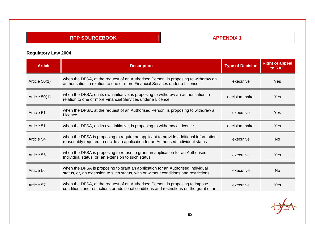# **APPENDIX 1**

| <b>Article</b>  | <b>Description</b>                                                                                                                                                        | <b>Type of Decision</b> | <b>Right of appeal</b><br>to RAC |
|-----------------|---------------------------------------------------------------------------------------------------------------------------------------------------------------------------|-------------------------|----------------------------------|
| Article $50(1)$ | when the DFSA, at the request of an Authorised Person, is proposing to withdraw an<br>authorisation in relation to one or more Financial Services under a Licence         | executive               | Yes                              |
| Article $50(1)$ | when the DFSA, on its own initiative, is proposing to withdraw an authorisation in<br>relation to one or more Financial Services under a Licence                          | decision maker          | Yes                              |
| Article 51      | when the DFSA, at the request of an Authorised Person, is proposing to withdraw a<br>Licence                                                                              | executive               | Yes                              |
| Article 51      | when the DFSA, on its own initiative, is proposing to withdraw a Licence                                                                                                  | decision maker          | Yes                              |
| Article 54      | when the DFSA is proposing to require an applicant to provide additional information<br>reasonably required to decide an application for an Authorised Individual status  | executive               | <b>No</b>                        |
| Article 55      | when the DFSA is proposing to refuse to grant an application for an Authorised<br>Individual status, or, an extension to such status                                      | executive               | <b>Yes</b>                       |
| Article 56      | when the DFSA is proposing to grant an application for an Authorised Individual<br>status, or, an extension to such status, with or without conditions and restrictions   | executive               | <b>No</b>                        |
| Article 57      | when the DFSA, at the request of an Authorised Person, is proposing to impose<br>conditions and restrictions or additional conditions and restrictions on the grant of an | executive               | Yes                              |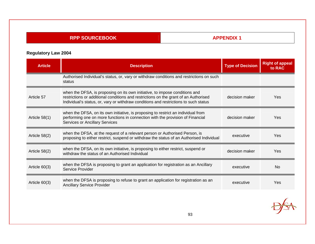# **APPENDIX 1**

| <b>Article</b>  | <b>Description</b>                                                                                                                                                                                                                                          | <b>Type of Decision</b> | <b>Right of appeal</b><br>to RAC |
|-----------------|-------------------------------------------------------------------------------------------------------------------------------------------------------------------------------------------------------------------------------------------------------------|-------------------------|----------------------------------|
|                 | Authorised Individual's status, or, vary or withdraw conditions and restrictions on such<br>status                                                                                                                                                          |                         |                                  |
| Article 57      | when the DFSA, is proposing on its own initiative, to impose conditions and<br>restrictions or additional conditions and restrictions on the grant of an Authorised<br>Individual's status, or, vary or withdraw conditions and restrictions to such status | decision maker          | Yes                              |
| Article $58(1)$ | when the DFSA, on its own initiative, is proposing to restrict an individual from<br>performing one on more functions in connection with the provision of Financial<br><b>Services or Ancillary Services</b>                                                | decision maker          | Yes                              |
| Article 58(2)   | when the DFSA, at the request of a relevant person or Authorised Person, is<br>proposing to either restrict, suspend or withdraw the status of an Authorised Individual                                                                                     | executive               | Yes                              |
| Article 58(2)   | when the DFSA, on its own initiative, is proposing to either restrict, suspend or<br>withdraw the status of an Authorised Individual                                                                                                                        | decision maker          | Yes                              |
| Article $60(3)$ | when the DFSA is proposing to grant an application for registration as an Ancillary<br>Service Provider                                                                                                                                                     | executive               | <b>No</b>                        |
| Article $60(3)$ | when the DFSA is proposing to refuse to grant an application for registration as an<br><b>Ancillary Service Provider</b>                                                                                                                                    | executive               | Yes                              |

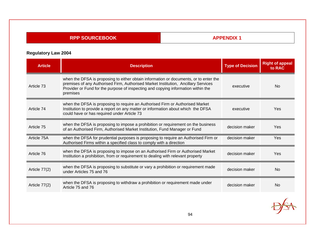# **APPENDIX 1**

| <b>Article</b> | <b>Description</b>                                                                                                                                                                                                                                                           | <b>Type of Decision</b> | <b>Right of appeal</b><br>to RAC |
|----------------|------------------------------------------------------------------------------------------------------------------------------------------------------------------------------------------------------------------------------------------------------------------------------|-------------------------|----------------------------------|
| Article 73     | when the DFSA is proposing to either obtain information or documents, or to enter the<br>premises of any Authorised Firm, Authorised Market Institution, Ancillary Services<br>Provider or Fund for the purpose of inspecting and copying information within the<br>premises | executive               | <b>No</b>                        |
| Article 74     | when the DFSA is proposing to require an Authorised Firm or Authorised Market<br>Institution to provide a report on any matter or information about which the DFSA<br>could have or has required under Article 73                                                            | executive               | Yes                              |
| Article 75     | when the DFSA is proposing to impose a prohibition or requirement on the business<br>of an Authorised Firm, Authorised Market Institution, Fund Manager or Fund                                                                                                              | decision maker          | Yes                              |
| Article 75A    | when the DFSA for prudential purposes is proposing to require an Authorised Firm or<br>Authorised Firms within a specified class to comply with a direction                                                                                                                  | decision maker          | Yes                              |
| Article 76     | when the DFSA is proposing to impose on an Authorised Firm or Authorised Market<br>Institution a prohibition, from or requirement to dealing with relevant property                                                                                                          | decision maker          | Yes                              |
| Article 77(2)  | when the DFSA is proposing to substitute or vary a prohibition or requirement made<br>under Articles 75 and 76                                                                                                                                                               | decision maker          | <b>No</b>                        |
| Article 77(2)  | when the DFSA is proposing to withdraw a prohibition or requirement made under<br>Article 75 and 76                                                                                                                                                                          | decision maker          | <b>No</b>                        |
|                |                                                                                                                                                                                                                                                                              |                         |                                  |

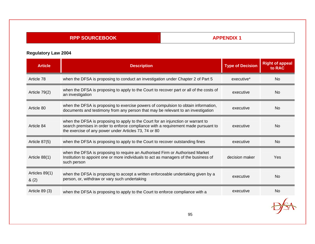# **APPENDIX 1**

| <b>Article</b>         | <b>Description</b>                                                                                                                                                                                                              | <b>Type of Decision</b> | <b>Right of appeal</b><br>to RAC |
|------------------------|---------------------------------------------------------------------------------------------------------------------------------------------------------------------------------------------------------------------------------|-------------------------|----------------------------------|
| Article 78             | when the DFSA is proposing to conduct an investigation under Chapter 2 of Part 5                                                                                                                                                | executive*              | <b>No</b>                        |
| Article 79(2)          | when the DFSA is proposing to apply to the Court to recover part or all of the costs of<br>an investigation                                                                                                                     | executive               | <b>No</b>                        |
| Article 80             | when the DFSA is proposing to exercise powers of compulsion to obtain information,<br>documents and testimony from any person that may be relevant to an investigation                                                          | executive               | <b>No</b>                        |
| Article 84             | when the DFSA is proposing to apply to the Court for an injunction or warrant to<br>search premises in order to enforce compliance with a requirement made pursuant to<br>the exercise of any power under Articles 73, 74 or 80 | executive               | <b>No</b>                        |
| Article 87(5)          | when the DFSA is proposing to apply to the Court to recover outstanding fines                                                                                                                                                   | executive               | <b>No</b>                        |
| Article 88(1)          | when the DFSA is proposing to require an Authorised Firm or Authorised Market<br>Institution to appoint one or more individuals to act as managers of the business of<br>such person                                            | decision maker          | Yes                              |
| Articles 89(1)<br>8(2) | when the DFSA is proposing to accept a written enforceable undertaking given by a<br>person, or, withdraw or vary such undertaking                                                                                              | executive               | <b>No</b>                        |
| Article 89 (3)         | when the DFSA is proposing to apply to the Court to enforce compliance with a                                                                                                                                                   | executive               | <b>No</b>                        |
|                        | $\sim$ $\sim$                                                                                                                                                                                                                   |                         |                                  |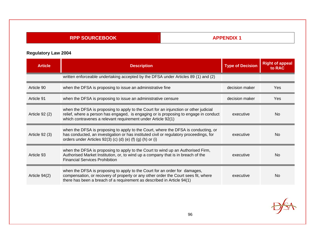# **APPENDIX 1**

| <b>Article</b> | <b>Description</b>                                                                                                                                                                                                                           | <b>Type of Decision</b> | <b>Right of appeal</b><br>to RAC |
|----------------|----------------------------------------------------------------------------------------------------------------------------------------------------------------------------------------------------------------------------------------------|-------------------------|----------------------------------|
|                | written enforceable undertaking accepted by the DFSA under Articles 89 (1) and (2)                                                                                                                                                           |                         |                                  |
| Article 90     | when the DFSA is proposing to issue an administrative fine                                                                                                                                                                                   | decision maker          | Yes                              |
| Article 91     | when the DFSA is proposing to issue an administrative censure                                                                                                                                                                                | decision maker          | Yes                              |
| Article 92 (2) | when the DFSA is proposing to apply to the Court for an injunction or other judicial<br>relief, where a person has engaged, is engaging or is proposing to engage in conduct<br>which contravenes a relevant requirement under Article 92(1) | executive               | No                               |
| Article 92 (3) | when the DFSA is proposing to apply to the Court, where the DFSA is conducting, or<br>has conducted, an investigation or has instituted civil or regulatory proceedings, for<br>orders under Articles 92(3) (c) (d) (e) (f) (g) (h) or (i)   | executive               | No                               |
| Article 93     | when the DFSA is proposing to apply to the Court to wind up an Authorised Firm,<br>Authorised Market Institution, or, to wind up a company that is in breach of the<br><b>Financial Services Prohibition</b>                                 | executive               | No                               |
| Article 94(2)  | when the DFSA is proposing to apply to the Court for an order for damages,<br>compensation, or recovery of property or any other order the Court sees fit, where<br>there has been a breach of a requirement as described in Article 94(1)   | executive               | No                               |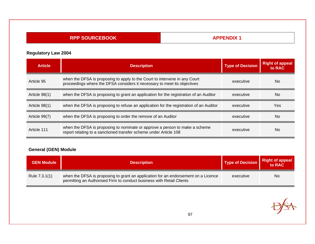# **APPENDIX 1**

# **Regulatory Law 2004**

| <b>Article</b>  | <b>Description</b>                                                                                                                                     | <b>Type of Decision</b> | <b>Right of appeal</b><br>to RAC |
|-----------------|--------------------------------------------------------------------------------------------------------------------------------------------------------|-------------------------|----------------------------------|
| Article 95      | when the DFSA is proposing to apply to the Court to intervene in any Court<br>proceedings where the DFSA considers it necessary to meet its objectives | executive               | <b>No</b>                        |
| Article $98(1)$ | when the DFSA is proposing to grant an application for the registration of an Auditor                                                                  | executive               | <b>No</b>                        |
| Article 98(1)   | when the DFSA is proposing to refuse an application for the registration of an Auditor                                                                 | executive               | Yes                              |
| Article 99(7)   | when the DFSA is proposing to order the remove of an Auditor                                                                                           | executive               | <b>No</b>                        |
| Article 111     | when the DFSA is proposing to nominate or approve a person to make a scheme<br>report relating to a sanctioned transfer scheme under Article 108       | executive               | <b>No</b>                        |

# **General (GEN) Module**

| <b>GEN Module</b> | <b>Description</b>                                                                                                                                          | <b>Type of Decision</b> | <b>Right of appeal</b><br>to RAC |
|-------------------|-------------------------------------------------------------------------------------------------------------------------------------------------------------|-------------------------|----------------------------------|
| Rule 7.3.1(1)     | when the DFSA is proposing to grant an application for an endorsement on a Licence<br>permitting an Authorised Firm to conduct business with Retail Clients | executive               | <b>No</b>                        |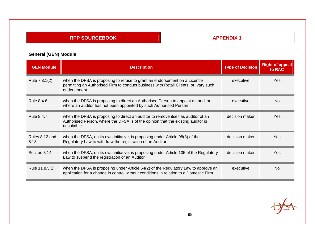# **APPENDIX 1**

# **General (GEN) Module**

| <b>GEN Module</b>      | <b>Description</b>                                                                                                                                                                  | <b>Type of Decision</b> | <b>Right of appeal</b><br>to RAC |
|------------------------|-------------------------------------------------------------------------------------------------------------------------------------------------------------------------------------|-------------------------|----------------------------------|
| Rule 7.3.1(2)          | when the DFSA is proposing to refuse to grant an endorsement on a Licence<br>permitting an Authorised Firm to conduct business with Retail Clients, or, vary such<br>endorsement    | executive               | <b>Yes</b>                       |
| Rule 8.4.6             | when the DFSA is proposing to direct an Authorised Person to appoint an auditor,<br>where an auditor has not been appointed by such Authorised Person                               | executive               | No.                              |
| <b>Rule 8.4.7</b>      | when the DFSA is proposing to direct an auditor to remove itself as auditor of an<br>Authorised Person, where the DFSA is of the opinion that the existing auditor is<br>unsuitable | decision maker          | <b>Yes</b>                       |
| Rules 8.12 and<br>8.13 | when the DFSA, on its own initiative, is proposing under Article 98(3) of the<br>Regulatory Law to withdraw the registration of an Auditor                                          | decision maker          | Yes.                             |
| Section 8.14           | when the DFSA, on its own initiative, is proposing under Article 105 of the Regulatory<br>Law to suspend the registration of an Auditor                                             | decision maker          | Yes                              |
| Rule 11.8.5(2)         | when the DFSA is proposing under Article 64(2) of the Regulatory Law to approve an<br>application for a change in control without conditions in relation to a Domestic Firm         | executive               | No.                              |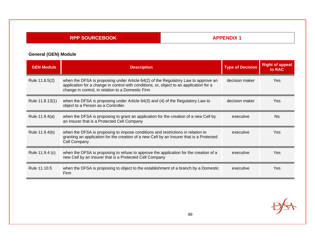# **APPENDIX 1**

# **General (GEN) Module**

| <b>GEN Module</b> | <b>Description</b>                                                                                                                                                                                                                 | <b>Type of Decision</b> | <b>Right of appeal</b><br>to RAC |
|-------------------|------------------------------------------------------------------------------------------------------------------------------------------------------------------------------------------------------------------------------------|-------------------------|----------------------------------|
| Rule 11.8.5(2)    | when the DFSA is proposing under Article 64(2) of the Regulatory Law to approve an<br>application for a change in control with conditions, or, object to an application for a<br>change in control, in relation to a Domestic Firm | decision maker          | <b>Yes</b>                       |
| Rule 11.8.13(1)   | when the DFSA is proposing under Article 64(3) and (4) of the Regulatory Law to<br>object to a Person as a Controller.                                                                                                             | decision maker          | <b>Yes</b>                       |
| Rule 11.9.4(a)    | when the DFSA is proposing to grant an application for the creation of a new Cell by<br>an Insurer that is a Protected Cell Company                                                                                                | executive               | No.                              |
| Rule 11.9.4(b)    | when the DFSA is proposing to impose conditions and restrictions in relation to<br>granting an application for the creation of a new Cell by an Insurer that is a Protected<br><b>Cell Company</b>                                 | executive               | <b>Yes</b>                       |
| Rule 11.9.4 (c)   | when the DFSA is proposing to refuse to approve the application for the creation of a<br>new Cell by an Insurer that is a Protected Cell Company                                                                                   | executive               | Yes                              |
| Rule 11.10.5      | when the DFSA is proposing to object to the establishment of a branch by a Domestic<br>Firm                                                                                                                                        | executive               | Yes                              |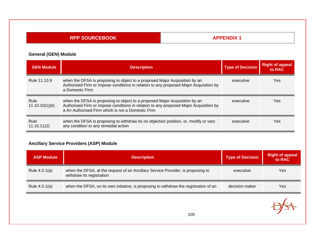# **APPENDIX 1**

### **General (GEN) Module**

| <b>GEN Module</b>      | <b>Description</b>                                                                                                                                                                                                       | <b>Type of Decision</b> | Right of appeal<br>to RAC |
|------------------------|--------------------------------------------------------------------------------------------------------------------------------------------------------------------------------------------------------------------------|-------------------------|---------------------------|
| Rule 11.10.9           | when the DFSA is proposing to object to a proposed Major Acquisition by an<br>Authorised Firm or impose conditions in relation to any proposed Major Acquisition by<br>a Domestic Firm                                   | executive               | <b>Yes</b>                |
| Rule<br>11.10.10(1)(b) | when the DFSA is proposing to object to a proposed Major Acquisition by an<br>Authorised Firm or impose conditions in relation to any proposed Major Acquisition by<br>a An Authorised Firm which is not a Domestic Firm | executive               | <b>Yes</b>                |
| Rule<br>11.10.11(2)    | when the DFSA is proposing to withdraw its no objection position, or, modify or vary<br>any condition or any remedial action                                                                                             | executive               | Yes                       |

### **Ancillary Service Providers (ASP) Module**

| <b>ASP Module</b> | <b>Description</b>                                                                                           | <b>Type of Decision</b> | <b>Right of appeal</b><br>to RAC |
|-------------------|--------------------------------------------------------------------------------------------------------------|-------------------------|----------------------------------|
| Rule 4.5.1(a)     | when the DFSA, at the request of an Ancillary Service Provider, is proposing to<br>withdraw its registration | executive               | Yes                              |
| Rule 4.5.1(a)     | when the DFSA, on its own initiative, is proposing to withdraw the registration of an                        | decision maker          | Yes                              |

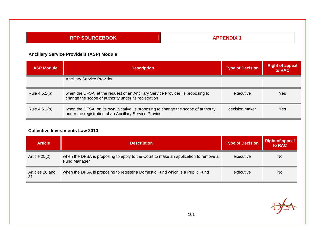| <b>APPENDIX 1</b><br><b>RPP SOURCEBOOK</b> |                                                                                                                                                |  |                         |                                  |
|--------------------------------------------|------------------------------------------------------------------------------------------------------------------------------------------------|--|-------------------------|----------------------------------|
|                                            | <b>Ancillary Service Providers (ASP) Module</b>                                                                                                |  |                         |                                  |
| <b>ASP Module</b>                          | <b>Description</b>                                                                                                                             |  | <b>Type of Decision</b> | <b>Right of appeal</b><br>to RAC |
|                                            | <b>Ancillary Service Provider</b>                                                                                                              |  |                         |                                  |
| Rule 4.5.1(b)                              | when the DFSA, at the request of an Ancillary Service Provider, is proposing to<br>change the scope of authority under its registration        |  | executive               | <b>Yes</b>                       |
| Rule 4.5.1(b)                              | when the DFSA, on its own initiative, is proposing to change the scope of authority<br>under the registration of an Ancillary Service Provider |  | decision maker          | Yes                              |

#### **Collective Investments Law 2010**

| <b>Article</b>        | <b>Description</b>                                                                                         | <b>Type of Decision</b> | <b>Right of appeal</b><br>to RAC |
|-----------------------|------------------------------------------------------------------------------------------------------------|-------------------------|----------------------------------|
| Article 25(2)         | when the DFSA is proposing to apply to the Court to make an application to remove a<br><b>Fund Manager</b> | executive               | <b>No</b>                        |
| Articles 28 and<br>31 | when the DFSA is proposing to register a Domestic Fund which is a Public Fund                              | executive               | <b>No</b>                        |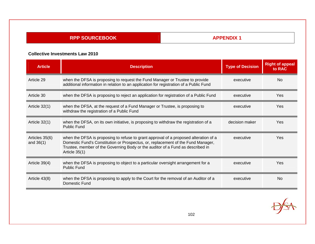**APPENDIX 1** 

#### **Collective Investments Law 2010**

| <b>Article</b>                | <b>Description</b>                                                                                                                                                                                                                                                            | <b>Type of Decision</b> | <b>Right of appeal</b><br>to RAC |
|-------------------------------|-------------------------------------------------------------------------------------------------------------------------------------------------------------------------------------------------------------------------------------------------------------------------------|-------------------------|----------------------------------|
| Article 29                    | when the DFSA is proposing to request the Fund Manager or Trustee to provide<br>additional information in relation to an application for registration of a Public Fund                                                                                                        | executive               | N <sub>0</sub>                   |
| Article 30                    | when the DFSA is proposing to reject an application for registration of a Public Fund                                                                                                                                                                                         | executive               | Yes                              |
| Article $32(1)$               | when the DFSA, at the request of a Fund Manager or Trustee, is proposing to<br>withdraw the registration of a Public Fund                                                                                                                                                     | executive               | Yes                              |
| Article 32(1)                 | when the DFSA, on its own initiative, is proposing to withdraw the registration of a<br><b>Public Fund</b>                                                                                                                                                                    | decision maker          | Yes                              |
| Articles 35(6)<br>and $36(1)$ | when the DFSA is proposing to refuse to grant approval of a proposed alteration of a<br>Domestic Fund's Constitution or Prospectus, or, replacement of the Fund Manager,<br>Trustee, member of the Governing Body or the auditor of a Fund as described in<br>Article $35(1)$ | executive               | Yes                              |
| Article $39(4)$               | when the DFSA is proposing to object to a particular oversight arrangement for a<br><b>Public Fund</b>                                                                                                                                                                        | executive               | Yes                              |
| Article 43(8)                 | when the DFSA is proposing to apply to the Court for the removal of an Auditor of a<br>Domestic Fund                                                                                                                                                                          | executive               | <b>No</b>                        |

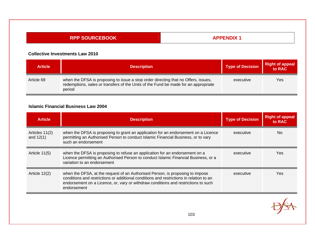**APPENDIX 1** 

#### **Collective Investments Law 2010**

| <b>Article</b> | <b>Description</b>                                                                                                                                                                  | <b>Type of Decision</b> | Right of appeal<br>to RAC |
|----------------|-------------------------------------------------------------------------------------------------------------------------------------------------------------------------------------|-------------------------|---------------------------|
| Article 69     | when the DFSA is proposing to issue a stop order directing that no Offers, issues,<br>redemptions, sales or transfers of the Units of the Fund be made for an appropriate<br>period | executive               | Yes                       |

#### **Islamic Financial Business Law 2004**

| <b>Article</b>                | <b>Description</b>                                                                                                                                                                                                                                                            | <b>Type of Decision</b> | <b>Right of appeal</b><br>to RAC |
|-------------------------------|-------------------------------------------------------------------------------------------------------------------------------------------------------------------------------------------------------------------------------------------------------------------------------|-------------------------|----------------------------------|
| Articles 11(2)<br>and $12(1)$ | when the DFSA is proposing to grant an application for an endorsement on a Licence<br>permitting an Authorised Person to conduct Islamic Financial Business, or to vary<br>such an endorsement                                                                                | executive               | No.                              |
| Article $11(5)$               | when the DFSA is proposing to refuse an application for an endorsement on a<br>Licence permitting an Authorised Person to conduct Islamic Financial Business, or a<br>variation to an endorsement                                                                             | executive               | Yes.                             |
| Article $12(2)$               | when the DFSA, at the request of an Authorised Person, is proposing to impose<br>conditions and restrictions or additional conditions and restrictions in relation to an<br>endorsement on a Licence, or, vary or withdraw conditions and restrictions to such<br>endorsement | executive               | Yes.                             |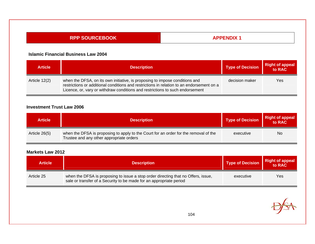**APPENDIX 1** 

#### **Islamic Financial Business Law 2004**

| <b>Article</b> | <b>Description</b>                                                                                                                                                                                                                                        | <b>Type of Decision</b> | <b>Right of appeal</b> |
|----------------|-----------------------------------------------------------------------------------------------------------------------------------------------------------------------------------------------------------------------------------------------------------|-------------------------|------------------------|
| Article 12(2)  | when the DFSA, on its own initiative, is proposing to impose conditions and<br>restrictions or additional conditions and restrictions in relation to an endorsement on a<br>Licence, or, vary or withdraw conditions and restrictions to such endorsement | decision maker          | Yes                    |

### **Investment Trust Law 2006**

| <b>Article</b> | <b>Description</b>                                                                                                               | <b>Type of Decision</b> | <b>Right of appeal</b><br>to RAC |
|----------------|----------------------------------------------------------------------------------------------------------------------------------|-------------------------|----------------------------------|
| Article 26(5)  | when the DFSA is proposing to apply to the Court for an order for the removal of the<br>Trustee and any other appropriate orders | executive               | No                               |

| <b>Article</b> | <b>Description</b>                                                                                                                                       | <b>Type of Decision</b> | <b>Right of appeal</b><br>to RAC |
|----------------|----------------------------------------------------------------------------------------------------------------------------------------------------------|-------------------------|----------------------------------|
| Article 25     | when the DFSA is proposing to issue a stop order directing that no Offers, issue,<br>sale or transfer of a Security to be made for an appropriate period | executive               | Yes                              |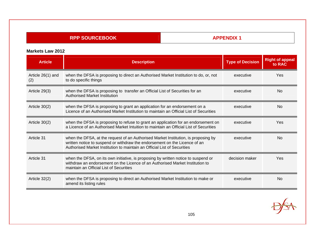## **APPENDIX 1**

| <b>Article</b>           | <b>Description</b>                                                                                                                                                                                                                           | <b>Type of Decision</b> | <b>Right of appeal</b><br>to RAC |
|--------------------------|----------------------------------------------------------------------------------------------------------------------------------------------------------------------------------------------------------------------------------------------|-------------------------|----------------------------------|
| Article 26(1) and<br>(2) | when the DFSA is proposing to direct an Authorised Market Institution to do, or, not<br>to do specific things                                                                                                                                | executive               | Yes                              |
| Article 29(3)            | when the DFSA is proposing to transfer an Official List of Securities for an<br><b>Authorised Market Institution</b>                                                                                                                         | executive               | <b>No</b>                        |
| Article $30(2)$          | when the DFSA is proposing to grant an application for an endorsement on a<br>Licence of an Authorised Market Institution to maintain an Official List of Securities                                                                         | executive               | <b>No</b>                        |
| Article $30(2)$          | when the DFSA is proposing to refuse to grant an application for an endorsement on<br>a Licence of an Authorised Market Intuition to maintain an Official List of Securities                                                                 | executive               | Yes                              |
| Article 31               | when the DFSA, at the request of an Authorised Market Institution, is proposing by<br>written notice to suspend or withdraw the endorsement on the Licence of an<br>Authorised Market Institution to maintain an Official List of Securities | executive               | <b>No</b>                        |
| Article 31               | when the DFSA, on its own initiative, is proposing by written notice to suspend or<br>withdraw an endorsement on the Licence of an Authorised Market Institution to<br>maintain an Official List of Securities                               | decision maker          | Yes                              |
| Article $32(2)$          | when the DFSA is proposing to direct an Authorised Market Institution to make or<br>amend its listing rules                                                                                                                                  | executive               | No                               |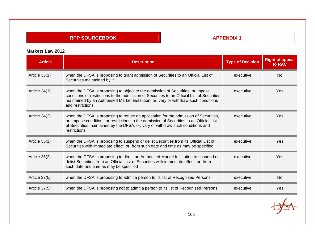## **APPENDIX 1**

| <b>Article</b>  | <b>Description</b>                                                                                                                                                                                                                                                                        | <b>Type of Decision</b> | <b>Right of appeal</b><br>to RAC |
|-----------------|-------------------------------------------------------------------------------------------------------------------------------------------------------------------------------------------------------------------------------------------------------------------------------------------|-------------------------|----------------------------------|
| Article $33(1)$ | when the DFSA is proposing to grant admission of Securities to an Official List of<br>Securities maintained by it                                                                                                                                                                         | executive               | N <sub>0</sub>                   |
| Article 34(1)   | when the DFSA is proposing to object to the admission of Securities, or impose<br>conditions or restrictions to the admission of Securities to an Official List of Securities<br>maintained by an Authorised Market Institution, or, vary or withdraw such conditions<br>and restrictions | executive               | Yes                              |
| Article 34(2)   | when the DFSA is proposing to refuse an application for the admission of Securities,<br>or, impose conditions or restrictions to the admission of Securities to an Official List<br>of Securities maintained by the DFSA, or, vary or withdraw such conditions and<br>restrictions        | executive               | Yes                              |
| Article $35(1)$ | when the DFSA is proposing to suspend or delist Securities from its Official List of<br>Securities with immediate effect, or, from such date and time as may be specified                                                                                                                 | executive               | Yes                              |
| Article 35(2)   | when the DFSA is proposing to direct an Authorised Market Institution to suspend or<br>delist Securities from an Official List of Securities with immediate effect, or, from<br>such date and time as may be specified                                                                    | executive               | Yes                              |
| Article 37(5)   | when the DFSA is proposing to admit a person to its list of Recognised Persons                                                                                                                                                                                                            | executive               | <b>No</b>                        |
| Article 37(5)   | when the DFSA is proposing not to admit a person to its list of Recognised Persons                                                                                                                                                                                                        | executive               | Yes                              |

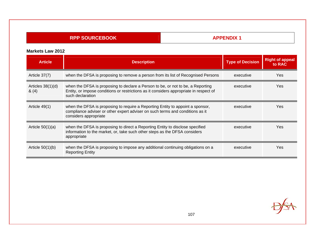## **APPENDIX 1**

| <b>Article</b>               | <b>Description</b>                                                                                                                                                                            | <b>Type of Decision</b> | <b>Right of appeal</b><br>to RAC |
|------------------------------|-----------------------------------------------------------------------------------------------------------------------------------------------------------------------------------------------|-------------------------|----------------------------------|
| Article 37(7)                | when the DFSA is proposing to remove a person from its list of Recognised Persons                                                                                                             | executive               | Yes                              |
| Articles $38(1)(d)$<br>& (4) | when the DFSA is proposing to declare a Person to be, or not to be, a Reporting<br>Entity, or impose conditions or restrictions as it considers appropriate in respect of<br>such declaration | executive               | Yes                              |
| Article 49(1)                | when the DFSA is proposing to require a Reporting Entity to appoint a sponsor,<br>compliance adviser or other expert adviser on such terms and conditions as it<br>considers appropriate      | executive               | Yes                              |
| Article $50(1)(a)$           | when the DFSA is proposing to direct a Reporting Entity to disclose specified<br>information to the market, or, take such other steps as the DFSA considers<br>appropriate                    | executive               | Yes                              |
| Article $50(1)(b)$           | when the DFSA is proposing to impose any additional continuing obligations on a<br><b>Reporting Entity</b>                                                                                    | executive               | Yes                              |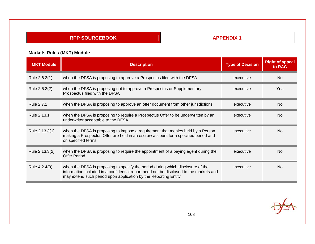**APPENDIX 1** 

# **Markets Rules (MKT) Module**

| <b>MKT Module</b> | <b>Description</b>                                                                                                                                                                                                                           | <b>Type of Decision</b> | <b>Right of appeal</b><br>to RAC |
|-------------------|----------------------------------------------------------------------------------------------------------------------------------------------------------------------------------------------------------------------------------------------|-------------------------|----------------------------------|
| Rule 2.6.2(1)     | when the DFSA is proposing to approve a Prospectus filed with the DFSA                                                                                                                                                                       | executive               | <b>No</b>                        |
| Rule 2.6.2(2)     | when the DFSA is proposing not to approve a Prospectus or Supplementary<br>Prospectus filed with the DFSA                                                                                                                                    | executive               | Yes                              |
| Rule 2.7.1        | when the DFSA is proposing to approve an offer document from other jurisdictions                                                                                                                                                             | executive               | N <sub>o</sub>                   |
| Rule 2.13.1       | when the DFSA is proposing to require a Prospectus Offer to be underwritten by an<br>underwriter acceptable to the DFSA                                                                                                                      | executive               | N <sub>0</sub>                   |
| Rule 2.13.3(1)    | when the DFSA is proposing to impose a requirement that monies held by a Person<br>making a Prospectus Offer are held in an escrow account for a specified period and<br>on specified terms                                                  | executive               | N <sub>0</sub>                   |
| Rule 2.13.3(2)    | when the DFSA is proposing to require the appointment of a paying agent during the<br><b>Offer Period</b>                                                                                                                                    | executive               | N <sub>0</sub>                   |
| Rule 4.2.4(3)     | when the DFSA is proposing to specify the period during which disclosure of the<br>information included in a confidential report need not be disclosed to the markets and<br>may extend such period upon application by the Reporting Entity | executive               | N <sub>0</sub>                   |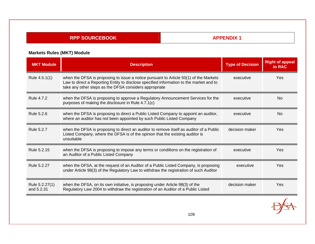**APPENDIX 1** 

# **Markets Rules (MKT) Module**

| <b>MKT Module</b>            | <b>Description</b>                                                                                                                                                                                                                         | <b>Type of Decision</b> | <b>Right of appeal</b><br>to RAC |
|------------------------------|--------------------------------------------------------------------------------------------------------------------------------------------------------------------------------------------------------------------------------------------|-------------------------|----------------------------------|
| Rule 4.5.1(1)                | when the DFSA is proposing to issue a notice pursuant to Article 50(1) of the Markets<br>Law to direct a Reporting Entity to disclose specified information to the market and to<br>take any other steps as the DFSA considers appropriate | executive               | <b>Yes</b>                       |
| Rule 4.7.2                   | when the DFSA is proposing to approve a Regulatory Announcement Services for the<br>purposes of making the disclosure in Rule 4.7.1(c)                                                                                                     | executive               | N <sub>0</sub>                   |
| Rule 5.2.6                   | when the DFSA is proposing to direct a Public Listed Company to appoint an auditor,<br>where an auditor has not been appointed by such Public Listed Company                                                                               | executive               | <b>No</b>                        |
| <b>Rule 5.2.7</b>            | when the DFSA is proposing to direct an auditor to remove itself as auditor of a Public<br>Listed Company, where the DFSA is of the opinion that the existing auditor is<br>unsuitable                                                     | decision maker          | <b>Yes</b>                       |
| Rule 5.2.15                  | when the DFSA is proposing to impose any terms or conditions on the registration of<br>an Auditor of a Public Listed Company                                                                                                               | executive               | <b>Yes</b>                       |
| Rule 5.2.27                  | when the DFSA, at the request of an Auditor of a Public Listed Company, is proposing<br>under Article 98(3) of the Regulatory Law to withdraw the registration of such Auditor                                                             | executive               | <b>Yes</b>                       |
| Rule 5.2.27(1)<br>and 5.2.31 | when the DFSA, on its own initiative, is proposing under Article 98(3) of the<br>Regulatory Law 2004 to withdraw the registration of an Auditor of a Public Listed                                                                         | decision maker          | Yes                              |
|                              |                                                                                                                                                                                                                                            |                         |                                  |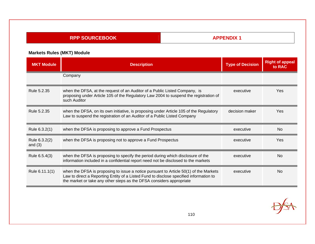**APPENDIX 1** 

# **Markets Rules (MKT) Module**

| <b>MKT Module</b>          | <b>Description</b>                                                                                                                                                                                                                                      | <b>Type of Decision</b> | <b>Right of appeal</b><br>to RAC |
|----------------------------|---------------------------------------------------------------------------------------------------------------------------------------------------------------------------------------------------------------------------------------------------------|-------------------------|----------------------------------|
|                            | Company                                                                                                                                                                                                                                                 |                         |                                  |
| Rule 5.2.35                | when the DFSA, at the request of an Auditor of a Public Listed Company, is<br>proposing under Article 105 of the Regulatory Law 2004 to suspend the registration of<br>such Auditor                                                                     | executive               | Yes                              |
| Rule 5.2.35                | when the DFSA, on its own initiative, is proposing under Article 105 of the Regulatory<br>Law to suspend the registration of an Auditor of a Public Listed Company                                                                                      | decision maker          | Yes                              |
| Rule 6.3.2(1)              | when the DFSA is proposing to approve a Fund Prospectus                                                                                                                                                                                                 | executive               | <b>No</b>                        |
| Rule 6.3.2(2)<br>and $(3)$ | when the DFSA is proposing not to approve a Fund Prospectus                                                                                                                                                                                             | executive               | Yes                              |
| Rule 6.5.4(3)              | when the DFSA is proposing to specify the period during which disclosure of the<br>information included in a confidential report need not be disclosed to the markets                                                                                   | executive               | <b>No</b>                        |
| Rule 6.11.1(1)             | when the DFSA is proposing to issue a notice pursuant to Article 50(1) of the Markets<br>Law to direct a Reporting Entity of a Listed Fund to disclose specified information to<br>the market or take any other steps as the DFSA considers appropriate | executive               | <b>No</b>                        |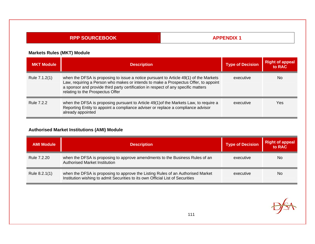**APPENDIX 1** 

### **Markets Rules (MKT) Module**

| <b>MKT Module</b> | <b>Description</b>                                                                                                                                                                                                                                                                                     | <b>Type of Decision</b> | <b>Right of appeal</b><br>to RAC |
|-------------------|--------------------------------------------------------------------------------------------------------------------------------------------------------------------------------------------------------------------------------------------------------------------------------------------------------|-------------------------|----------------------------------|
| Rule 7.1.2(1)     | when the DFSA is proposing to issue a notice pursuant to Article 49(1) of the Markets<br>Law, requiring a Person who makes or intends to make a Prospectus Offer, to appoint<br>a sponsor and provide third party certification in respect of any specific matters<br>relating to the Prospectus Offer | executive               | <b>No</b>                        |
| <b>Rule 7.2.2</b> | when the DFSA is proposing pursuant to Article 49(1) of the Markets Law, to require a<br>Reporting Entity to appoint a compliance adviser or replace a compliance advisor<br>already appointed                                                                                                         | executive               | Yes                              |

### **Authorised Market Institutions (AMI) Module**

| <b>AMI Module</b> | <b>Description</b>                                                                                                                                                | <b>Type of Decision</b> | <b>Right of appeal</b><br>to RAC |
|-------------------|-------------------------------------------------------------------------------------------------------------------------------------------------------------------|-------------------------|----------------------------------|
| Rule 7.2.20       | when the DFSA is proposing to approve amendments to the Business Rules of an<br><b>Authorised Market Institution</b>                                              | executive               | No.                              |
| Rule 8.2.1(1)     | when the DFSA is proposing to approve the Listing Rules of an Authorised Market<br>Institution wishing to admit Securities to its own Official List of Securities | executive               | <b>No</b>                        |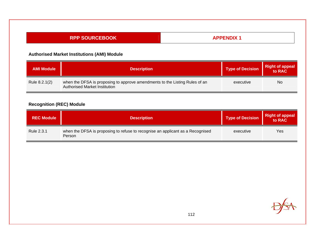#### **RPP SOURCEBOOK APPENDIX 1**

### **Authorised Market Institutions (AMI) Module**

| <b>AMI Module</b> | <b>Description</b>                                                                                           | <b>Type of Decision</b> | <b>Right of appeal</b><br>to RAC |
|-------------------|--------------------------------------------------------------------------------------------------------------|-------------------------|----------------------------------|
| Rule 8.2.1(2)     | when the DFSA is proposing to approve amendments to the Listing Rules of an<br>Authorised Market Institution | executive               | No                               |

## **Recognition (REC) Module**

| <b>REC Module</b> | <b>Description</b>                                                                       | <b>Type of Decision</b> | Right of appeal |
|-------------------|------------------------------------------------------------------------------------------|-------------------------|-----------------|
| Rule 2.3.1        | when the DFSA is proposing to refuse to recognise an applicant as a Recognised<br>Person | executive               | Yes             |